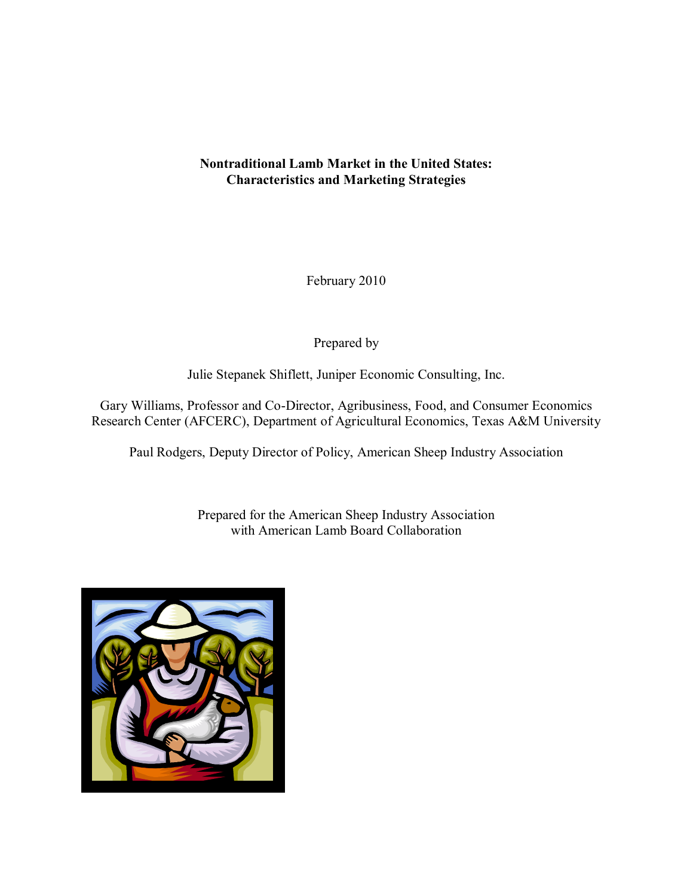## **Nontraditional Lamb Market in the United States: Characteristics and Marketing Strategies**

February 2010

Prepared by

Julie Stepanek Shiflett, Juniper Economic Consulting, Inc.

Gary Williams, Professor and Co-Director, Agribusiness, Food, and Consumer Economics Research Center (AFCERC), Department of Agricultural Economics, Texas A&M University

Paul Rodgers, Deputy Director of Policy, American Sheep Industry Association

Prepared for the American Sheep Industry Association with American Lamb Board Collaboration

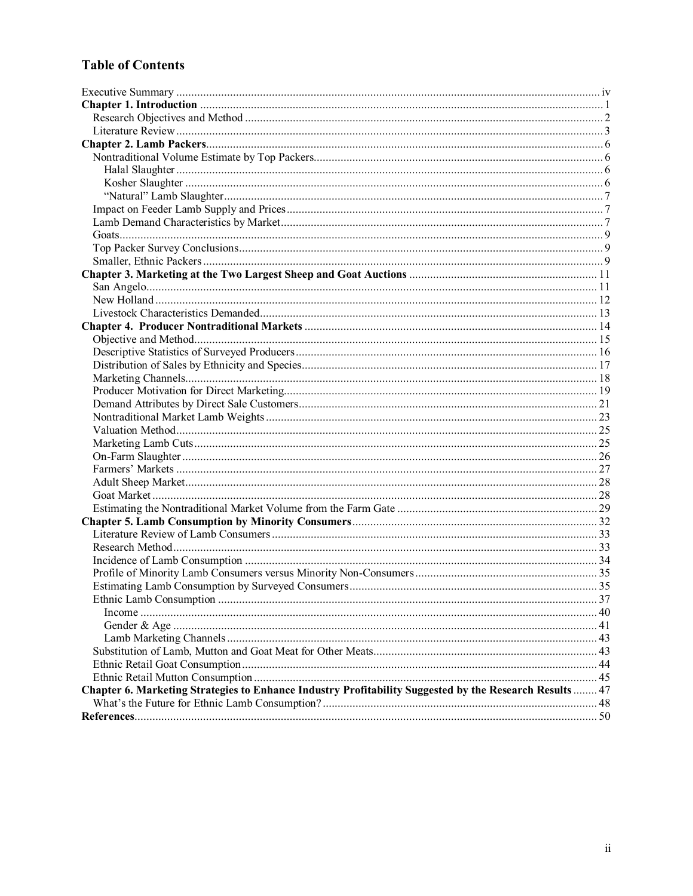# **Table of Contents**

| Chapter 6. Marketing Strategies to Enhance Industry Profitability Suggested by the Research Results  47 |  |
|---------------------------------------------------------------------------------------------------------|--|
|                                                                                                         |  |
|                                                                                                         |  |
|                                                                                                         |  |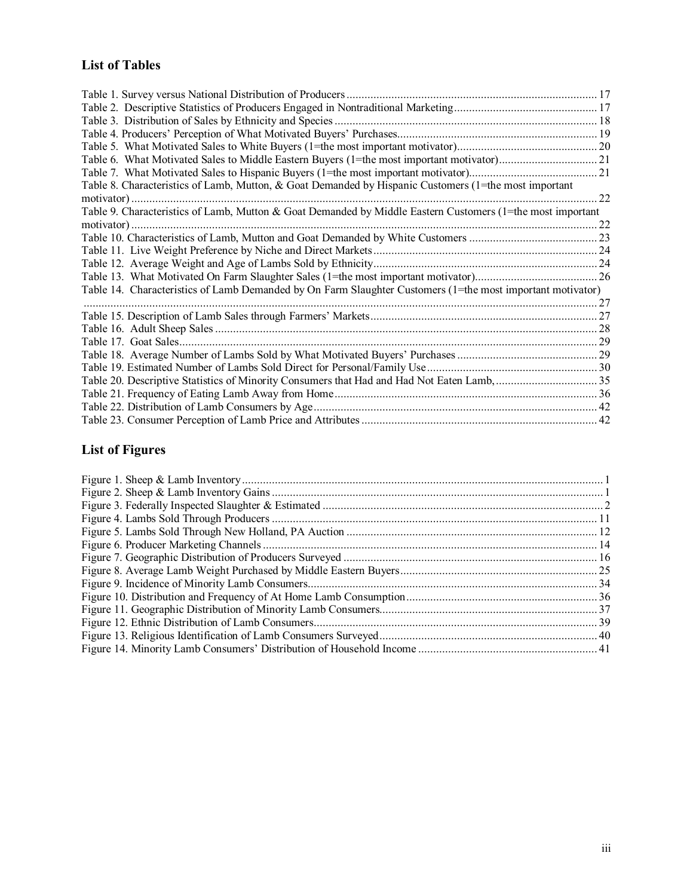# **List of Tables**

| Table 8. Characteristics of Lamb, Mutton, & Goat Demanded by Hispanic Customers (1=the most important      |     |
|------------------------------------------------------------------------------------------------------------|-----|
|                                                                                                            | 22  |
| Table 9. Characteristics of Lamb, Mutton & Goat Demanded by Middle Eastern Customers (1=the most important |     |
|                                                                                                            | .22 |
|                                                                                                            |     |
|                                                                                                            |     |
|                                                                                                            |     |
|                                                                                                            |     |
| Table 14. Characteristics of Lamb Demanded by On Farm Slaughter Customers (1=the most important motivator) |     |
|                                                                                                            |     |
|                                                                                                            |     |
|                                                                                                            |     |
|                                                                                                            |     |
|                                                                                                            |     |
|                                                                                                            |     |
|                                                                                                            |     |
|                                                                                                            |     |
|                                                                                                            |     |
|                                                                                                            |     |

# **List of Figures**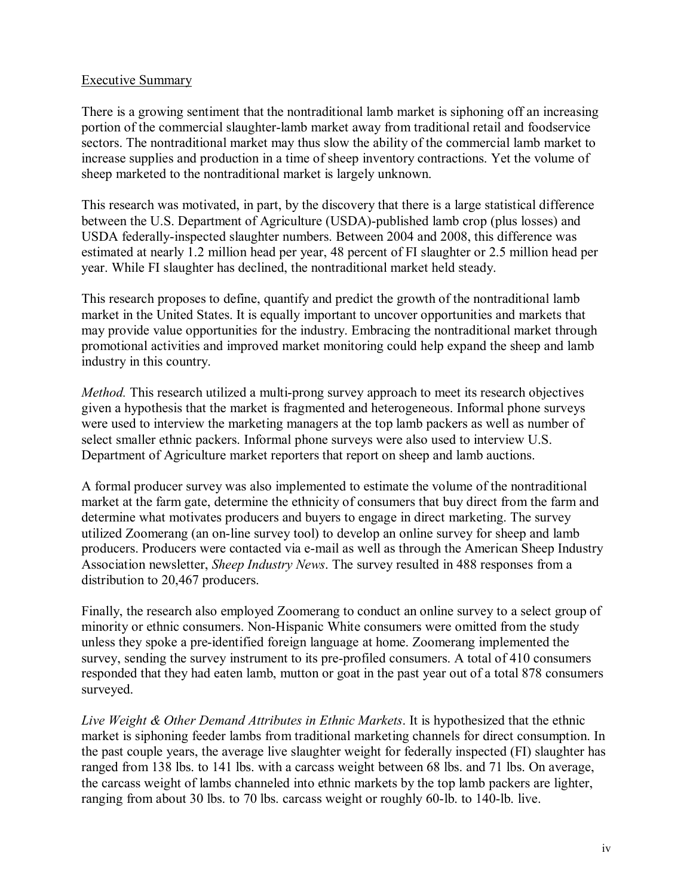#### Executive Summary

There is a growing sentiment that the nontraditional lamb market is siphoning off an increasing portion of the commercial slaughter-lamb market away from traditional retail and foodservice sectors. The nontraditional market may thus slow the ability of the commercial lamb market to increase supplies and production in a time of sheep inventory contractions. Yet the volume of sheep marketed to the nontraditional market is largely unknown.

This research was motivated, in part, by the discovery that there is a large statistical difference between the U.S. Department of Agriculture (USDA)-published lamb crop (plus losses) and USDA federally-inspected slaughter numbers. Between 2004 and 2008, this difference was estimated at nearly 1.2 million head per year, 48 percent of FI slaughter or 2.5 million head per year. While FI slaughter has declined, the nontraditional market held steady.

This research proposes to define, quantify and predict the growth of the nontraditional lamb market in the United States. It is equally important to uncover opportunities and markets that may provide value opportunities for the industry. Embracing the nontraditional market through promotional activities and improved market monitoring could help expand the sheep and lamb industry in this country.

*Method.* This research utilized a multi-prong survey approach to meet its research objectives given a hypothesis that the market is fragmented and heterogeneous. Informal phone surveys were used to interview the marketing managers at the top lamb packers as well as number of select smaller ethnic packers. Informal phone surveys were also used to interview U.S. Department of Agriculture market reporters that report on sheep and lamb auctions.

A formal producer survey was also implemented to estimate the volume of the nontraditional market at the farm gate, determine the ethnicity of consumers that buy direct from the farm and determine what motivates producers and buyers to engage in direct marketing. The survey utilized Zoomerang (an on-line survey tool) to develop an online survey for sheep and lamb producers. Producers were contacted via e-mail as well as through the American Sheep Industry Association newsletter, *Sheep Industry News*. The survey resulted in 488 responses from a distribution to 20,467 producers.

Finally, the research also employed Zoomerang to conduct an online survey to a select group of minority or ethnic consumers. Non-Hispanic White consumers were omitted from the study unless they spoke a pre-identified foreign language at home. Zoomerang implemented the survey, sending the survey instrument to its pre-profiled consumers. A total of 410 consumers responded that they had eaten lamb, mutton or goat in the past year out of a total 878 consumers surveyed.

*Live Weight & Other Demand Attributes in Ethnic Markets*. It is hypothesized that the ethnic market is siphoning feeder lambs from traditional marketing channels for direct consumption. In the past couple years, the average live slaughter weight for federally inspected (FI) slaughter has ranged from 138 lbs. to 141 lbs. with a carcass weight between 68 lbs. and 71 lbs. On average, the carcass weight of lambs channeled into ethnic markets by the top lamb packers are lighter, ranging from about 30 lbs. to 70 lbs. carcass weight or roughly 60-lb. to 140-lb. live.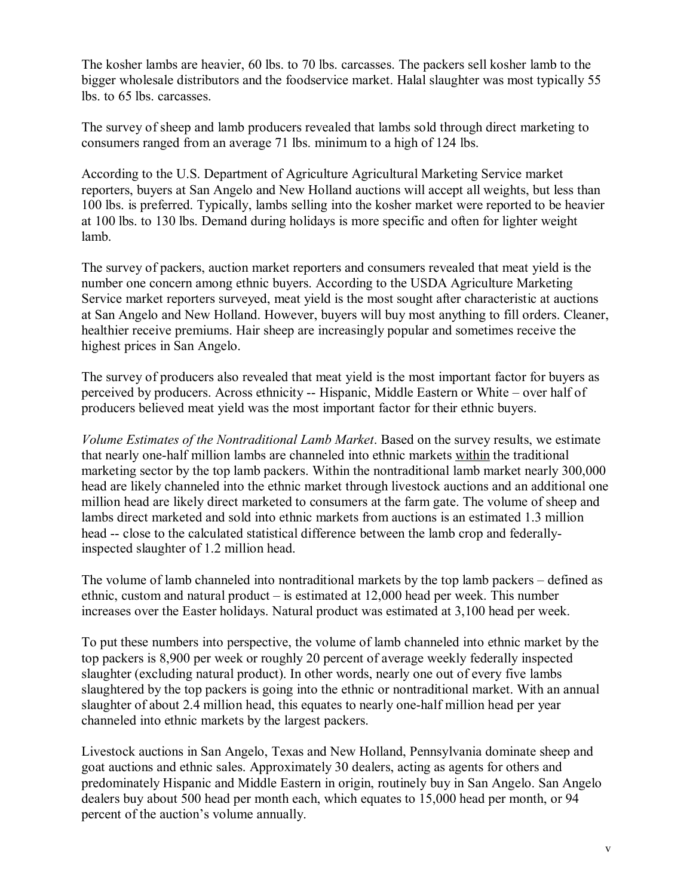The kosher lambs are heavier, 60 lbs. to 70 lbs. carcasses. The packers sell kosher lamb to the bigger wholesale distributors and the foodservice market. Halal slaughter was most typically 55 lbs. to 65 lbs. carcasses.

The survey of sheep and lamb producers revealed that lambs sold through direct marketing to consumers ranged from an average 71 lbs. minimum to a high of 124 lbs.

According to the U.S. Department of Agriculture Agricultural Marketing Service market reporters, buyers at San Angelo and New Holland auctions will accept all weights, but less than 100 lbs. is preferred. Typically, lambs selling into the kosher market were reported to be heavier at 100 lbs. to 130 lbs. Demand during holidays is more specific and often for lighter weight lamb.

The survey of packers, auction market reporters and consumers revealed that meat yield is the number one concern among ethnic buyers. According to the USDA Agriculture Marketing Service market reporters surveyed, meat yield is the most sought after characteristic at auctions at San Angelo and New Holland. However, buyers will buy most anything to fill orders. Cleaner, healthier receive premiums. Hair sheep are increasingly popular and sometimes receive the highest prices in San Angelo.

The survey of producers also revealed that meat yield is the most important factor for buyers as perceived by producers. Across ethnicity -- Hispanic, Middle Eastern or White – over half of producers believed meat yield was the most important factor for their ethnic buyers.

*Volume Estimates of the Nontraditional Lamb Market*. Based on the survey results, we estimate that nearly one-half million lambs are channeled into ethnic markets within the traditional marketing sector by the top lamb packers. Within the nontraditional lamb market nearly 300,000 head are likely channeled into the ethnic market through livestock auctions and an additional one million head are likely direct marketed to consumers at the farm gate. The volume of sheep and lambs direct marketed and sold into ethnic markets from auctions is an estimated 1.3 million head -- close to the calculated statistical difference between the lamb crop and federallyinspected slaughter of 1.2 million head.

The volume of lamb channeled into nontraditional markets by the top lamb packers  $-$  defined as ethnic, custom and natural product  $-\text{ is estimated at } 12,000$  head per week. This number increases over the Easter holidays. Natural product was estimated at 3,100 head per week.

To put these numbers into perspective, the volume of lamb channeled into ethnic market by the top packers is 8,900 per week or roughly 20 percent of average weekly federally inspected slaughter (excluding natural product). In other words, nearly one out of every five lambs slaughtered by the top packers is going into the ethnic or nontraditional market. With an annual slaughter of about 2.4 million head, this equates to nearly one-half million head per year channeled into ethnic markets by the largest packers.

Livestock auctions in San Angelo, Texas and New Holland, Pennsylvania dominate sheep and goat auctions and ethnic sales. Approximately 30 dealers, acting as agents for others and predominately Hispanic and Middle Eastern in origin, routinely buy in San Angelo. San Angelo dealers buy about 500 head per month each, which equates to 15,000 head per month, or 94 percent of the auction's volume annually.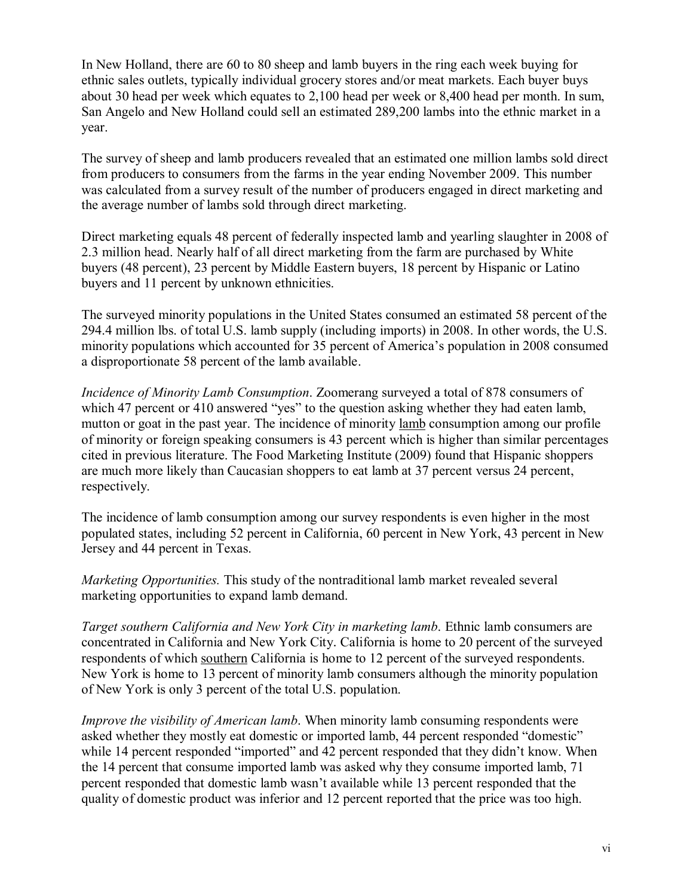In New Holland, there are 60 to 80 sheep and lamb buyers in the ring each week buying for ethnic sales outlets, typically individual grocery stores and/or meat markets. Each buyer buys about 30 head per week which equates to 2,100 head per week or 8,400 head per month. In sum, San Angelo and New Holland could sell an estimated 289,200 lambs into the ethnic market in a year.

The survey of sheep and lamb producers revealed that an estimated one million lambs sold direct from producers to consumers from the farms in the year ending November 2009. This number was calculated from a survey result of the number of producers engaged in direct marketing and the average number of lambs sold through direct marketing.

Direct marketing equals 48 percent of federally inspected lamb and yearling slaughter in 2008 of 2.3 million head. Nearly half of all direct marketing from the farm are purchased by White buyers (48 percent), 23 percent by Middle Eastern buyers, 18 percent by Hispanic or Latino buyers and 11 percent by unknown ethnicities.

The surveyed minority populations in the United States consumed an estimated 58 percent of the 294.4 million lbs. of total U.S. lamb supply (including imports) in 2008. In other words, the U.S. minority populations which accounted for 35 percent of America's population in 2008 consumed a disproportionate 58 percent of the lamb available.

*Incidence of Minority Lamb Consumption*. Zoomerang surveyed a total of 878 consumers of which 47 percent or 410 answered "ves" to the question asking whether they had eaten lamb, mutton or goat in the past year. The incidence of minority lamb consumption among our profile of minority or foreign speaking consumers is 43 percent which is higher than similar percentages cited in previous literature. The Food Marketing Institute (2009) found that Hispanic shoppers are much more likely than Caucasian shoppers to eat lamb at 37 percent versus 24 percent, respectively.

The incidence of lamb consumption among our survey respondents is even higher in the most populated states, including 52 percent in California, 60 percent in New York, 43 percent in New Jersey and 44 percent in Texas.

*Marketing Opportunities.* This study of the nontraditional lamb market revealed several marketing opportunities to expand lamb demand.

*Target southern California and New York City in marketing lamb*. Ethnic lamb consumers are concentrated in California and New York City. California is home to 20 percent of the surveyed respondents of which southern California is home to 12 percent of the surveyed respondents. New York is home to 13 percent of minority lamb consumers although the minority population of New York is only 3 percent of the total U.S. population.

*Improve the visibility of American lamb*. When minority lamb consuming respondents were asked whether they mostly eat domestic or imported lamb. 44 percent responded "domestic" while 14 percent responded "imported" and 42 percent responded that they didn't know. When the 14 percent that consume imported lamb was asked why they consume imported lamb, 71 percent responded that domestic lamb wasnít available while 13 percent responded that the quality of domestic product was inferior and 12 percent reported that the price was too high.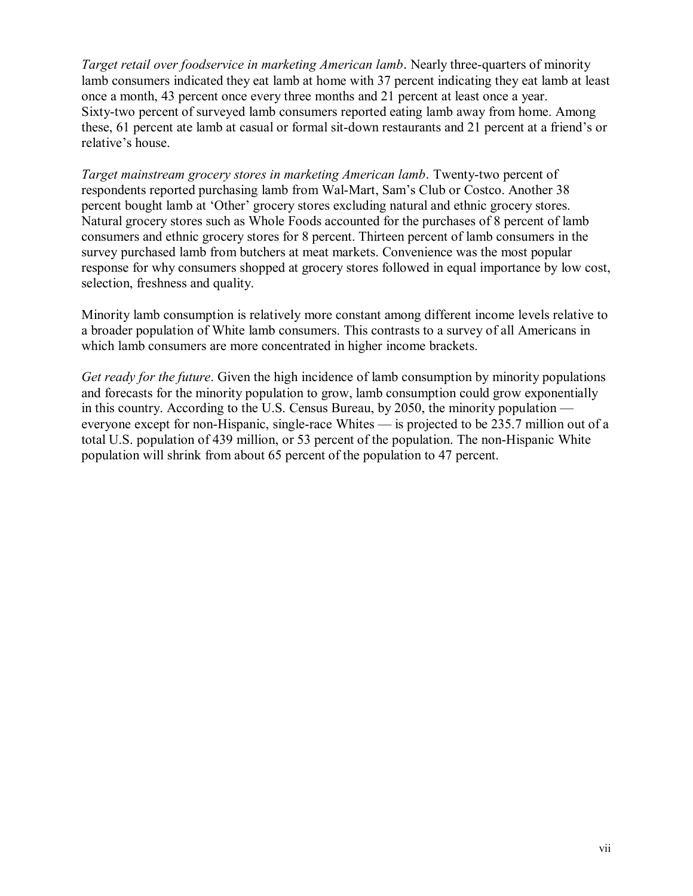*Target retail over foodservice in marketing American lamb*. Nearly three-quarters of minority lamb consumers indicated they eat lamb at home with 37 percent indicating they eat lamb at least once a month, 43 percent once every three months and 21 percent at least once a year. Sixty-two percent of surveyed lamb consumers reported eating lamb away from home. Among these, 61 percent ate lamb at casual or formal sit-down restaurants and 21 percent at a friend's or relative's house.

*Target mainstream grocery stores in marketing American lamb*. Twenty-two percent of respondents reported purchasing lamb from Wal-Mart, Sam's Club or Costco. Another 38 percent bought lamb at 'Other' grocery stores excluding natural and ethnic grocery stores. Natural grocery stores such as Whole Foods accounted for the purchases of 8 percent of lamb consumers and ethnic grocery stores for 8 percent. Thirteen percent of lamb consumers in the survey purchased lamb from butchers at meat markets. Convenience was the most popular response for why consumers shopped at grocery stores followed in equal importance by low cost, selection, freshness and quality.

Minority lamb consumption is relatively more constant among different income levels relative to a broader population of White lamb consumers. This contrasts to a survey of all Americans in which lamb consumers are more concentrated in higher income brackets.

*Get ready for the future*. Given the high incidence of lamb consumption by minority populations and forecasts for the minority population to grow, lamb consumption could grow exponentially in this country. According to the U.S. Census Bureau, by 2050, the minority population  $\overline{\phantom{a}}$ everyone except for non-Hispanic, single-race Whites  $\frac{1}{\sqrt{2}}$  is projected to be 235.7 million out of a total U.S. population of 439 million, or 53 percent of the population. The non-Hispanic White population will shrink from about 65 percent of the population to 47 percent.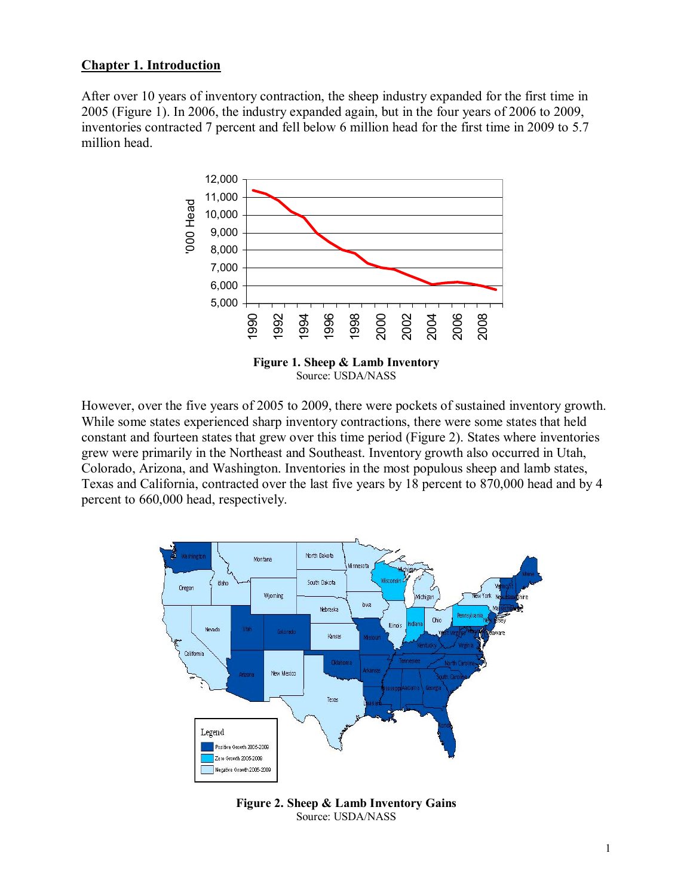### **Chapter 1. Introduction**

After over 10 years of inventory contraction, the sheep industry expanded for the first time in 2005 (Figure 1). In 2006, the industry expanded again, but in the four years of 2006 to 2009, inventories contracted 7 percent and fell below 6 million head for the first time in 2009 to 5.7 million head.



However, over the five years of 2005 to 2009, there were pockets of sustained inventory growth. While some states experienced sharp inventory contractions, there were some states that held constant and fourteen states that grew over this time period (Figure 2). States where inventories grew were primarily in the Northeast and Southeast. Inventory growth also occurred in Utah, Colorado, Arizona, and Washington. Inventories in the most populous sheep and lamb states, Texas and California, contracted over the last five years by 18 percent to 870,000 head and by 4 percent to 660,000 head, respectively.



**Figure 2. Sheep & Lamb Inventory Gains**  Source: USDA/NASS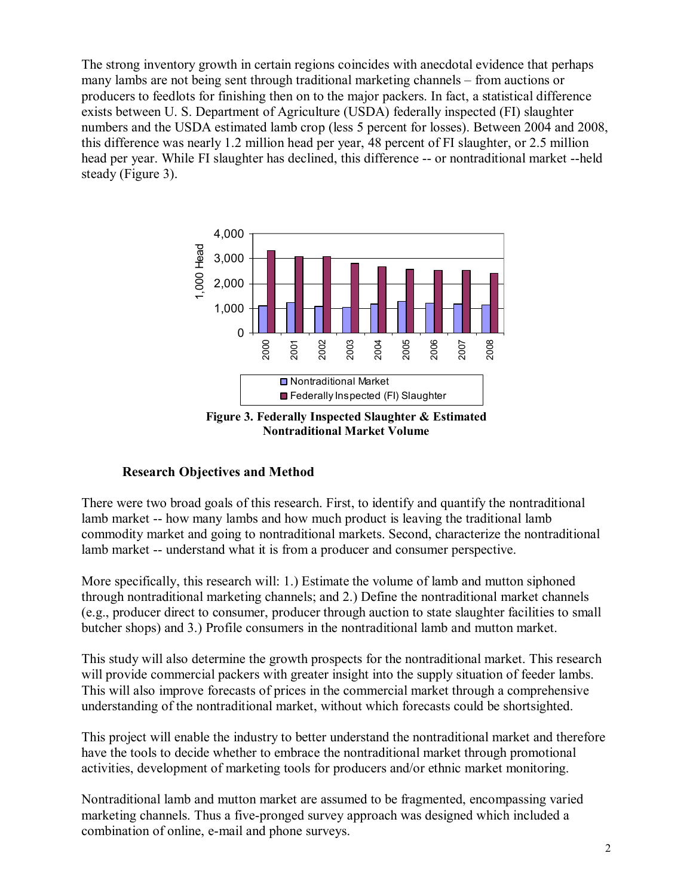The strong inventory growth in certain regions coincides with anecdotal evidence that perhaps many lambs are not being sent through traditional marketing channels – from auctions or producers to feedlots for finishing then on to the major packers. In fact, a statistical difference exists between U. S. Department of Agriculture (USDA) federally inspected (FI) slaughter numbers and the USDA estimated lamb crop (less 5 percent for losses). Between 2004 and 2008, this difference was nearly 1.2 million head per year, 48 percent of FI slaughter, or 2.5 million head per year. While FI slaughter has declined, this difference -- or nontraditional market --held steady (Figure 3).



**Figure 3. Federally Inspected Slaughter & Estimated Nontraditional Market Volume** 

### **Research Objectives and Method**

There were two broad goals of this research. First, to identify and quantify the nontraditional lamb market -- how many lambs and how much product is leaving the traditional lamb commodity market and going to nontraditional markets. Second, characterize the nontraditional lamb market -- understand what it is from a producer and consumer perspective.

More specifically, this research will: 1.) Estimate the volume of lamb and mutton siphoned through nontraditional marketing channels; and 2.) Define the nontraditional market channels (e.g., producer direct to consumer, producer through auction to state slaughter facilities to small butcher shops) and 3.) Profile consumers in the nontraditional lamb and mutton market.

This study will also determine the growth prospects for the nontraditional market. This research will provide commercial packers with greater insight into the supply situation of feeder lambs. This will also improve forecasts of prices in the commercial market through a comprehensive understanding of the nontraditional market, without which forecasts could be shortsighted.

This project will enable the industry to better understand the nontraditional market and therefore have the tools to decide whether to embrace the nontraditional market through promotional activities, development of marketing tools for producers and/or ethnic market monitoring.

Nontraditional lamb and mutton market are assumed to be fragmented, encompassing varied marketing channels. Thus a five-pronged survey approach was designed which included a combination of online, e-mail and phone surveys.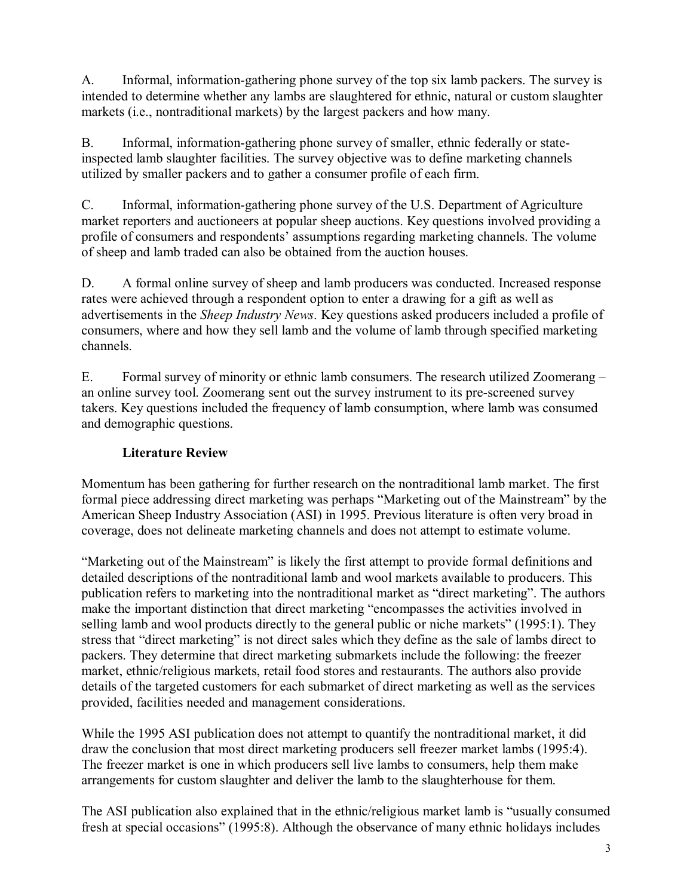A. Informal, information-gathering phone survey of the top six lamb packers. The survey is intended to determine whether any lambs are slaughtered for ethnic, natural or custom slaughter markets (i.e., nontraditional markets) by the largest packers and how many.

B. Informal, information-gathering phone survey of smaller, ethnic federally or stateinspected lamb slaughter facilities. The survey objective was to define marketing channels utilized by smaller packers and to gather a consumer profile of each firm.

C. Informal, information-gathering phone survey of the U.S. Department of Agriculture market reporters and auctioneers at popular sheep auctions. Key questions involved providing a profile of consumers and respondents' assumptions regarding marketing channels. The volume of sheep and lamb traded can also be obtained from the auction houses.

D. A formal online survey of sheep and lamb producers was conducted. Increased response rates were achieved through a respondent option to enter a drawing for a gift as well as advertisements in the *Sheep Industry News*. Key questions asked producers included a profile of consumers, where and how they sell lamb and the volume of lamb through specified marketing channels.

E. Formal survey of minority or ethnic lamb consumers. The research utilized Zoomerang – an online survey tool. Zoomerang sent out the survey instrument to its pre-screened survey takers. Key questions included the frequency of lamb consumption, where lamb was consumed and demographic questions.

# **Literature Review**

Momentum has been gathering for further research on the nontraditional lamb market. The first formal piece addressing direct marketing was perhaps "Marketing out of the Mainstream" by the American Sheep Industry Association (ASI) in 1995. Previous literature is often very broad in coverage, does not delineate marketing channels and does not attempt to estimate volume.

ìMarketing out of the Mainstreamî is likely the first attempt to provide formal definitions and detailed descriptions of the nontraditional lamb and wool markets available to producers. This publication refers to marketing into the nontraditional market as "direct marketing". The authors make the important distinction that direct marketing "encompasses the activities involved in selling lamb and wool products directly to the general public or niche markets"  $(1995:1)$ . They stress that "direct marketing" is not direct sales which they define as the sale of lambs direct to packers. They determine that direct marketing submarkets include the following: the freezer market, ethnic/religious markets, retail food stores and restaurants. The authors also provide details of the targeted customers for each submarket of direct marketing as well as the services provided, facilities needed and management considerations.

While the 1995 ASI publication does not attempt to quantify the nontraditional market, it did draw the conclusion that most direct marketing producers sell freezer market lambs (1995:4). The freezer market is one in which producers sell live lambs to consumers, help them make arrangements for custom slaughter and deliver the lamb to the slaughterhouse for them.

The ASI publication also explained that in the ethnic/religious market lamb is "usually consumed fresh at special occasions" (1995:8). Although the observance of many ethnic holidays includes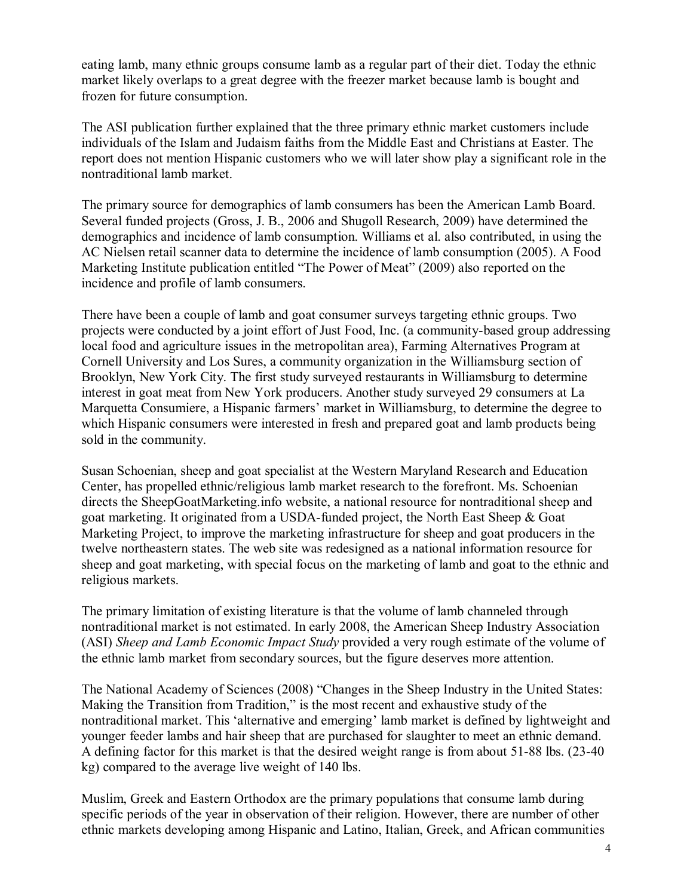eating lamb, many ethnic groups consume lamb as a regular part of their diet. Today the ethnic market likely overlaps to a great degree with the freezer market because lamb is bought and frozen for future consumption.

The ASI publication further explained that the three primary ethnic market customers include individuals of the Islam and Judaism faiths from the Middle East and Christians at Easter. The report does not mention Hispanic customers who we will later show play a significant role in the nontraditional lamb market.

The primary source for demographics of lamb consumers has been the American Lamb Board. Several funded projects (Gross, J. B., 2006 and Shugoll Research, 2009) have determined the demographics and incidence of lamb consumption. Williams et al. also contributed, in using the AC Nielsen retail scanner data to determine the incidence of lamb consumption (2005). A Food Marketing Institute publication entitled "The Power of Meat" (2009) also reported on the incidence and profile of lamb consumers.

There have been a couple of lamb and goat consumer surveys targeting ethnic groups. Two projects were conducted by a joint effort of Just Food, Inc. (a community-based group addressing local food and agriculture issues in the metropolitan area), Farming Alternatives Program at Cornell University and Los Sures, a community organization in the Williamsburg section of Brooklyn, New York City. The first study surveyed restaurants in Williamsburg to determine interest in goat meat from New York producers. Another study surveyed 29 consumers at La Marquetta Consumiere, a Hispanic farmers' market in Williamsburg, to determine the degree to which Hispanic consumers were interested in fresh and prepared goat and lamb products being sold in the community.

Susan Schoenian, sheep and goat specialist at the Western Maryland Research and Education Center, has propelled ethnic/religious lamb market research to the forefront. Ms. Schoenian directs the SheepGoatMarketing.info website, a national resource for nontraditional sheep and goat marketing. It originated from a USDA-funded project, the North East Sheep & Goat Marketing Project, to improve the marketing infrastructure for sheep and goat producers in the twelve northeastern states. The web site was redesigned as a national information resource for sheep and goat marketing, with special focus on the marketing of lamb and goat to the ethnic and religious markets.

The primary limitation of existing literature is that the volume of lamb channeled through nontraditional market is not estimated. In early 2008, the American Sheep Industry Association (ASI) *Sheep and Lamb Economic Impact Study* provided a very rough estimate of the volume of the ethnic lamb market from secondary sources, but the figure deserves more attention.

The National Academy of Sciences (2008) "Changes in the Sheep Industry in the United States: Making the Transition from Tradition," is the most recent and exhaustive study of the nontraditional market. This 'alternative and emerging' lamb market is defined by lightweight and younger feeder lambs and hair sheep that are purchased for slaughter to meet an ethnic demand. A defining factor for this market is that the desired weight range is from about 51-88 lbs. (23-40 kg) compared to the average live weight of 140 lbs.

Muslim, Greek and Eastern Orthodox are the primary populations that consume lamb during specific periods of the year in observation of their religion. However, there are number of other ethnic markets developing among Hispanic and Latino, Italian, Greek, and African communities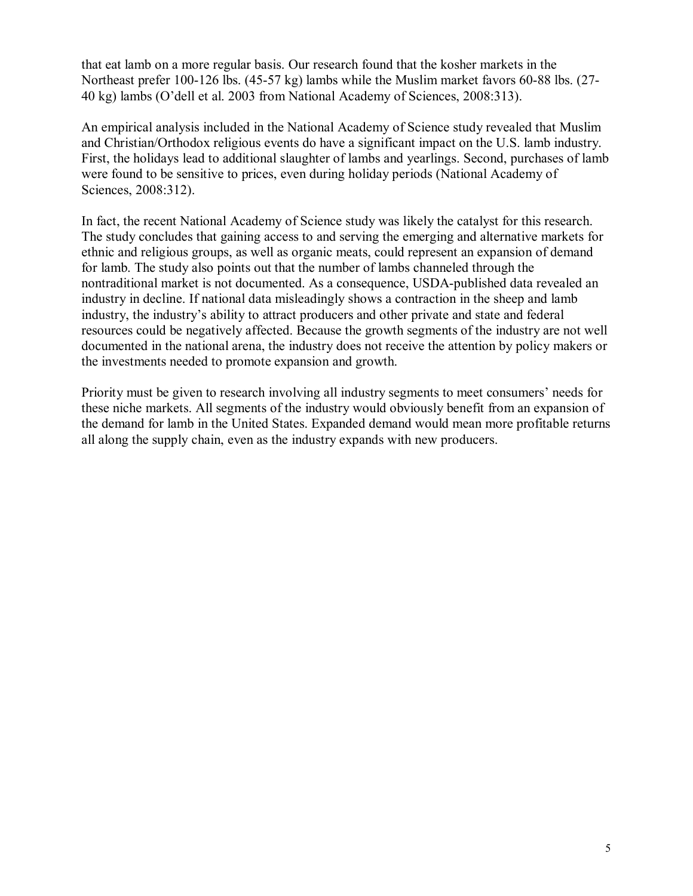that eat lamb on a more regular basis. Our research found that the kosher markets in the Northeast prefer 100-126 lbs. (45-57 kg) lambs while the Muslim market favors 60-88 lbs. (27- 40 kg) lambs (Oídell et al. 2003 from National Academy of Sciences, 2008:313).

An empirical analysis included in the National Academy of Science study revealed that Muslim and Christian/Orthodox religious events do have a significant impact on the U.S. lamb industry. First, the holidays lead to additional slaughter of lambs and yearlings. Second, purchases of lamb were found to be sensitive to prices, even during holiday periods (National Academy of Sciences, 2008:312).

In fact, the recent National Academy of Science study was likely the catalyst for this research. The study concludes that gaining access to and serving the emerging and alternative markets for ethnic and religious groups, as well as organic meats, could represent an expansion of demand for lamb. The study also points out that the number of lambs channeled through the nontraditional market is not documented. As a consequence, USDA-published data revealed an industry in decline. If national data misleadingly shows a contraction in the sheep and lamb industry, the industryís ability to attract producers and other private and state and federal resources could be negatively affected. Because the growth segments of the industry are not well documented in the national arena, the industry does not receive the attention by policy makers or the investments needed to promote expansion and growth.

Priority must be given to research involving all industry segments to meet consumers' needs for these niche markets. All segments of the industry would obviously benefit from an expansion of the demand for lamb in the United States. Expanded demand would mean more profitable returns all along the supply chain, even as the industry expands with new producers.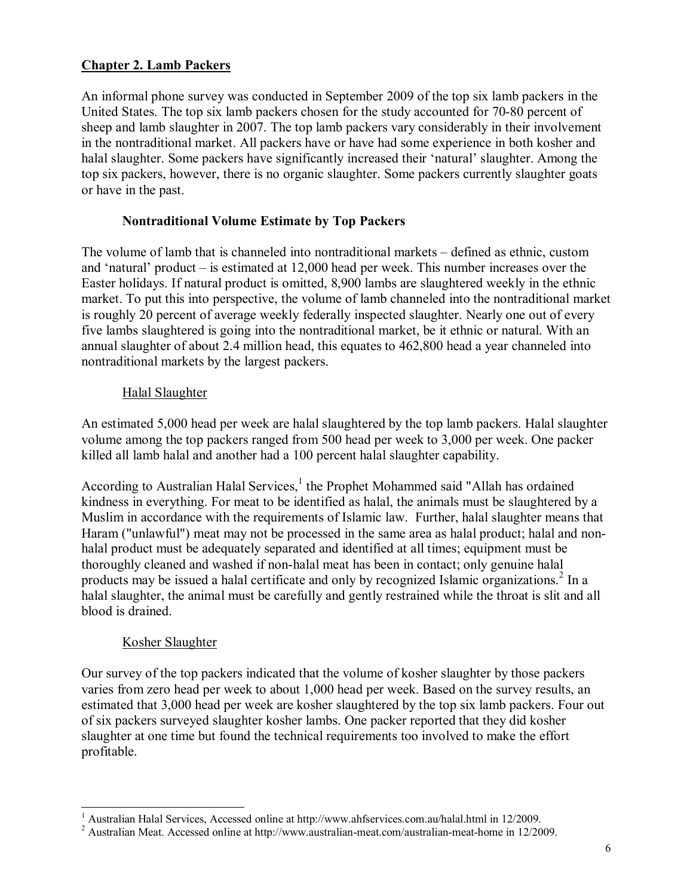## **Chapter 2. Lamb Packers**

An informal phone survey was conducted in September 2009 of the top six lamb packers in the United States. The top six lamb packers chosen for the study accounted for 70-80 percent of sheep and lamb slaughter in 2007. The top lamb packers vary considerably in their involvement in the nontraditional market. All packers have or have had some experience in both kosher and halal slaughter. Some packers have significantly increased their 'natural' slaughter. Among the top six packers, however, there is no organic slaughter. Some packers currently slaughter goats or have in the past.

#### **Nontraditional Volume Estimate by Top Packers**

The volume of lamb that is channeled into nontraditional markets – defined as ethnic, custom and 'natural' product  $-$  is estimated at 12,000 head per week. This number increases over the Easter holidays. If natural product is omitted, 8,900 lambs are slaughtered weekly in the ethnic market. To put this into perspective, the volume of lamb channeled into the nontraditional market is roughly 20 percent of average weekly federally inspected slaughter. Nearly one out of every five lambs slaughtered is going into the nontraditional market, be it ethnic or natural. With an annual slaughter of about 2.4 million head, this equates to 462,800 head a year channeled into nontraditional markets by the largest packers.

#### Halal Slaughter

An estimated 5,000 head per week are halal slaughtered by the top lamb packers. Halal slaughter volume among the top packers ranged from 500 head per week to 3,000 per week. One packer killed all lamb halal and another had a 100 percent halal slaughter capability.

According to Australian Halal Services, $<sup>1</sup>$  the Prophet Mohammed said "Allah has ordained</sup> kindness in everything. For meat to be identified as halal, the animals must be slaughtered by a Muslim in accordance with the requirements of Islamic law. Further, halal slaughter means that Haram ("unlawful") meat may not be processed in the same area as halal product; halal and nonhalal product must be adequately separated and identified at all times; equipment must be thoroughly cleaned and washed if non-halal meat has been in contact; only genuine halal products may be issued a halal certificate and only by recognized Islamic organizations.<sup>2</sup> In a halal slaughter, the animal must be carefully and gently restrained while the throat is slit and all blood is drained.

### Kosher Slaughter

Our survey of the top packers indicated that the volume of kosher slaughter by those packers varies from zero head per week to about 1,000 head per week. Based on the survey results, an estimated that 3,000 head per week are kosher slaughtered by the top six lamb packers. Four out of six packers surveyed slaughter kosher lambs. One packer reported that they did kosher slaughter at one time but found the technical requirements too involved to make the effort profitable.

 1 Australian Halal Services, Accessed online at http://www.ahfservices.com.au/halal.html in 12/2009.

<sup>&</sup>lt;sup>2</sup> Australian Meat. Accessed online at http://www.australian-meat.com/australian-meat-home in 12/2009.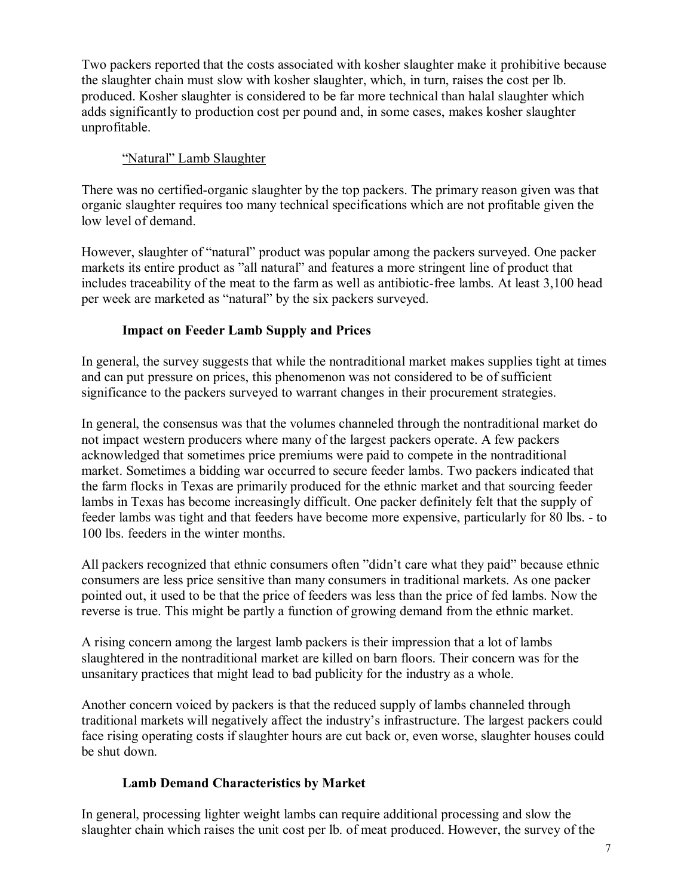Two packers reported that the costs associated with kosher slaughter make it prohibitive because the slaughter chain must slow with kosher slaughter, which, in turn, raises the cost per lb. produced. Kosher slaughter is considered to be far more technical than halal slaughter which adds significantly to production cost per pound and, in some cases, makes kosher slaughter unprofitable.

## "Natural" Lamb Slaughter

There was no certified-organic slaughter by the top packers. The primary reason given was that organic slaughter requires too many technical specifications which are not profitable given the low level of demand.

However, slaughter of "natural" product was popular among the packers surveyed. One packer markets its entire product as "all natural" and features a more stringent line of product that includes traceability of the meat to the farm as well as antibiotic-free lambs. At least 3,100 head per week are marketed as "natural" by the six packers surveyed.

## **Impact on Feeder Lamb Supply and Prices**

In general, the survey suggests that while the nontraditional market makes supplies tight at times and can put pressure on prices, this phenomenon was not considered to be of sufficient significance to the packers surveyed to warrant changes in their procurement strategies.

In general, the consensus was that the volumes channeled through the nontraditional market do not impact western producers where many of the largest packers operate. A few packers acknowledged that sometimes price premiums were paid to compete in the nontraditional market. Sometimes a bidding war occurred to secure feeder lambs. Two packers indicated that the farm flocks in Texas are primarily produced for the ethnic market and that sourcing feeder lambs in Texas has become increasingly difficult. One packer definitely felt that the supply of feeder lambs was tight and that feeders have become more expensive, particularly for 80 lbs. - to 100 lbs. feeders in the winter months.

All packers recognized that ethnic consumers often "didn't care what they paid" because ethnic consumers are less price sensitive than many consumers in traditional markets. As one packer pointed out, it used to be that the price of feeders was less than the price of fed lambs. Now the reverse is true. This might be partly a function of growing demand from the ethnic market.

A rising concern among the largest lamb packers is their impression that a lot of lambs slaughtered in the nontraditional market are killed on barn floors. Their concern was for the unsanitary practices that might lead to bad publicity for the industry as a whole.

Another concern voiced by packers is that the reduced supply of lambs channeled through traditional markets will negatively affect the industry's infrastructure. The largest packers could face rising operating costs if slaughter hours are cut back or, even worse, slaughter houses could be shut down.

### **Lamb Demand Characteristics by Market**

In general, processing lighter weight lambs can require additional processing and slow the slaughter chain which raises the unit cost per lb. of meat produced. However, the survey of the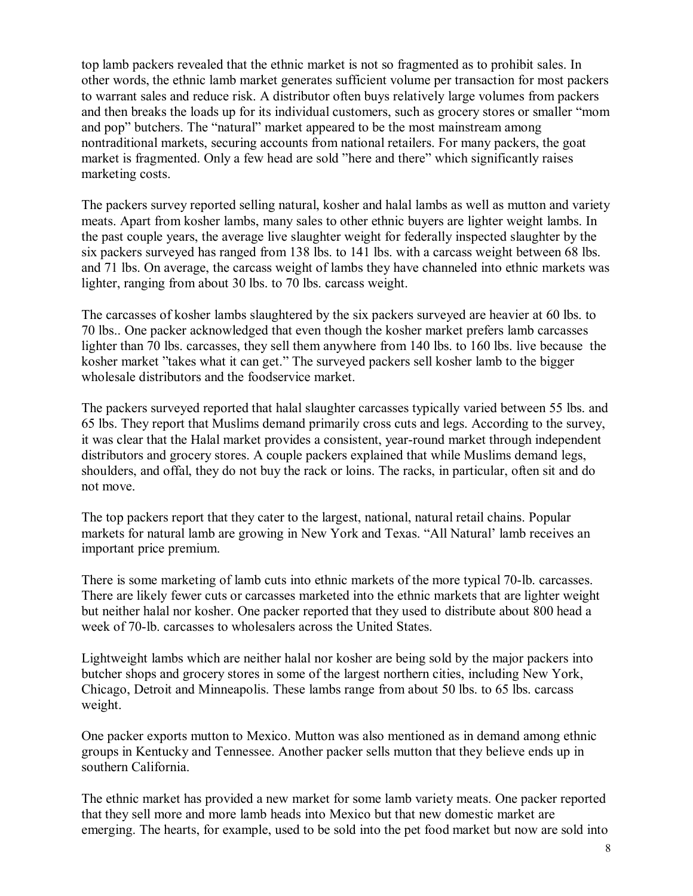top lamb packers revealed that the ethnic market is not so fragmented as to prohibit sales. In other words, the ethnic lamb market generates sufficient volume per transaction for most packers to warrant sales and reduce risk. A distributor often buys relatively large volumes from packers and then breaks the loads up for its individual customers, such as grocery stores or smaller "mom and pop" butchers. The "natural" market appeared to be the most mainstream among nontraditional markets, securing accounts from national retailers. For many packers, the goat market is fragmented. Only a few head are sold "here and there" which significantly raises marketing costs.

The packers survey reported selling natural, kosher and halal lambs as well as mutton and variety meats. Apart from kosher lambs, many sales to other ethnic buyers are lighter weight lambs. In the past couple years, the average live slaughter weight for federally inspected slaughter by the six packers surveyed has ranged from 138 lbs. to 141 lbs. with a carcass weight between 68 lbs. and 71 lbs. On average, the carcass weight of lambs they have channeled into ethnic markets was lighter, ranging from about 30 lbs. to 70 lbs. carcass weight.

The carcasses of kosher lambs slaughtered by the six packers surveyed are heavier at 60 lbs. to 70 lbs.. One packer acknowledged that even though the kosher market prefers lamb carcasses lighter than 70 lbs. carcasses, they sell them anywhere from 140 lbs. to 160 lbs. live because the kosher market "takes what it can get." The surveyed packers sell kosher lamb to the bigger wholesale distributors and the foodservice market.

The packers surveyed reported that halal slaughter carcasses typically varied between 55 lbs. and 65 lbs. They report that Muslims demand primarily cross cuts and legs. According to the survey, it was clear that the Halal market provides a consistent, year-round market through independent distributors and grocery stores. A couple packers explained that while Muslims demand legs, shoulders, and offal, they do not buy the rack or loins. The racks, in particular, often sit and do not move.

The top packers report that they cater to the largest, national, natural retail chains. Popular markets for natural lamb are growing in New York and Texas. "All Natural' lamb receives an important price premium.

There is some marketing of lamb cuts into ethnic markets of the more typical 70-lb. carcasses. There are likely fewer cuts or carcasses marketed into the ethnic markets that are lighter weight but neither halal nor kosher. One packer reported that they used to distribute about 800 head a week of 70-lb. carcasses to wholesalers across the United States.

Lightweight lambs which are neither halal nor kosher are being sold by the major packers into butcher shops and grocery stores in some of the largest northern cities, including New York, Chicago, Detroit and Minneapolis. These lambs range from about 50 lbs. to 65 lbs. carcass weight.

One packer exports mutton to Mexico. Mutton was also mentioned as in demand among ethnic groups in Kentucky and Tennessee. Another packer sells mutton that they believe ends up in southern California.

The ethnic market has provided a new market for some lamb variety meats. One packer reported that they sell more and more lamb heads into Mexico but that new domestic market are emerging. The hearts, for example, used to be sold into the pet food market but now are sold into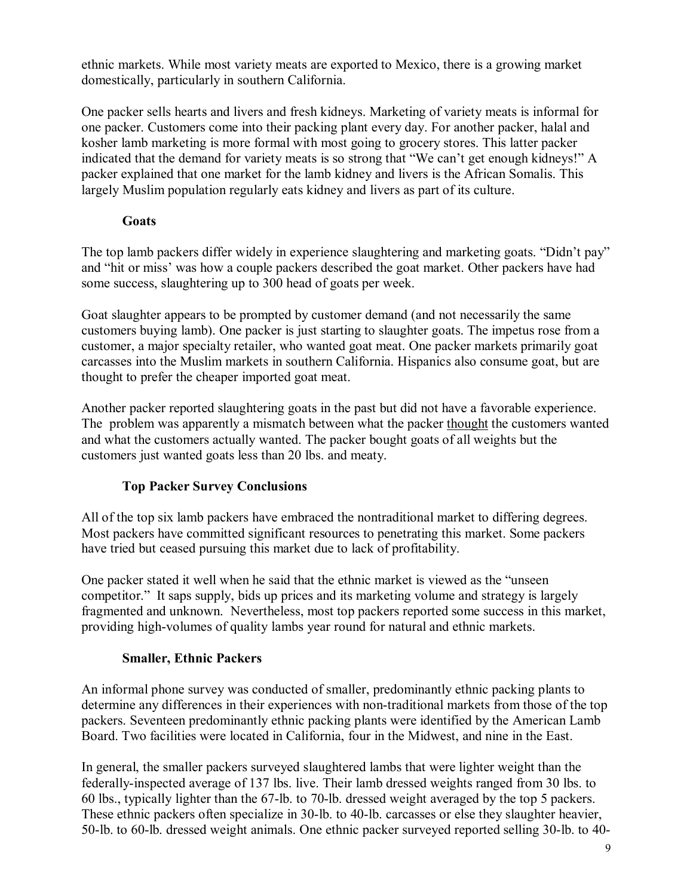ethnic markets. While most variety meats are exported to Mexico, there is a growing market domestically, particularly in southern California.

One packer sells hearts and livers and fresh kidneys. Marketing of variety meats is informal for one packer. Customers come into their packing plant every day. For another packer, halal and kosher lamb marketing is more formal with most going to grocery stores. This latter packer indicated that the demand for variety meats is so strong that "We can't get enough kidneys!" A packer explained that one market for the lamb kidney and livers is the African Somalis. This largely Muslim population regularly eats kidney and livers as part of its culture.

## **Goats**

The top lamb packers differ widely in experience slaughtering and marketing goats. "Didn't pay" and "hit or miss' was how a couple packers described the goat market. Other packers have had some success, slaughtering up to 300 head of goats per week.

Goat slaughter appears to be prompted by customer demand (and not necessarily the same customers buying lamb). One packer is just starting to slaughter goats. The impetus rose from a customer, a major specialty retailer, who wanted goat meat. One packer markets primarily goat carcasses into the Muslim markets in southern California. Hispanics also consume goat, but are thought to prefer the cheaper imported goat meat.

Another packer reported slaughtering goats in the past but did not have a favorable experience. The problem was apparently a mismatch between what the packer thought the customers wanted and what the customers actually wanted. The packer bought goats of all weights but the customers just wanted goats less than 20 lbs. and meaty.

# **Top Packer Survey Conclusions**

All of the top six lamb packers have embraced the nontraditional market to differing degrees. Most packers have committed significant resources to penetrating this market. Some packers have tried but ceased pursuing this market due to lack of profitability.

One packer stated it well when he said that the ethnic market is viewed as the "unseen" competitor." It saps supply, bids up prices and its marketing volume and strategy is largely fragmented and unknown. Nevertheless, most top packers reported some success in this market, providing high-volumes of quality lambs year round for natural and ethnic markets.

# **Smaller, Ethnic Packers**

An informal phone survey was conducted of smaller, predominantly ethnic packing plants to determine any differences in their experiences with non-traditional markets from those of the top packers. Seventeen predominantly ethnic packing plants were identified by the American Lamb Board. Two facilities were located in California, four in the Midwest, and nine in the East.

In general, the smaller packers surveyed slaughtered lambs that were lighter weight than the federally-inspected average of 137 lbs. live. Their lamb dressed weights ranged from 30 lbs. to 60 lbs., typically lighter than the 67-lb. to 70-lb. dressed weight averaged by the top 5 packers. These ethnic packers often specialize in 30-lb. to 40-lb. carcasses or else they slaughter heavier, 50-lb. to 60-lb. dressed weight animals. One ethnic packer surveyed reported selling 30-lb. to 40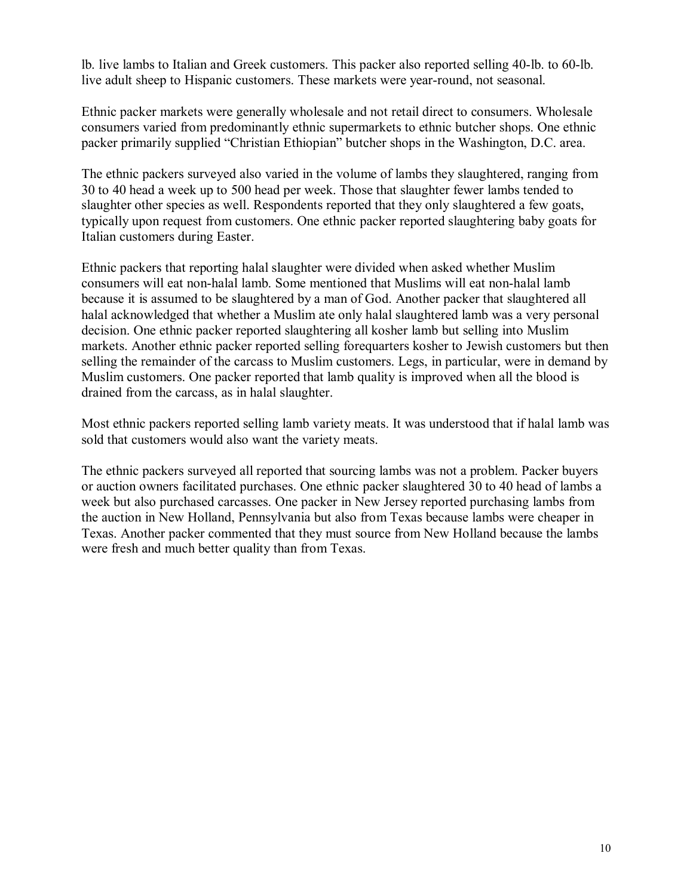lb. live lambs to Italian and Greek customers. This packer also reported selling 40-lb. to 60-lb. live adult sheep to Hispanic customers. These markets were year-round, not seasonal.

Ethnic packer markets were generally wholesale and not retail direct to consumers. Wholesale consumers varied from predominantly ethnic supermarkets to ethnic butcher shops. One ethnic packer primarily supplied "Christian Ethiopian" butcher shops in the Washington, D.C. area.

The ethnic packers surveyed also varied in the volume of lambs they slaughtered, ranging from 30 to 40 head a week up to 500 head per week. Those that slaughter fewer lambs tended to slaughter other species as well. Respondents reported that they only slaughtered a few goats, typically upon request from customers. One ethnic packer reported slaughtering baby goats for Italian customers during Easter.

Ethnic packers that reporting halal slaughter were divided when asked whether Muslim consumers will eat non-halal lamb. Some mentioned that Muslims will eat non-halal lamb because it is assumed to be slaughtered by a man of God. Another packer that slaughtered all halal acknowledged that whether a Muslim ate only halal slaughtered lamb was a very personal decision. One ethnic packer reported slaughtering all kosher lamb but selling into Muslim markets. Another ethnic packer reported selling forequarters kosher to Jewish customers but then selling the remainder of the carcass to Muslim customers. Legs, in particular, were in demand by Muslim customers. One packer reported that lamb quality is improved when all the blood is drained from the carcass, as in halal slaughter.

Most ethnic packers reported selling lamb variety meats. It was understood that if halal lamb was sold that customers would also want the variety meats.

The ethnic packers surveyed all reported that sourcing lambs was not a problem. Packer buyers or auction owners facilitated purchases. One ethnic packer slaughtered 30 to 40 head of lambs a week but also purchased carcasses. One packer in New Jersey reported purchasing lambs from the auction in New Holland, Pennsylvania but also from Texas because lambs were cheaper in Texas. Another packer commented that they must source from New Holland because the lambs were fresh and much better quality than from Texas.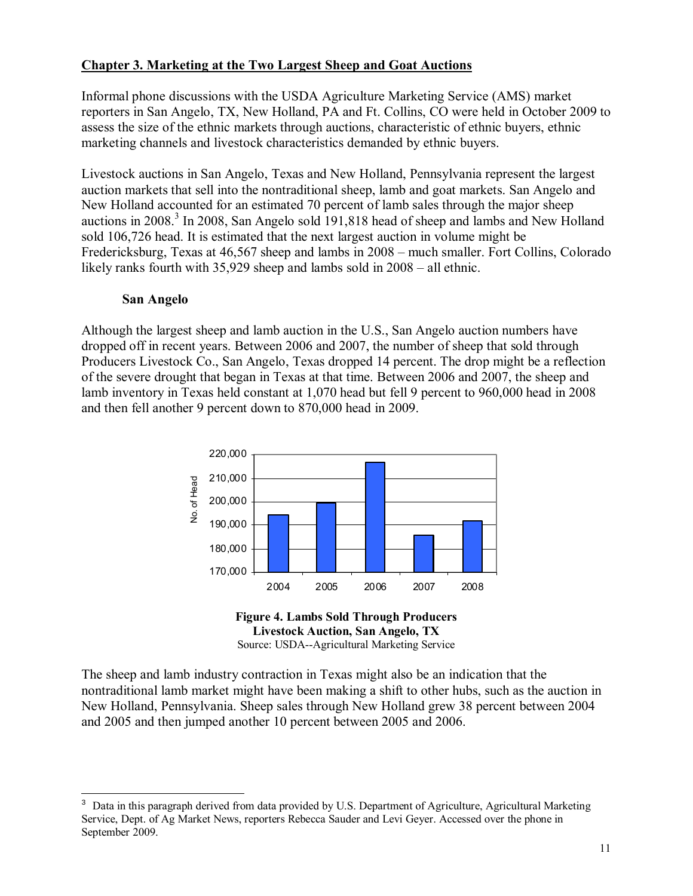### **Chapter 3. Marketing at the Two Largest Sheep and Goat Auctions**

Informal phone discussions with the USDA Agriculture Marketing Service (AMS) market reporters in San Angelo, TX, New Holland, PA and Ft. Collins, CO were held in October 2009 to assess the size of the ethnic markets through auctions, characteristic of ethnic buyers, ethnic marketing channels and livestock characteristics demanded by ethnic buyers.

Livestock auctions in San Angelo, Texas and New Holland, Pennsylvania represent the largest auction markets that sell into the nontraditional sheep, lamb and goat markets. San Angelo and New Holland accounted for an estimated 70 percent of lamb sales through the major sheep auctions in 2008.<sup>3</sup> In 2008, San Angelo sold 191,818 head of sheep and lambs and New Holland sold 106,726 head. It is estimated that the next largest auction in volume might be Fredericksburg, Texas at 46,567 sheep and lambs in 2008 – much smaller. Fort Collins, Colorado likely ranks fourth with  $35,929$  sheep and lambs sold in  $2008 -$  all ethnic.

#### **San Angelo**

-

Although the largest sheep and lamb auction in the U.S., San Angelo auction numbers have dropped off in recent years. Between 2006 and 2007, the number of sheep that sold through Producers Livestock Co., San Angelo, Texas dropped 14 percent. The drop might be a reflection of the severe drought that began in Texas at that time. Between 2006 and 2007, the sheep and lamb inventory in Texas held constant at 1,070 head but fell 9 percent to 960,000 head in 2008 and then fell another 9 percent down to 870,000 head in 2009.





The sheep and lamb industry contraction in Texas might also be an indication that the nontraditional lamb market might have been making a shift to other hubs, such as the auction in New Holland, Pennsylvania. Sheep sales through New Holland grew 38 percent between 2004 and 2005 and then jumped another 10 percent between 2005 and 2006.

<sup>&</sup>lt;sup>3</sup> Data in this paragraph derived from data provided by U.S. Department of Agriculture, Agricultural Marketing Service, Dept. of Ag Market News, reporters Rebecca Sauder and Levi Geyer. Accessed over the phone in September 2009.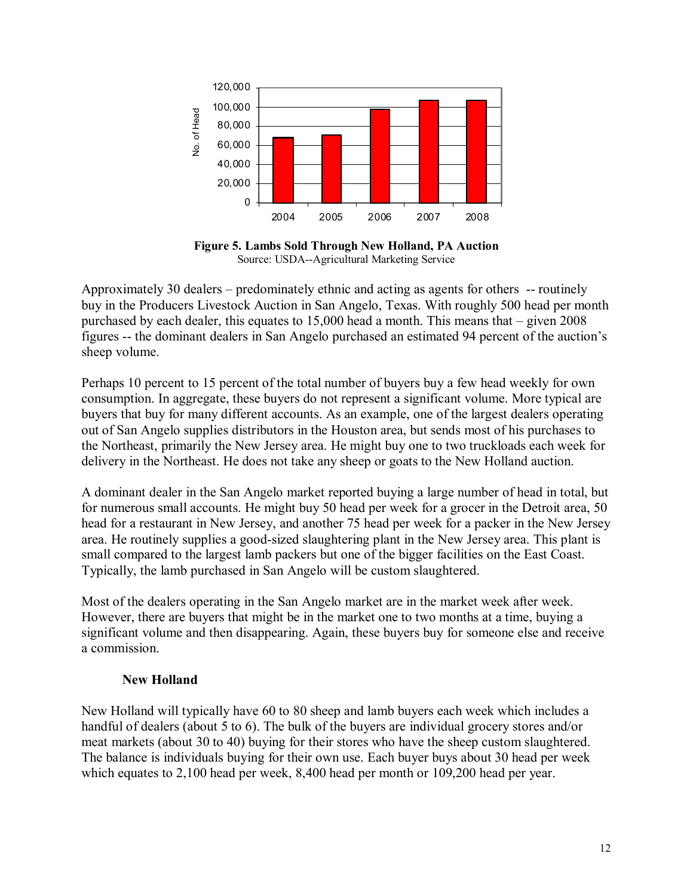

**Figure 5. Lambs Sold Through New Holland, PA Auction**  Source: USDA--Agricultural Marketing Service

Approximately 30 dealers  $-$  predominately ethnic and acting as agents for others  $-$  routinely buy in the Producers Livestock Auction in San Angelo, Texas. With roughly 500 head per month purchased by each dealer, this equates to  $15,000$  head a month. This means that  $-$  given 2008 figures -- the dominant dealers in San Angelo purchased an estimated 94 percent of the auction's sheep volume.

Perhaps 10 percent to 15 percent of the total number of buyers buy a few head weekly for own consumption. In aggregate, these buyers do not represent a significant volume. More typical are buyers that buy for many different accounts. As an example, one of the largest dealers operating out of San Angelo supplies distributors in the Houston area, but sends most of his purchases to the Northeast, primarily the New Jersey area. He might buy one to two truckloads each week for delivery in the Northeast. He does not take any sheep or goats to the New Holland auction.

A dominant dealer in the San Angelo market reported buying a large number of head in total, but for numerous small accounts. He might buy 50 head per week for a grocer in the Detroit area, 50 head for a restaurant in New Jersey, and another 75 head per week for a packer in the New Jersey area. He routinely supplies a good-sized slaughtering plant in the New Jersey area. This plant is small compared to the largest lamb packers but one of the bigger facilities on the East Coast. Typically, the lamb purchased in San Angelo will be custom slaughtered.

Most of the dealers operating in the San Angelo market are in the market week after week. However, there are buyers that might be in the market one to two months at a time, buying a significant volume and then disappearing. Again, these buyers buy for someone else and receive a commission.

#### **New Holland**

New Holland will typically have 60 to 80 sheep and lamb buyers each week which includes a handful of dealers (about 5 to 6). The bulk of the buyers are individual grocery stores and/or meat markets (about 30 to 40) buying for their stores who have the sheep custom slaughtered. The balance is individuals buying for their own use. Each buyer buys about 30 head per week which equates to 2,100 head per week, 8,400 head per month or 109,200 head per year.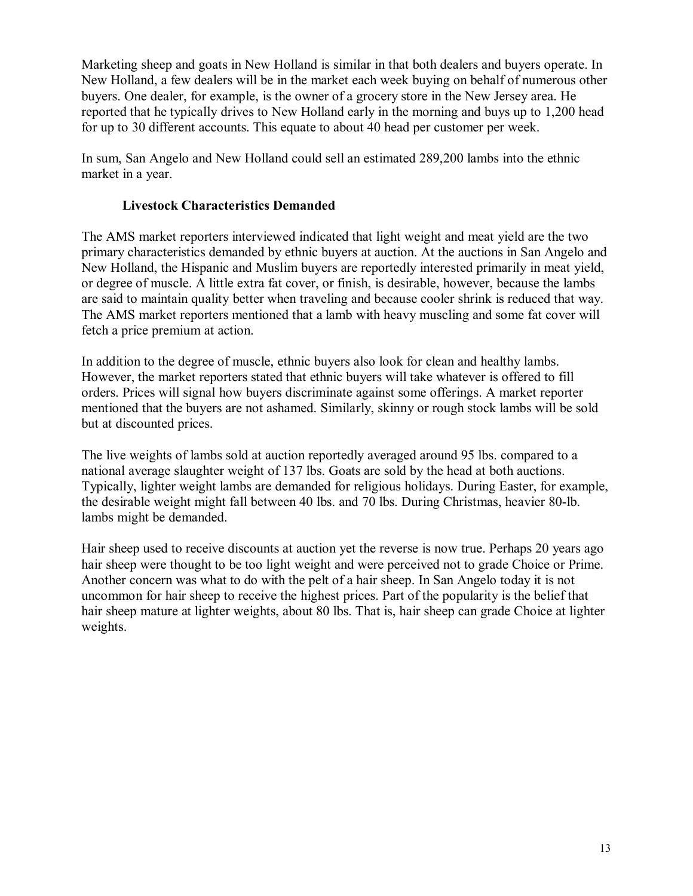Marketing sheep and goats in New Holland is similar in that both dealers and buyers operate. In New Holland, a few dealers will be in the market each week buying on behalf of numerous other buyers. One dealer, for example, is the owner of a grocery store in the New Jersey area. He reported that he typically drives to New Holland early in the morning and buys up to 1,200 head for up to 30 different accounts. This equate to about 40 head per customer per week.

In sum, San Angelo and New Holland could sell an estimated 289,200 lambs into the ethnic market in a year.

### **Livestock Characteristics Demanded**

The AMS market reporters interviewed indicated that light weight and meat yield are the two primary characteristics demanded by ethnic buyers at auction. At the auctions in San Angelo and New Holland, the Hispanic and Muslim buyers are reportedly interested primarily in meat yield, or degree of muscle. A little extra fat cover, or finish, is desirable, however, because the lambs are said to maintain quality better when traveling and because cooler shrink is reduced that way. The AMS market reporters mentioned that a lamb with heavy muscling and some fat cover will fetch a price premium at action.

In addition to the degree of muscle, ethnic buyers also look for clean and healthy lambs. However, the market reporters stated that ethnic buyers will take whatever is offered to fill orders. Prices will signal how buyers discriminate against some offerings. A market reporter mentioned that the buyers are not ashamed. Similarly, skinny or rough stock lambs will be sold but at discounted prices.

The live weights of lambs sold at auction reportedly averaged around 95 lbs. compared to a national average slaughter weight of 137 lbs. Goats are sold by the head at both auctions. Typically, lighter weight lambs are demanded for religious holidays. During Easter, for example, the desirable weight might fall between 40 lbs. and 70 lbs. During Christmas, heavier 80-lb. lambs might be demanded.

Hair sheep used to receive discounts at auction yet the reverse is now true. Perhaps 20 years ago hair sheep were thought to be too light weight and were perceived not to grade Choice or Prime. Another concern was what to do with the pelt of a hair sheep. In San Angelo today it is not uncommon for hair sheep to receive the highest prices. Part of the popularity is the belief that hair sheep mature at lighter weights, about 80 lbs. That is, hair sheep can grade Choice at lighter weights.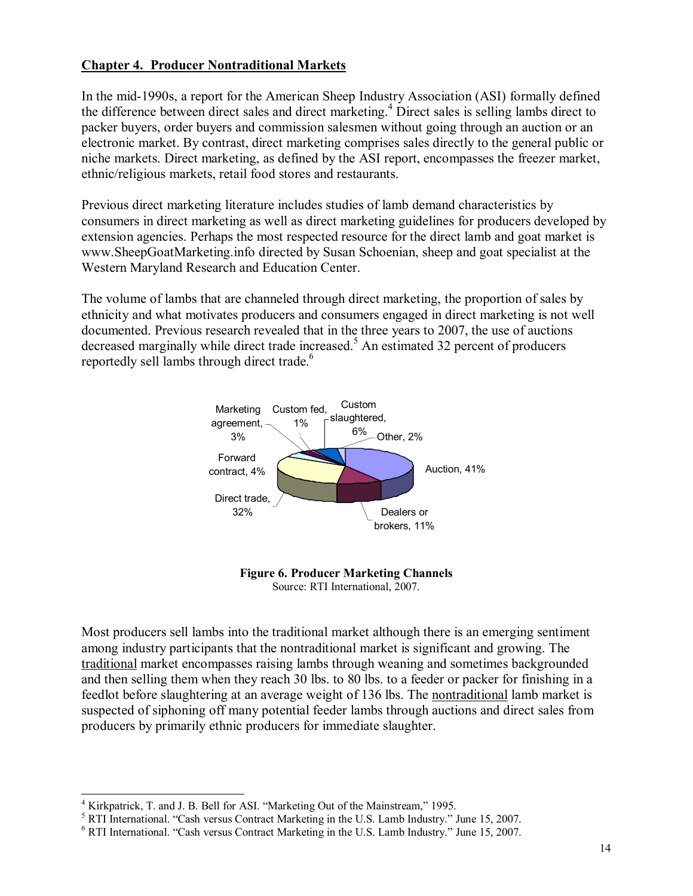#### **Chapter 4. Producer Nontraditional Markets**

In the mid-1990s, a report for the American Sheep Industry Association (ASI) formally defined the difference between direct sales and direct marketing.<sup>4</sup> Direct sales is selling lambs direct to packer buyers, order buyers and commission salesmen without going through an auction or an electronic market. By contrast, direct marketing comprises sales directly to the general public or niche markets. Direct marketing, as defined by the ASI report, encompasses the freezer market, ethnic/religious markets, retail food stores and restaurants.

Previous direct marketing literature includes studies of lamb demand characteristics by consumers in direct marketing as well as direct marketing guidelines for producers developed by extension agencies. Perhaps the most respected resource for the direct lamb and goat market is www.SheepGoatMarketing.info directed by Susan Schoenian, sheep and goat specialist at the Western Maryland Research and Education Center.

The volume of lambs that are channeled through direct marketing, the proportion of sales by ethnicity and what motivates producers and consumers engaged in direct marketing is not well documented. Previous research revealed that in the three years to 2007, the use of auctions decreased marginally while direct trade increased.<sup>5</sup> An estimated 32 percent of producers reportedly sell lambs through direct trade.<sup>6</sup>





Most producers sell lambs into the traditional market although there is an emerging sentiment among industry participants that the nontraditional market is significant and growing. The traditional market encompasses raising lambs through weaning and sometimes backgrounded and then selling them when they reach 30 lbs. to 80 lbs. to a feeder or packer for finishing in a feedlot before slaughtering at an average weight of 136 lbs. The nontraditional lamb market is suspected of siphoning off many potential feeder lambs through auctions and direct sales from producers by primarily ethnic producers for immediate slaughter.

 $\overline{a}$ 

<sup>4</sup> Kirkpatrick, T. and J. B. Bell for ASI. "Marketing Out of the Mainstream," 1995.

 $<sup>5</sup> RTI International. "Cash versus Contract Marketing in the U.S. Lamb Industry." June 15, 2007.$ </sup>

 $6$  RTI International. "Cash versus Contract Marketing in the U.S. Lamb Industry." June 15, 2007.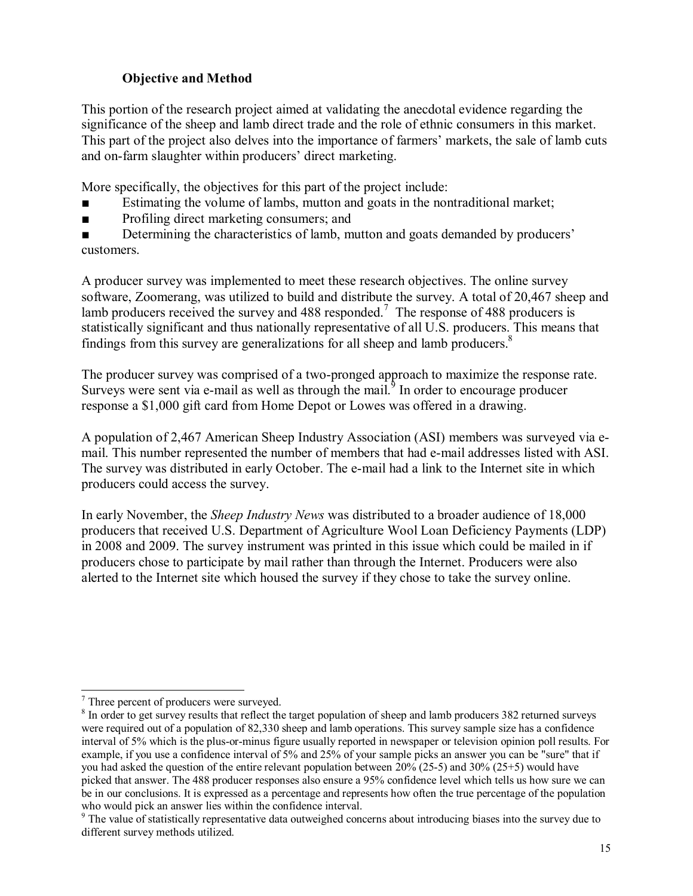## **Objective and Method**

This portion of the research project aimed at validating the anecdotal evidence regarding the significance of the sheep and lamb direct trade and the role of ethnic consumers in this market. This part of the project also delves into the importance of farmers' markets, the sale of lamb cuts and on-farm slaughter within producers' direct marketing.

More specifically, the objectives for this part of the project include:

- Estimating the volume of lambs, mutton and goats in the nontraditional market;
- Profiling direct marketing consumers; and
- Determining the characteristics of lamb, mutton and goats demanded by producers<sup>†</sup> customers.

A producer survey was implemented to meet these research objectives. The online survey software, Zoomerang, was utilized to build and distribute the survey. A total of 20,467 sheep and lamb producers received the survey and 488 responded.<sup>7</sup> The response of 488 producers is statistically significant and thus nationally representative of all U.S. producers. This means that findings from this survey are generalizations for all sheep and lamb producers.<sup>8</sup>

The producer survey was comprised of a two-pronged approach to maximize the response rate. Surveys were sent via e-mail as well as through the mail. $9$  In order to encourage producer response a \$1,000 gift card from Home Depot or Lowes was offered in a drawing.

A population of 2,467 American Sheep Industry Association (ASI) members was surveyed via email. This number represented the number of members that had e-mail addresses listed with ASI. The survey was distributed in early October. The e-mail had a link to the Internet site in which producers could access the survey.

In early November, the *Sheep Industry News* was distributed to a broader audience of 18,000 producers that received U.S. Department of Agriculture Wool Loan Deficiency Payments (LDP) in 2008 and 2009. The survey instrument was printed in this issue which could be mailed in if producers chose to participate by mail rather than through the Internet. Producers were also alerted to the Internet site which housed the survey if they chose to take the survey online.

 7 Three percent of producers were surveyed.

<sup>&</sup>lt;sup>8</sup> In order to get survey results that reflect the target population of sheep and lamb producers 382 returned surveys were required out of a population of 82,330 sheep and lamb operations. This survey sample size has a confidence interval of 5% which is the plus-or-minus figure usually reported in newspaper or television opinion poll results. For example, if you use a confidence interval of 5% and 25% of your sample picks an answer you can be "sure" that if you had asked the question of the entire relevant population between 20% (25-5) and 30% (25+5) would have picked that answer. The 488 producer responses also ensure a 95% confidence level which tells us how sure we can be in our conclusions. It is expressed as a percentage and represents how often the true percentage of the population who would pick an answer lies within the confidence interval.

<sup>&</sup>lt;sup>9</sup> The value of statistically representative data outweighed concerns about introducing biases into the survey due to different survey methods utilized.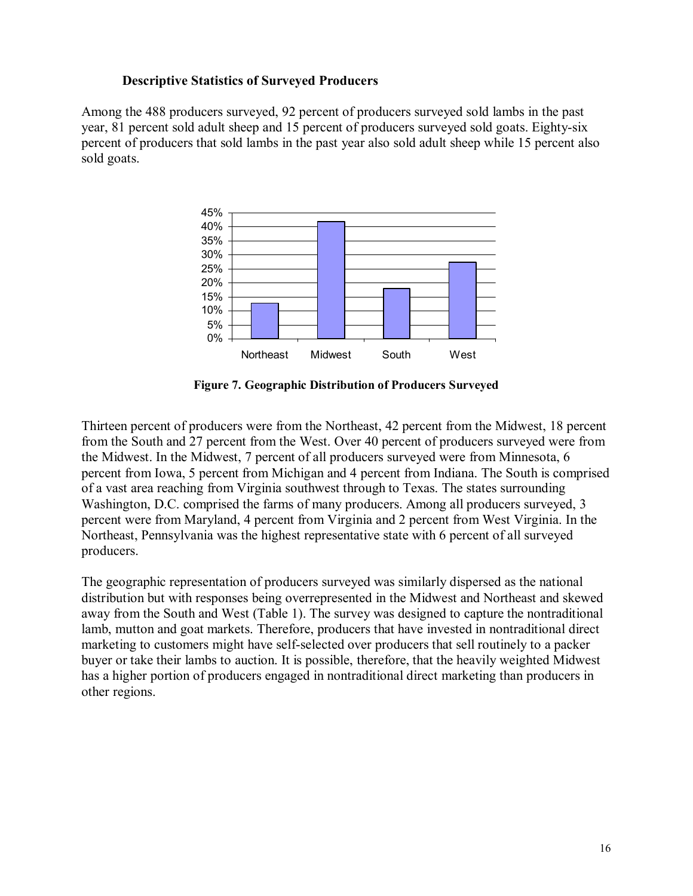#### **Descriptive Statistics of Surveyed Producers**

Among the 488 producers surveyed, 92 percent of producers surveyed sold lambs in the past year, 81 percent sold adult sheep and 15 percent of producers surveyed sold goats. Eighty-six percent of producers that sold lambs in the past year also sold adult sheep while 15 percent also sold goats.



**Figure 7. Geographic Distribution of Producers Surveyed** 

Thirteen percent of producers were from the Northeast, 42 percent from the Midwest, 18 percent from the South and 27 percent from the West. Over 40 percent of producers surveyed were from the Midwest. In the Midwest, 7 percent of all producers surveyed were from Minnesota, 6 percent from Iowa, 5 percent from Michigan and 4 percent from Indiana. The South is comprised of a vast area reaching from Virginia southwest through to Texas. The states surrounding Washington, D.C. comprised the farms of many producers. Among all producers surveyed, 3 percent were from Maryland, 4 percent from Virginia and 2 percent from West Virginia. In the Northeast, Pennsylvania was the highest representative state with 6 percent of all surveyed producers.

The geographic representation of producers surveyed was similarly dispersed as the national distribution but with responses being overrepresented in the Midwest and Northeast and skewed away from the South and West (Table 1). The survey was designed to capture the nontraditional lamb, mutton and goat markets. Therefore, producers that have invested in nontraditional direct marketing to customers might have self-selected over producers that sell routinely to a packer buyer or take their lambs to auction. It is possible, therefore, that the heavily weighted Midwest has a higher portion of producers engaged in nontraditional direct marketing than producers in other regions.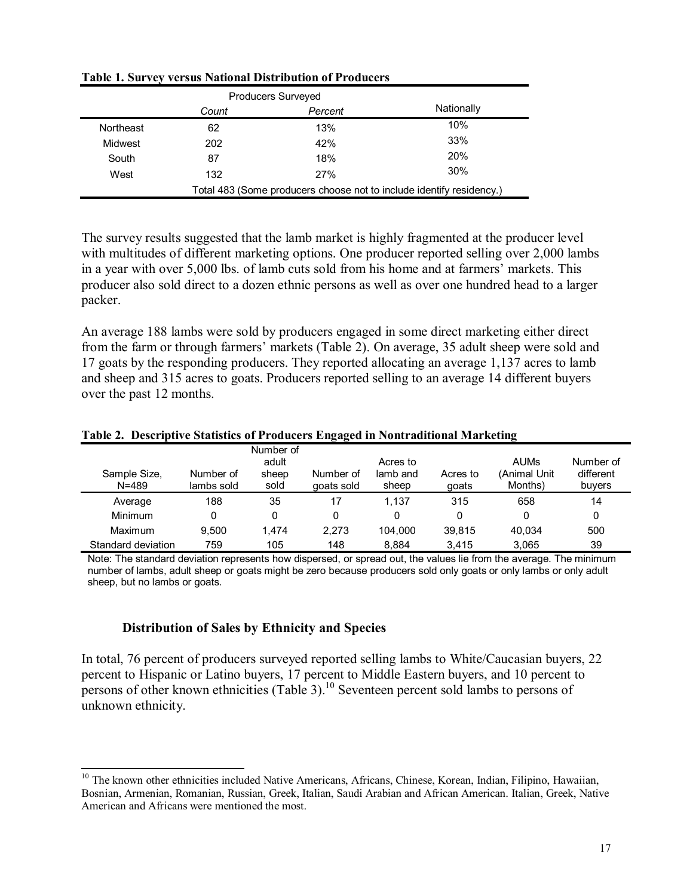|           | <b>Producers Surveyed</b> |                                                                      |            |
|-----------|---------------------------|----------------------------------------------------------------------|------------|
|           | Count                     | Percent                                                              | Nationally |
| Northeast | 62                        | 13%                                                                  | 10%        |
| Midwest   | 202                       | 42%                                                                  | 33%        |
| South     | 87                        | 18%                                                                  | <b>20%</b> |
| West      | 132                       | 27%                                                                  | 30%        |
|           |                           | Total 483 (Some producers choose not to include identify residency.) |            |

**Table 1. Survey versus National Distribution of Producers** 

The survey results suggested that the lamb market is highly fragmented at the producer level with multitudes of different marketing options. One producer reported selling over 2,000 lambs in a year with over 5,000 lbs. of lamb cuts sold from his home and at farmers' markets. This producer also sold direct to a dozen ethnic persons as well as over one hundred head to a larger packer.

An average 188 lambs were sold by producers engaged in some direct marketing either direct from the farm or through farmers' markets (Table 2). On average, 35 adult sheep were sold and 17 goats by the responding producers. They reported allocating an average 1,137 acres to lamb and sheep and 315 acres to goats. Producers reported selling to an average 14 different buyers over the past 12 months.

#### **Table 2. Descriptive Statistics of Producers Engaged in Nontraditional Marketing**

| Sample Size,<br>$N = 489$ | Number of<br>lambs sold | Number of<br>adult<br>sheep<br>sold | Number of<br>goats sold | Acres to<br>lamb and<br>sheep | Acres to<br>goats | <b>AUMs</b><br>(Animal Unit<br>Months) | Number of<br>different<br>buyers |
|---------------------------|-------------------------|-------------------------------------|-------------------------|-------------------------------|-------------------|----------------------------------------|----------------------------------|
| Average                   | 188                     | 35                                  |                         | 1.137                         | 315               | 658                                    | 14                               |
| Minimum                   | 0                       | 0                                   |                         |                               | 0                 | 0                                      | 0                                |
| Maximum                   | 9.500                   | 1.474                               | 2.273                   | 104.000                       | 39.815            | 40.034                                 | 500                              |
| Standard deviation        | 759                     | 105                                 | 148                     | 8.884                         | 3.415             | 3.065                                  | 39                               |

Note: The standard deviation represents how dispersed, or spread out, the values lie from the average. The minimum number of lambs, adult sheep or goats might be zero because producers sold only goats or only lambs or only adult sheep, but no lambs or goats.

#### **Distribution of Sales by Ethnicity and Species**

 $\overline{a}$ 

In total, 76 percent of producers surveyed reported selling lambs to White/Caucasian buyers, 22 percent to Hispanic or Latino buyers, 17 percent to Middle Eastern buyers, and 10 percent to persons of other known ethnicities (Table 3).<sup>10</sup> Seventeen percent sold lambs to persons of unknown ethnicity.

<sup>&</sup>lt;sup>10</sup> The known other ethnicities included Native Americans, Africans, Chinese, Korean, Indian, Filipino, Hawaiian, Bosnian, Armenian, Romanian, Russian, Greek, Italian, Saudi Arabian and African American. Italian, Greek, Native American and Africans were mentioned the most.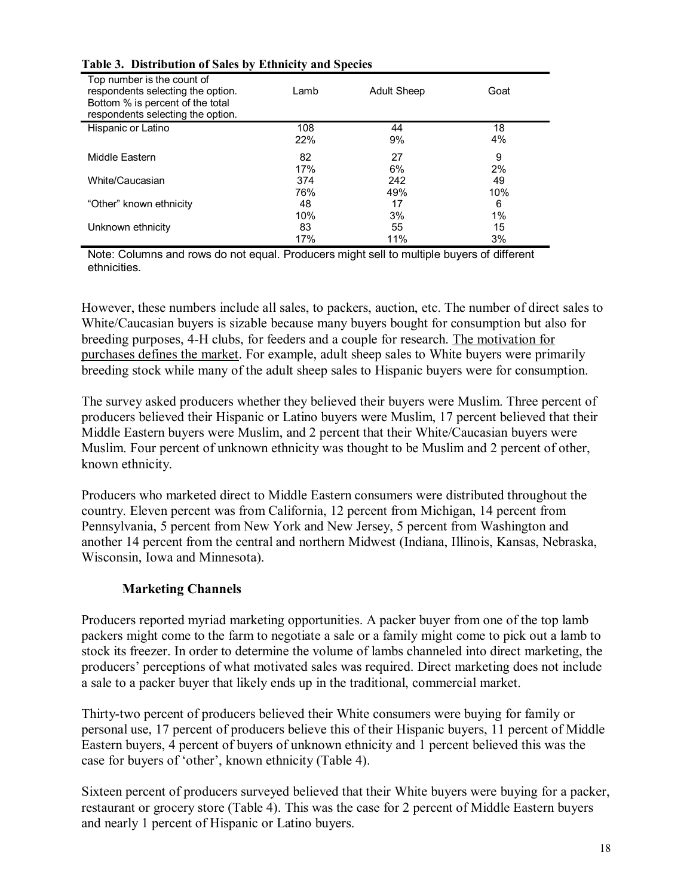|                                                                                                                                          | $\cdot$ |                    |       |
|------------------------------------------------------------------------------------------------------------------------------------------|---------|--------------------|-------|
| Top number is the count of<br>respondents selecting the option.<br>Bottom % is percent of the total<br>respondents selecting the option. | Lamb    | <b>Adult Sheep</b> | Goat  |
| Hispanic or Latino                                                                                                                       | 108     | 44                 | 18    |
|                                                                                                                                          | 22%     | 9%                 | 4%    |
|                                                                                                                                          |         |                    |       |
| Middle Eastern                                                                                                                           | 82      | 27                 | 9     |
|                                                                                                                                          | 17%     | 6%                 | 2%    |
| White/Caucasian                                                                                                                          | 374     | 242                | 49    |
|                                                                                                                                          | 76%     | 49%                | 10%   |
| "Other" known ethnicity                                                                                                                  | 48      | 17                 | 6     |
|                                                                                                                                          | 10%     | 3%                 | $1\%$ |
| Unknown ethnicity                                                                                                                        | 83      | 55                 | 15    |
|                                                                                                                                          | 17%     | 11%                | 3%    |

#### **Table 3. Distribution of Sales by Ethnicity and Species**

Note: Columns and rows do not equal. Producers might sell to multiple buyers of different ethnicities.

However, these numbers include all sales, to packers, auction, etc. The number of direct sales to White/Caucasian buyers is sizable because many buyers bought for consumption but also for breeding purposes, 4-H clubs, for feeders and a couple for research. The motivation for purchases defines the market. For example, adult sheep sales to White buyers were primarily breeding stock while many of the adult sheep sales to Hispanic buyers were for consumption.

The survey asked producers whether they believed their buyers were Muslim. Three percent of producers believed their Hispanic or Latino buyers were Muslim, 17 percent believed that their Middle Eastern buyers were Muslim, and 2 percent that their White/Caucasian buyers were Muslim. Four percent of unknown ethnicity was thought to be Muslim and 2 percent of other, known ethnicity.

Producers who marketed direct to Middle Eastern consumers were distributed throughout the country. Eleven percent was from California, 12 percent from Michigan, 14 percent from Pennsylvania, 5 percent from New York and New Jersey, 5 percent from Washington and another 14 percent from the central and northern Midwest (Indiana, Illinois, Kansas, Nebraska, Wisconsin, Iowa and Minnesota).

### **Marketing Channels**

Producers reported myriad marketing opportunities. A packer buyer from one of the top lamb packers might come to the farm to negotiate a sale or a family might come to pick out a lamb to stock its freezer. In order to determine the volume of lambs channeled into direct marketing, the producersí perceptions of what motivated sales was required. Direct marketing does not include a sale to a packer buyer that likely ends up in the traditional, commercial market.

Thirty-two percent of producers believed their White consumers were buying for family or personal use, 17 percent of producers believe this of their Hispanic buyers, 11 percent of Middle Eastern buyers, 4 percent of buyers of unknown ethnicity and 1 percent believed this was the case for buyers of 'other', known ethnicity (Table 4).

Sixteen percent of producers surveyed believed that their White buyers were buying for a packer, restaurant or grocery store (Table 4). This was the case for 2 percent of Middle Eastern buyers and nearly 1 percent of Hispanic or Latino buyers.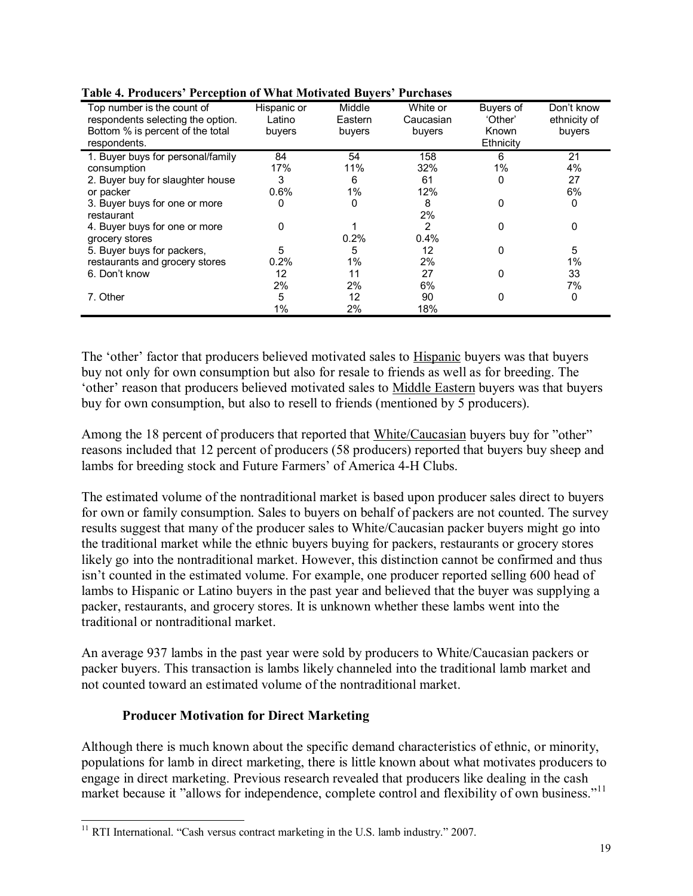| Tubic in Frounces - Ferception of What Mouvaled Duyers - Richardes |             |         |           |           |              |
|--------------------------------------------------------------------|-------------|---------|-----------|-----------|--------------|
| Top number is the count of                                         | Hispanic or | Middle  | White or  | Buvers of | Don't know   |
| respondents selecting the option.                                  | Latino      | Eastern | Caucasian | 'Other'   | ethnicity of |
| Bottom % is percent of the total                                   | buyers      | buyers  | buyers    | Known     | buyers       |
| respondents.                                                       |             |         |           | Ethnicity |              |
| 1. Buyer buys for personal/family                                  | 84          | 54      | 158       | 6         | 21           |
| consumption                                                        | 17%         | 11%     | 32%       | 1%        | 4%           |
| 2. Buyer buy for slaughter house                                   | 3           | 6       | 61        |           | 27           |
| or packer                                                          | 0.6%        | $1\%$   | 12%       |           | 6%           |
| 3. Buyer buys for one or more                                      | 0           | 0       | 8         | 0         | 0            |
| restaurant                                                         |             |         | 2%        |           |              |
| 4. Buyer buys for one or more                                      | 0           |         | 2         | 0         | 0            |
| grocery stores                                                     |             | 0.2%    | 0.4%      |           |              |
| 5. Buyer buys for packers,                                         | 5           | 5       | 12        | 0         | 5            |
| restaurants and grocery stores                                     | 0.2%        | 1%      | 2%        |           | 1%           |
| 6. Don't know                                                      | 12          | 11      | 27        |           | 33           |
|                                                                    | 2%          | 2%      | 6%        |           | 7%           |
| 7. Other                                                           | 5           | 12      | 90        |           | 0            |
|                                                                    | 1%          | 2%      | 18%       |           |              |

#### **Table 4. Producersí Perception of What Motivated Buyersí Purchases**

The 'other' factor that producers believed motivated sales to Hispanic buyers was that buyers buy not only for own consumption but also for resale to friends as well as for breeding. The 'other' reason that producers believed motivated sales to Middle Eastern buyers was that buyers buy for own consumption, but also to resell to friends (mentioned by 5 producers).

Among the 18 percent of producers that reported that White/Caucasian buyers buy for "other" reasons included that 12 percent of producers (58 producers) reported that buyers buy sheep and lambs for breeding stock and Future Farmers' of America 4-H Clubs.

The estimated volume of the nontraditional market is based upon producer sales direct to buyers for own or family consumption. Sales to buyers on behalf of packers are not counted. The survey results suggest that many of the producer sales to White/Caucasian packer buyers might go into the traditional market while the ethnic buyers buying for packers, restaurants or grocery stores likely go into the nontraditional market. However, this distinction cannot be confirmed and thus isn't counted in the estimated volume. For example, one producer reported selling 600 head of lambs to Hispanic or Latino buyers in the past year and believed that the buyer was supplying a packer, restaurants, and grocery stores. It is unknown whether these lambs went into the traditional or nontraditional market.

An average 937 lambs in the past year were sold by producers to White/Caucasian packers or packer buyers. This transaction is lambs likely channeled into the traditional lamb market and not counted toward an estimated volume of the nontraditional market.

### **Producer Motivation for Direct Marketing**

 $\overline{a}$ 

Although there is much known about the specific demand characteristics of ethnic, or minority, populations for lamb in direct marketing, there is little known about what motivates producers to engage in direct marketing. Previous research revealed that producers like dealing in the cash market because it "allows for independence, complete control and flexibility of own business."<sup>11</sup>

 $11$  RTI International. "Cash versus contract marketing in the U.S. lamb industry." 2007.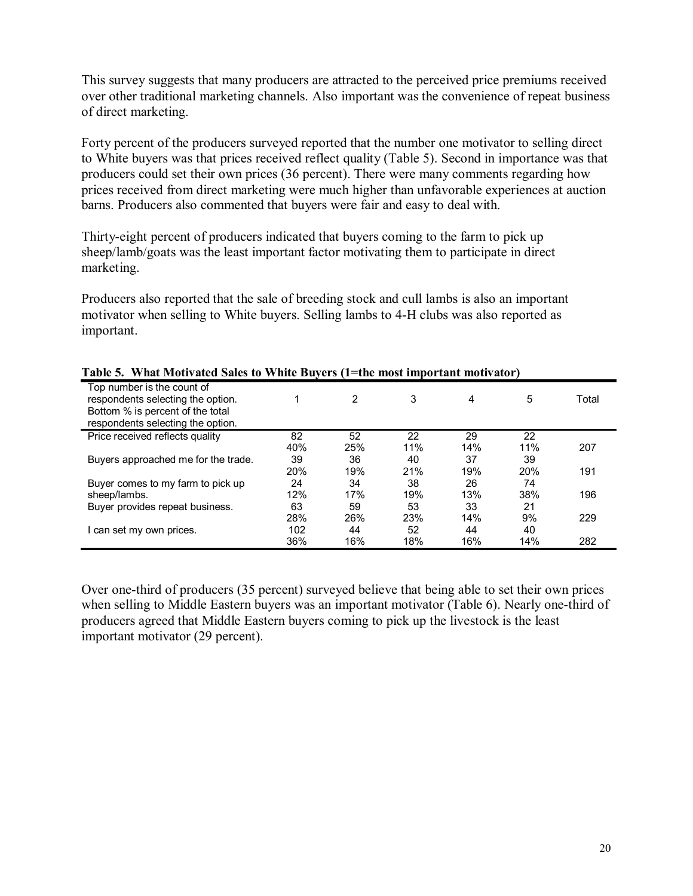This survey suggests that many producers are attracted to the perceived price premiums received over other traditional marketing channels. Also important was the convenience of repeat business of direct marketing.

Forty percent of the producers surveyed reported that the number one motivator to selling direct to White buyers was that prices received reflect quality (Table 5). Second in importance was that producers could set their own prices (36 percent). There were many comments regarding how prices received from direct marketing were much higher than unfavorable experiences at auction barns. Producers also commented that buyers were fair and easy to deal with.

Thirty-eight percent of producers indicated that buyers coming to the farm to pick up sheep/lamb/goats was the least important factor motivating them to participate in direct marketing.

Producers also reported that the sale of breeding stock and cull lambs is also an important motivator when selling to White buyers. Selling lambs to 4-H clubs was also reported as important.

| Table 5. - What Mouvaled Sales to "While Duyers (1—the most hilportant mouvalor)                                                         |            |     |     |     |            |       |
|------------------------------------------------------------------------------------------------------------------------------------------|------------|-----|-----|-----|------------|-------|
| Top number is the count of<br>respondents selecting the option.<br>Bottom % is percent of the total<br>respondents selecting the option. |            | 2   | 3   | 4   | 5          | Total |
| Price received reflects quality                                                                                                          | 82         | 52  | 22  | 29  | 22         |       |
|                                                                                                                                          | 40%        | 25% | 11% | 14% | 11%        | 207   |
| Buyers approached me for the trade.                                                                                                      | 39         | 36  | 40  | 37  | 39         |       |
|                                                                                                                                          | <b>20%</b> | 19% | 21% | 19% | <b>20%</b> | 191   |
| Buyer comes to my farm to pick up                                                                                                        | 24         | 34  | 38  | 26  | 74         |       |
| sheep/lambs.                                                                                                                             | 12%        | 17% | 19% | 13% | 38%        | 196   |
| Buyer provides repeat business.                                                                                                          | 63         | 59  | 53  | 33  | 21         |       |
|                                                                                                                                          | 28%        | 26% | 23% | 14% | 9%         | 229   |
| l can set my own prices.                                                                                                                 | 102        | 44  | 52  | 44  | 40         |       |
|                                                                                                                                          | 36%        | 16% | 18% | 16% | 14%        | 282   |

**Table 5. What Motivated Sales to White Buyers (1=the most important motivator)** 

Over one-third of producers (35 percent) surveyed believe that being able to set their own prices when selling to Middle Eastern buyers was an important motivator (Table 6). Nearly one-third of producers agreed that Middle Eastern buyers coming to pick up the livestock is the least important motivator (29 percent).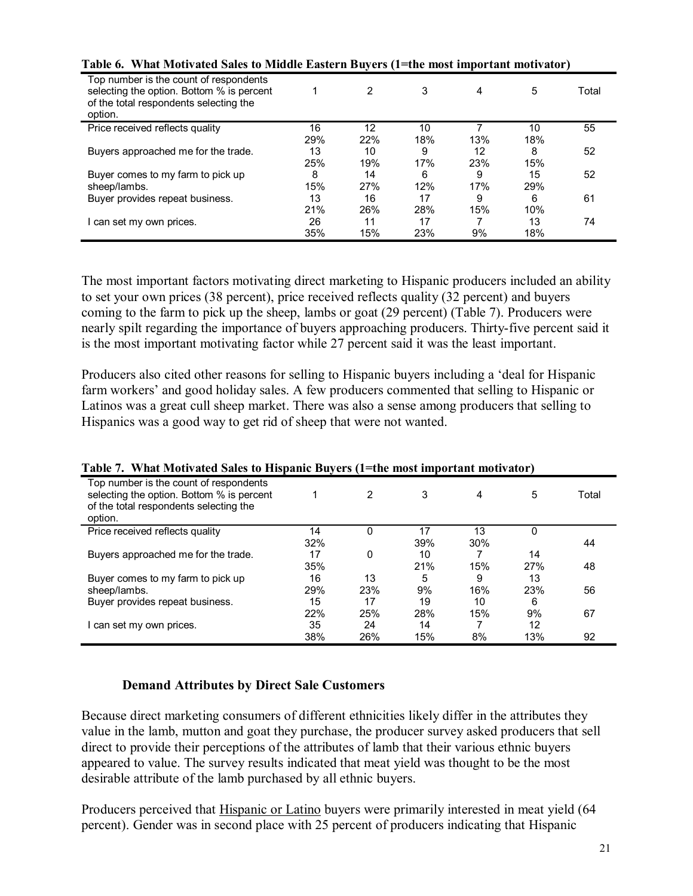| Table 0.     W hat infully ated safes to influtte laster if Duyer's (1—the most hilpof tant motivator)                                   |     |     |     |     |     |       |
|------------------------------------------------------------------------------------------------------------------------------------------|-----|-----|-----|-----|-----|-------|
| Top number is the count of respondents<br>selecting the option. Bottom % is percent<br>of the total respondents selecting the<br>option. |     |     | 3   | 4   | 5   | Total |
| Price received reflects quality                                                                                                          | 16  | 12  | 10  |     | 10  | 55    |
|                                                                                                                                          | 29% | 22% | 18% | 13% | 18% |       |
| Buyers approached me for the trade.                                                                                                      | 13  | 10  | 9   | 12  | 8   | 52    |
|                                                                                                                                          | 25% | 19% | 17% | 23% | 15% |       |
| Buyer comes to my farm to pick up                                                                                                        | 8   | 14  | 6   | 9   | 15  | 52    |
| sheep/lambs.                                                                                                                             | 15% | 27% | 12% | 17% | 29% |       |
| Buyer provides repeat business.                                                                                                          | 13  | 16  | 17  | 9   | 6   | 61    |
|                                                                                                                                          | 21% | 26% | 28% | 15% | 10% |       |
| can set my own prices.                                                                                                                   | 26  | 11  | 17  |     | 13  | 74    |
|                                                                                                                                          | 35% | 15% | 23% | 9%  | 18% |       |

#### Table 6. What Mativated Sales to Middle Eastern Buyers (1+the motor)

The most important factors motivating direct marketing to Hispanic producers included an ability to set your own prices (38 percent), price received reflects quality (32 percent) and buyers coming to the farm to pick up the sheep, lambs or goat (29 percent) (Table 7). Producers were nearly spilt regarding the importance of buyers approaching producers. Thirty-five percent said it is the most important motivating factor while 27 percent said it was the least important.

Producers also cited other reasons for selling to Hispanic buyers including a 'deal for Hispanic farm workers' and good holiday sales. A few producers commented that selling to Hispanic or Latinos was a great cull sheep market. There was also a sense among producers that selling to Hispanics was a good way to get rid of sheep that were not wanted.

|                                                                                                                                          | radic 7. - venat brotivatcu Saics to riispanic Duycrs (r. the most important motivator) |     |     |     |     |       |  |  |  |  |
|------------------------------------------------------------------------------------------------------------------------------------------|-----------------------------------------------------------------------------------------|-----|-----|-----|-----|-------|--|--|--|--|
| Top number is the count of respondents<br>selecting the option. Bottom % is percent<br>of the total respondents selecting the<br>option. |                                                                                         |     | 3   | 4   | 5   | Total |  |  |  |  |
| Price received reflects quality                                                                                                          | 14                                                                                      | 0   | 17  | 13  | 0   |       |  |  |  |  |
|                                                                                                                                          | 32%                                                                                     |     | 39% | 30% |     | 44    |  |  |  |  |
| Buyers approached me for the trade.                                                                                                      | 17                                                                                      | 0   | 10  |     | 14  |       |  |  |  |  |
|                                                                                                                                          | 35%                                                                                     |     | 21% | 15% | 27% | 48    |  |  |  |  |
| Buyer comes to my farm to pick up                                                                                                        | 16                                                                                      | 13  | 5   | 9   | 13  |       |  |  |  |  |
| sheep/lambs.                                                                                                                             | 29%                                                                                     | 23% | 9%  | 16% | 23% | 56    |  |  |  |  |
| Buyer provides repeat business.                                                                                                          | 15                                                                                      | 17  | 19  | 10  | 6   |       |  |  |  |  |
|                                                                                                                                          | 22%                                                                                     | 25% | 28% | 15% | 9%  | 67    |  |  |  |  |
| can set my own prices.                                                                                                                   | 35                                                                                      | 24  | 14  |     | 12  |       |  |  |  |  |
|                                                                                                                                          | 38%                                                                                     | 26% | 15% | 8%  | 13% | 92    |  |  |  |  |

#### **Table 7. What Motivated Sales to Hispanic Buyers (1=the most important motivator)**

### **Demand Attributes by Direct Sale Customers**

Because direct marketing consumers of different ethnicities likely differ in the attributes they value in the lamb, mutton and goat they purchase, the producer survey asked producers that sell direct to provide their perceptions of the attributes of lamb that their various ethnic buyers appeared to value. The survey results indicated that meat yield was thought to be the most desirable attribute of the lamb purchased by all ethnic buyers.

Producers perceived that Hispanic or Latino buyers were primarily interested in meat yield (64 percent). Gender was in second place with 25 percent of producers indicating that Hispanic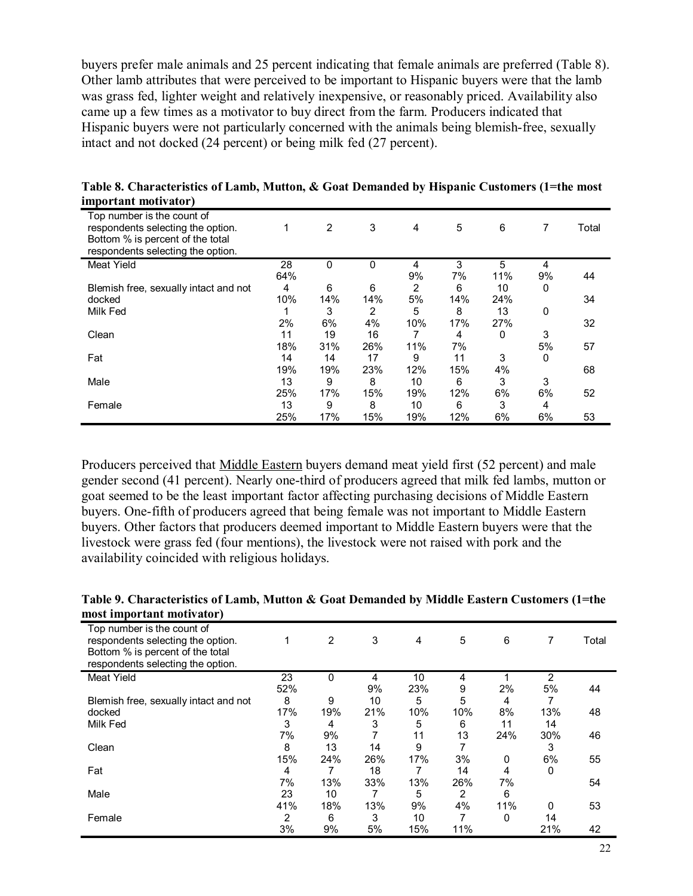buyers prefer male animals and 25 percent indicating that female animals are preferred (Table 8). Other lamb attributes that were perceived to be important to Hispanic buyers were that the lamb was grass fed, lighter weight and relatively inexpensive, or reasonably priced. Availability also came up a few times as a motivator to buy direct from the farm. Producers indicated that Hispanic buyers were not particularly concerned with the animals being blemish-free, sexually intact and not docked (24 percent) or being milk fed (27 percent).

| Top number is the count of<br>respondents selecting the option.<br>Bottom % is percent of the total<br>respondents selecting the option. |     | 2   | 3   | 4   | 5   | 6   | 7  | Total |
|------------------------------------------------------------------------------------------------------------------------------------------|-----|-----|-----|-----|-----|-----|----|-------|
| <b>Meat Yield</b>                                                                                                                        | 28  | 0   | 0   | 4   | 3   | 5   | 4  |       |
|                                                                                                                                          | 64% |     |     | 9%  | 7%  | 11% | 9% | 44    |
| Blemish free, sexually intact and not                                                                                                    | 4   | 6   | 6   | 2   | 6   | 10  | 0  |       |
| docked                                                                                                                                   | 10% | 14% | 14% | 5%  | 14% | 24% |    | 34    |
| Milk Fed                                                                                                                                 |     | 3   | 2   | 5   | 8   | 13  | 0  |       |
|                                                                                                                                          | 2%  | 6%  | 4%  | 10% | 17% | 27% |    | 32    |
| Clean                                                                                                                                    | 11  | 19  | 16  |     | 4   | 0   | 3  |       |
|                                                                                                                                          | 18% | 31% | 26% | 11% | 7%  |     | 5% | 57    |
| Fat                                                                                                                                      | 14  | 14  | 17  | 9   | 11  | 3   | 0  |       |
|                                                                                                                                          | 19% | 19% | 23% | 12% | 15% | 4%  |    | 68    |
| Male                                                                                                                                     | 13  | 9   | 8   | 10  | 6   | 3   | 3  |       |
|                                                                                                                                          | 25% | 17% | 15% | 19% | 12% | 6%  | 6% | 52    |
| Female                                                                                                                                   | 13  | 9   | 8   | 10  | 6   | 3   | 4  |       |
|                                                                                                                                          | 25% | 17% | 15% | 19% | 12% | 6%  | 6% | 53    |

**Table 8. Characteristics of Lamb, Mutton, & Goat Demanded by Hispanic Customers (1=the most important motivator)** 

Producers perceived that Middle Eastern buyers demand meat yield first (52 percent) and male gender second (41 percent). Nearly one-third of producers agreed that milk fed lambs, mutton or goat seemed to be the least important factor affecting purchasing decisions of Middle Eastern buyers. One-fifth of producers agreed that being female was not important to Middle Eastern buyers. Other factors that producers deemed important to Middle Eastern buyers were that the livestock were grass fed (four mentions), the livestock were not raised with pork and the availability coincided with religious holidays.

**Table 9. Characteristics of Lamb, Mutton & Goat Demanded by Middle Eastern Customers (1=the most important motivator)** 

| $\frac{1}{2}$                                                                                                                            |     |     |     |     |     |     |     |       |
|------------------------------------------------------------------------------------------------------------------------------------------|-----|-----|-----|-----|-----|-----|-----|-------|
| Top number is the count of<br>respondents selecting the option.<br>Bottom % is percent of the total<br>respondents selecting the option. |     | 2   | 3   | 4   | 5   | 6   | 7   | Total |
| <b>Meat Yield</b>                                                                                                                        | 23  | 0   | 4   | 10  | 4   |     | 2   |       |
|                                                                                                                                          | 52% |     | 9%  | 23% | 9   | 2%  | 5%  | 44    |
| Blemish free, sexually intact and not                                                                                                    | 8   | 9   | 10  | 5   | 5   | 4   |     |       |
| docked                                                                                                                                   | 17% | 19% | 21% | 10% | 10% | 8%  | 13% | 48    |
| Milk Fed                                                                                                                                 | 3   | 4   | 3   | 5   | 6   | 11  | 14  |       |
|                                                                                                                                          | 7%  | 9%  |     | 11  | 13  | 24% | 30% | 46    |
| Clean                                                                                                                                    | 8   | 13  | 14  | 9   |     |     | 3   |       |
|                                                                                                                                          | 15% | 24% | 26% | 17% | 3%  | 0   | 6%  | 55    |
| Fat                                                                                                                                      | 4   |     | 18  |     | 14  | 4   | 0   |       |
|                                                                                                                                          | 7%  | 13% | 33% | 13% | 26% | 7%  |     | 54    |
| Male                                                                                                                                     | 23  | 10  |     | 5   | 2   | 6   |     |       |
|                                                                                                                                          | 41% | 18% | 13% | 9%  | 4%  | 11% | 0   | 53    |
| Female                                                                                                                                   | 2   | 6   | 3   | 10  |     | 0   | 14  |       |
|                                                                                                                                          | 3%  | 9%  | 5%  | 15% | 11% |     | 21% | 42    |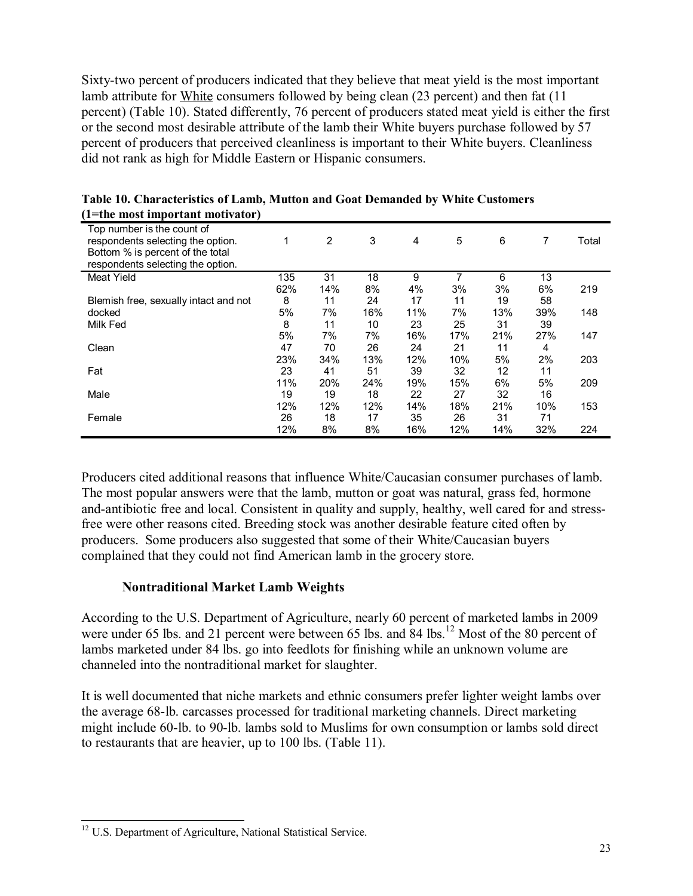Sixty-two percent of producers indicated that they believe that meat yield is the most important lamb attribute for White consumers followed by being clean (23 percent) and then fat (11 percent) (Table 10). Stated differently, 76 percent of producers stated meat yield is either the first or the second most desirable attribute of the lamb their White buyers purchase followed by 57 percent of producers that perceived cleanliness is important to their White buyers. Cleanliness did not rank as high for Middle Eastern or Hispanic consumers.

| I=the most important motivator)                                                                                                          |     |                |     |     |     |     |     |       |
|------------------------------------------------------------------------------------------------------------------------------------------|-----|----------------|-----|-----|-----|-----|-----|-------|
| Top number is the count of<br>respondents selecting the option.<br>Bottom % is percent of the total<br>respondents selecting the option. |     | $\overline{2}$ | 3   | 4   | 5   | 6   | 7   | Total |
| <b>Meat Yield</b>                                                                                                                        | 135 | 31             | 18  | 9   |     | 6   | 13  |       |
|                                                                                                                                          | 62% | 14%            | 8%  | 4%  | 3%  | 3%  | 6%  | 219   |
| Blemish free, sexually intact and not                                                                                                    | 8   | 11             | 24  | 17  | 11  | 19  | 58  |       |
| docked                                                                                                                                   | 5%  | 7%             | 16% | 11% | 7%  | 13% | 39% | 148   |
| Milk Fed                                                                                                                                 | 8   | 11             | 10  | 23  | 25  | 31  | 39  |       |
|                                                                                                                                          | 5%  | 7%             | 7%  | 16% | 17% | 21% | 27% | 147   |
| Clean                                                                                                                                    | 47  | 70             | 26  | 24  | 21  | 11  | 4   |       |
|                                                                                                                                          | 23% | 34%            | 13% | 12% | 10% | 5%  | 2%  | 203   |
| Fat                                                                                                                                      | 23  | 41             | 51  | 39  | 32  | 12  | 11  |       |
|                                                                                                                                          | 11% | 20%            | 24% | 19% | 15% | 6%  | 5%  | 209   |
| Male                                                                                                                                     | 19  | 19             | 18  | 22  | 27  | 32  | 16  |       |
|                                                                                                                                          | 12% | 12%            | 12% | 14% | 18% | 21% | 10% | 153   |
| Female                                                                                                                                   | 26  | 18             | 17  | 35  | 26  | 31  | 71  |       |
|                                                                                                                                          | 12% | 8%             | 8%  | 16% | 12% | 14% | 32% | 224   |

**Table 10. Characteristics of Lamb, Mutton and Goat Demanded by White Customers (1=the most important motivator)** 

Producers cited additional reasons that influence White/Caucasian consumer purchases of lamb. The most popular answers were that the lamb, mutton or goat was natural, grass fed, hormone and-antibiotic free and local. Consistent in quality and supply, healthy, well cared for and stressfree were other reasons cited. Breeding stock was another desirable feature cited often by producers. Some producers also suggested that some of their White/Caucasian buyers complained that they could not find American lamb in the grocery store.

### **Nontraditional Market Lamb Weights**

According to the U.S. Department of Agriculture, nearly 60 percent of marketed lambs in 2009 were under 65 lbs. and 21 percent were between 65 lbs. and 84 lbs.<sup>12</sup> Most of the 80 percent of lambs marketed under 84 lbs. go into feedlots for finishing while an unknown volume are channeled into the nontraditional market for slaughter.

It is well documented that niche markets and ethnic consumers prefer lighter weight lambs over the average 68-lb. carcasses processed for traditional marketing channels. Direct marketing might include 60-lb. to 90-lb. lambs sold to Muslims for own consumption or lambs sold direct to restaurants that are heavier, up to 100 lbs. (Table 11).

 $\overline{a}$ <sup>12</sup> U.S. Department of Agriculture, National Statistical Service.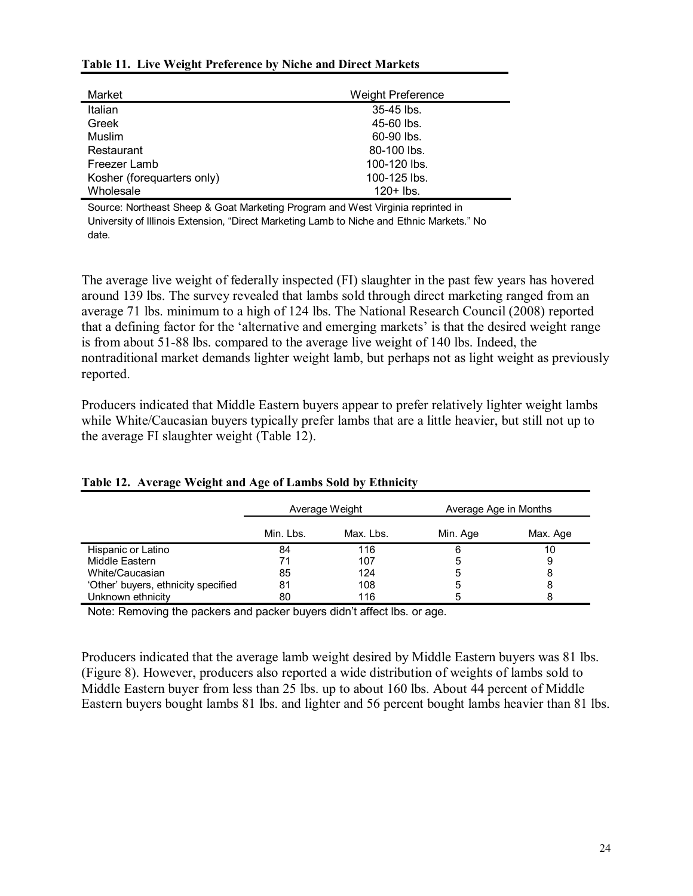#### **Table 11. Live Weight Preference by Niche and Direct Markets**

| Market                     | <b>Weight Preference</b> |  |  |
|----------------------------|--------------------------|--|--|
| Italian                    | 35-45 lbs.               |  |  |
| Greek                      | 45-60 lbs.               |  |  |
| Muslim                     | 60-90 lbs.               |  |  |
| Restaurant                 | 80-100 lbs.              |  |  |
| Freezer Lamb               | 100-120 lbs.             |  |  |
| Kosher (forequarters only) | 100-125 lbs.             |  |  |
| Wholesale                  | $120+$ lbs.              |  |  |

Source: Northeast Sheep & Goat Marketing Program and West Virginia reprinted in University of Illinois Extension, "Direct Marketing Lamb to Niche and Ethnic Markets." No date.

The average live weight of federally inspected (FI) slaughter in the past few years has hovered around 139 lbs. The survey revealed that lambs sold through direct marketing ranged from an average 71 lbs. minimum to a high of 124 lbs. The National Research Council (2008) reported that a defining factor for the 'alternative and emerging markets' is that the desired weight range is from about 51-88 lbs. compared to the average live weight of 140 lbs. Indeed, the nontraditional market demands lighter weight lamb, but perhaps not as light weight as previously reported.

Producers indicated that Middle Eastern buyers appear to prefer relatively lighter weight lambs while White/Caucasian buyers typically prefer lambs that are a little heavier, but still not up to the average FI slaughter weight (Table 12).

|                                     |           | Average Weight | Average Age in Months |          |  |
|-------------------------------------|-----------|----------------|-----------------------|----------|--|
|                                     | Min. Lbs. | Max. Lbs.      | Min. Age              | Max. Age |  |
| Hispanic or Latino                  | 84        | 116            | 6                     | 10       |  |
| Middle Eastern                      | 71        | 107            | 5                     | 9        |  |
| White/Caucasian                     | 85        | 124            | 5                     | 8        |  |
| 'Other' buyers, ethnicity specified | 81        | 108            | 5                     | 8        |  |
| Unknown ethnicity                   | 80        | 116            | 5                     |          |  |

#### **Table 12. Average Weight and Age of Lambs Sold by Ethnicity**

Note: Removing the packers and packer buyers didn't affect lbs. or age.

Producers indicated that the average lamb weight desired by Middle Eastern buyers was 81 lbs. (Figure 8). However, producers also reported a wide distribution of weights of lambs sold to Middle Eastern buyer from less than 25 lbs. up to about 160 lbs. About 44 percent of Middle Eastern buyers bought lambs 81 lbs. and lighter and 56 percent bought lambs heavier than 81 lbs.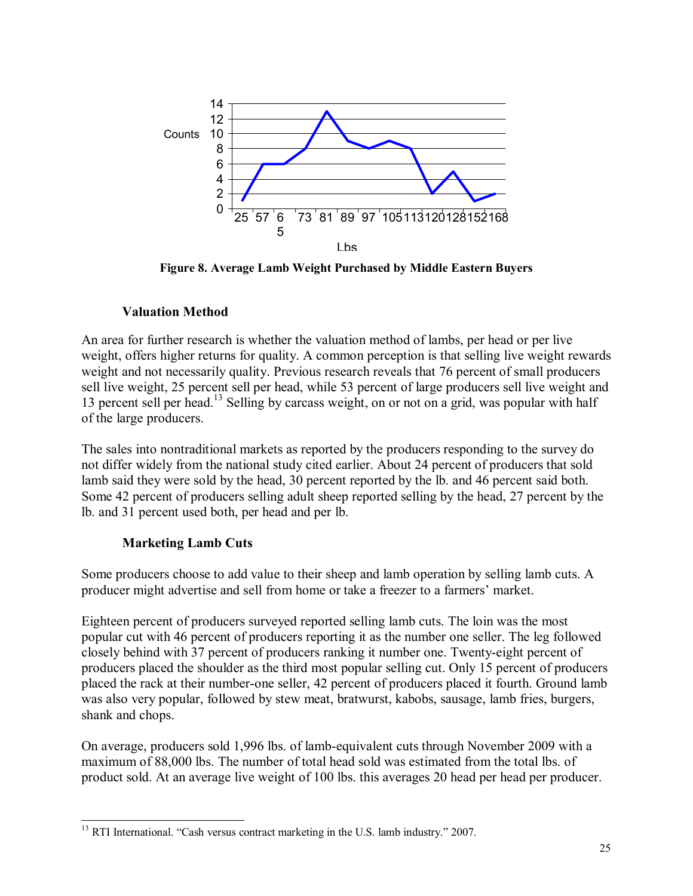

**Figure 8. Average Lamb Weight Purchased by Middle Eastern Buyers** 

## **Valuation Method**

An area for further research is whether the valuation method of lambs, per head or per live weight, offers higher returns for quality. A common perception is that selling live weight rewards weight and not necessarily quality. Previous research reveals that 76 percent of small producers sell live weight, 25 percent sell per head, while 53 percent of large producers sell live weight and 13 percent sell per head.13 Selling by carcass weight, on or not on a grid, was popular with half of the large producers.

The sales into nontraditional markets as reported by the producers responding to the survey do not differ widely from the national study cited earlier. About 24 percent of producers that sold lamb said they were sold by the head, 30 percent reported by the lb. and 46 percent said both. Some 42 percent of producers selling adult sheep reported selling by the head, 27 percent by the lb. and 31 percent used both, per head and per lb.

# **Marketing Lamb Cuts**

Some producers choose to add value to their sheep and lamb operation by selling lamb cuts. A producer might advertise and sell from home or take a freezer to a farmers' market.

Eighteen percent of producers surveyed reported selling lamb cuts. The loin was the most popular cut with 46 percent of producers reporting it as the number one seller. The leg followed closely behind with 37 percent of producers ranking it number one. Twenty-eight percent of producers placed the shoulder as the third most popular selling cut. Only 15 percent of producers placed the rack at their number-one seller, 42 percent of producers placed it fourth. Ground lamb was also very popular, followed by stew meat, bratwurst, kabobs, sausage, lamb fries, burgers, shank and chops.

On average, producers sold 1,996 lbs. of lamb-equivalent cuts through November 2009 with a maximum of 88,000 lbs. The number of total head sold was estimated from the total lbs. of product sold. At an average live weight of 100 lbs. this averages 20 head per head per producer.

 $\overline{a}$  $13$  RTI International. "Cash versus contract marketing in the U.S. lamb industry." 2007.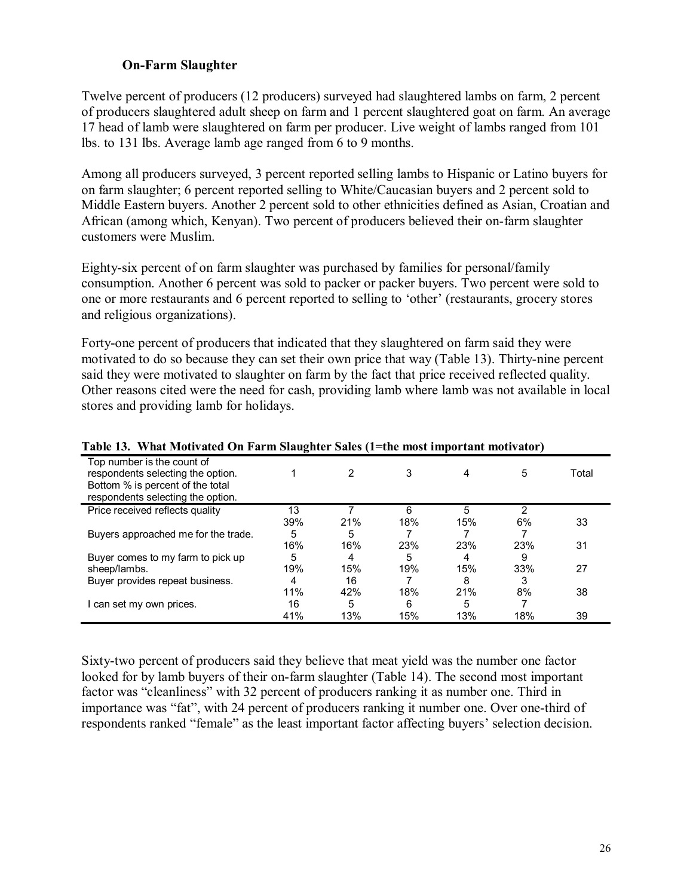### **On-Farm Slaughter**

Twelve percent of producers (12 producers) surveyed had slaughtered lambs on farm, 2 percent of producers slaughtered adult sheep on farm and 1 percent slaughtered goat on farm. An average 17 head of lamb were slaughtered on farm per producer. Live weight of lambs ranged from 101 lbs. to 131 lbs. Average lamb age ranged from 6 to 9 months.

Among all producers surveyed, 3 percent reported selling lambs to Hispanic or Latino buyers for on farm slaughter; 6 percent reported selling to White/Caucasian buyers and 2 percent sold to Middle Eastern buyers. Another 2 percent sold to other ethnicities defined as Asian, Croatian and African (among which, Kenyan). Two percent of producers believed their on-farm slaughter customers were Muslim.

Eighty-six percent of on farm slaughter was purchased by families for personal/family consumption. Another 6 percent was sold to packer or packer buyers. Two percent were sold to one or more restaurants and 6 percent reported to selling to 'other' (restaurants, grocery stores and religious organizations).

Forty-one percent of producers that indicated that they slaughtered on farm said they were motivated to do so because they can set their own price that way (Table 13). Thirty-nine percent said they were motivated to slaughter on farm by the fact that price received reflected quality. Other reasons cited were the need for cash, providing lamb where lamb was not available in local stores and providing lamb for holidays.

| Table 15.   What Mouvated On Farm Staughter Sales (1–the most hilportant mouvator)                                                       |     |     |     |     |     |       |
|------------------------------------------------------------------------------------------------------------------------------------------|-----|-----|-----|-----|-----|-------|
| Top number is the count of<br>respondents selecting the option.<br>Bottom % is percent of the total<br>respondents selecting the option. |     | 2   | 3   |     | 5   | Total |
| Price received reflects quality                                                                                                          | 13  |     | 6   | 5   |     |       |
|                                                                                                                                          | 39% | 21% | 18% | 15% | 6%  | 33    |
| Buyers approached me for the trade.                                                                                                      | 5   | 5   |     |     |     |       |
|                                                                                                                                          | 16% | 16% | 23% | 23% | 23% | 31    |
| Buyer comes to my farm to pick up                                                                                                        | 5   | 4   | 5   | 4   | 9   |       |
| sheep/lambs.                                                                                                                             | 19% | 15% | 19% | 15% | 33% | 27    |
| Buyer provides repeat business.                                                                                                          | 4   | 16  |     | 8   |     |       |
|                                                                                                                                          | 11% | 42% | 18% | 21% | 8%  | 38    |
| I can set my own prices.                                                                                                                 | 16  | 5   | 6   | 5   |     |       |
|                                                                                                                                          | 41% | 13% | 15% | 13% | 18% | 39    |

### **Table 13. What Motivated On Farm Slaughter Sales (1=the most important motivator)**

Sixty-two percent of producers said they believe that meat yield was the number one factor looked for by lamb buyers of their on-farm slaughter (Table 14). The second most important factor was "cleanliness" with 32 percent of producers ranking it as number one. Third in importance was "fat", with 24 percent of producers ranking it number one. Over one-third of respondents ranked "female" as the least important factor affecting buyers' selection decision.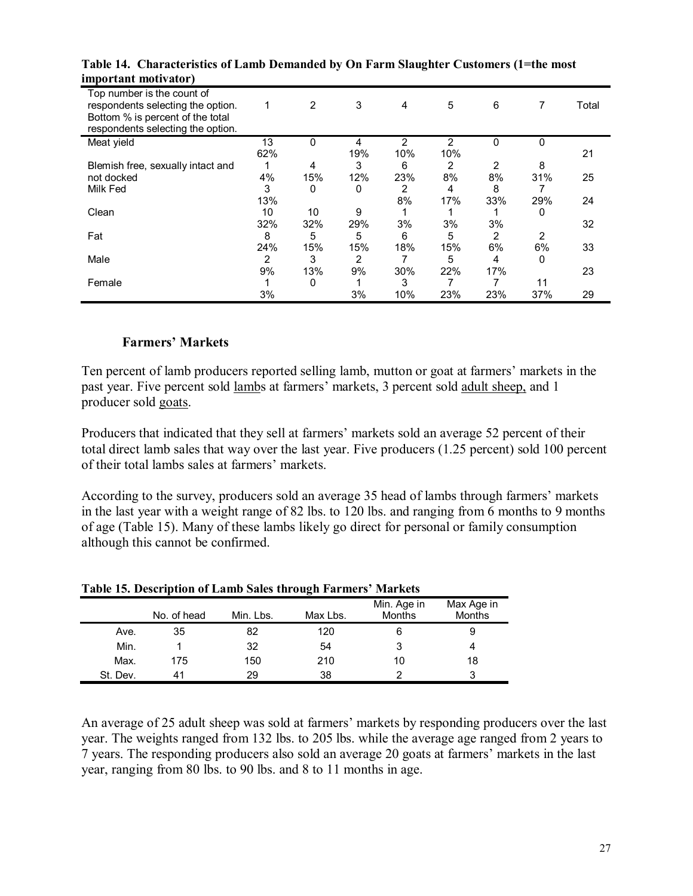| ппротана попушают,                                                                                                                       |     |     |     |     |     |     |          |       |
|------------------------------------------------------------------------------------------------------------------------------------------|-----|-----|-----|-----|-----|-----|----------|-------|
| Top number is the count of<br>respondents selecting the option.<br>Bottom % is percent of the total<br>respondents selecting the option. | 1   | 2   | 3   | 4   | 5   | 6   |          | Total |
| Meat yield                                                                                                                               | 13  | 0   | 4   | 2   | 2   | 0   | $\Omega$ |       |
|                                                                                                                                          | 62% |     | 19% | 10% | 10% |     |          | 21    |
| Blemish free, sexually intact and                                                                                                        |     | 4   | 3   | 6   | 2   | 2   | 8        |       |
| not docked                                                                                                                               | 4%  | 15% | 12% | 23% | 8%  | 8%  | 31%      | 25    |
| Milk Fed                                                                                                                                 | 3   | 0   | 0   | 2   | 4   | 8   |          |       |
|                                                                                                                                          | 13% |     |     | 8%  | 17% | 33% | 29%      | 24    |
| Clean                                                                                                                                    | 10  | 10  | 9   |     |     |     | 0        |       |
|                                                                                                                                          | 32% | 32% | 29% | 3%  | 3%  | 3%  |          | 32    |
| Fat                                                                                                                                      | 8   | 5   | 5   | 6   | 5   | 2   | 2        |       |
|                                                                                                                                          | 24% | 15% | 15% | 18% | 15% | 6%  | 6%       | 33    |
| Male                                                                                                                                     | 2   | 3   | 2   |     | 5   | 4   | 0        |       |
|                                                                                                                                          | 9%  | 13% | 9%  | 30% | 22% | 17% |          | 23    |
| Female                                                                                                                                   |     | 0   |     | 3   |     |     | 11       |       |
|                                                                                                                                          | 3%  |     | 3%  | 10% | 23% | 23% | 37%      | 29    |

**Table 14. Characteristics of Lamb Demanded by On Farm Slaughter Customers (1=the most important motivator)** 

#### **Farmers' Markets**

Ten percent of lamb producers reported selling lamb, mutton or goat at farmers' markets in the past year. Five percent sold lambs at farmers' markets, 3 percent sold adult sheep, and 1 producer sold goats.

Producers that indicated that they sell at farmers' markets sold an average 52 percent of their total direct lamb sales that way over the last year. Five producers (1.25 percent) sold 100 percent of their total lambs sales at farmers' markets.

According to the survey, producers sold an average 35 head of lambs through farmers' markets in the last year with a weight range of 82 lbs. to 120 lbs. and ranging from 6 months to 9 months of age (Table 15). Many of these lambs likely go direct for personal or family consumption although this cannot be confirmed.

|          | Table 15. Description of Lanno Sales through Partners Twarkets |           |          |                       |                             |  |  |
|----------|----------------------------------------------------------------|-----------|----------|-----------------------|-----------------------------|--|--|
|          | No. of head                                                    | Min. Lbs. | Max Lbs. | Min. Age in<br>Months | Max Age in<br><b>Months</b> |  |  |
| Ave.     | 35                                                             | 82        | 120      | 6                     |                             |  |  |
| Min.     |                                                                | 32        | 54       | 3                     |                             |  |  |
| Max.     | 175                                                            | 150       | 210      | 10                    | 18                          |  |  |
| St. Dev. | 41                                                             | 29        | 38       |                       |                             |  |  |

**Table 15. Description of Lamb Sales through Farmersí Markets** 

An average of 25 adult sheep was sold at farmers' markets by responding producers over the last year. The weights ranged from 132 lbs. to 205 lbs. while the average age ranged from 2 years to 7 years. The responding producers also sold an average 20 goats at farmers' markets in the last year, ranging from 80 lbs. to 90 lbs. and 8 to 11 months in age.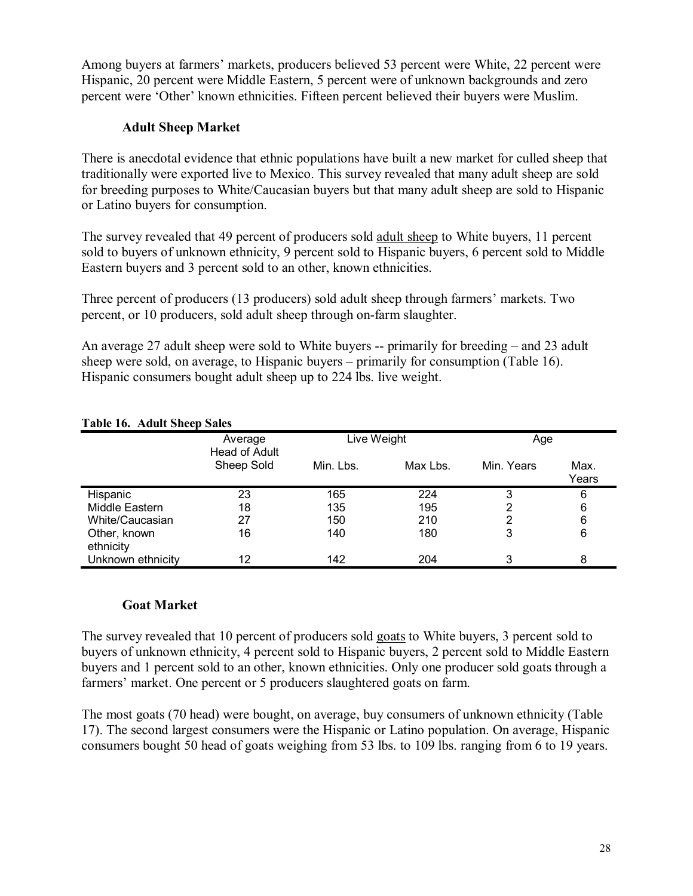Among buyers at farmers' markets, producers believed 53 percent were White, 22 percent were Hispanic, 20 percent were Middle Eastern, 5 percent were of unknown backgrounds and zero percent were 'Other' known ethnicities. Fifteen percent believed their buyers were Muslim.

### **Adult Sheep Market**

There is anecdotal evidence that ethnic populations have built a new market for culled sheep that traditionally were exported live to Mexico. This survey revealed that many adult sheep are sold for breeding purposes to White/Caucasian buyers but that many adult sheep are sold to Hispanic or Latino buyers for consumption.

The survey revealed that 49 percent of producers sold adult sheep to White buyers, 11 percent sold to buyers of unknown ethnicity, 9 percent sold to Hispanic buyers, 6 percent sold to Middle Eastern buyers and 3 percent sold to an other, known ethnicities.

Three percent of producers (13 producers) sold adult sheep through farmers' markets. Two percent, or 10 producers, sold adult sheep through on-farm slaughter.

An average 27 adult sheep were sold to White buyers  $-$  primarily for breeding  $-$  and 23 adult sheep were sold, on average, to Hispanic buyers  $-$  primarily for consumption (Table 16). Hispanic consumers bought adult sheep up to 224 lbs. live weight.

|                           | Average<br>Head of Adult |           | Live Weight |            | Age           |
|---------------------------|--------------------------|-----------|-------------|------------|---------------|
|                           | Sheep Sold               | Min. Lbs. | Max Lbs.    | Min. Years | Max.<br>Years |
| Hispanic                  | 23                       | 165       | 224         | 3          | 6             |
| Middle Eastern            | 18                       | 135       | 195         |            | 6             |
| White/Caucasian           | 27                       | 150       | 210         | 2          | 6             |
| Other, known<br>ethnicity | 16                       | 140       | 180         | 3          | 6             |
| Unknown ethnicity         | 12                       | 142       | 204         | 3          | 8             |

#### **Table 16. Adult Sheep Sales**

#### **Goat Market**

The survey revealed that 10 percent of producers sold goats to White buyers, 3 percent sold to buyers of unknown ethnicity, 4 percent sold to Hispanic buyers, 2 percent sold to Middle Eastern buyers and 1 percent sold to an other, known ethnicities. Only one producer sold goats through a farmers' market. One percent or 5 producers slaughtered goats on farm.

The most goats (70 head) were bought, on average, buy consumers of unknown ethnicity (Table 17). The second largest consumers were the Hispanic or Latino population. On average, Hispanic consumers bought 50 head of goats weighing from 53 lbs. to 109 lbs. ranging from 6 to 19 years.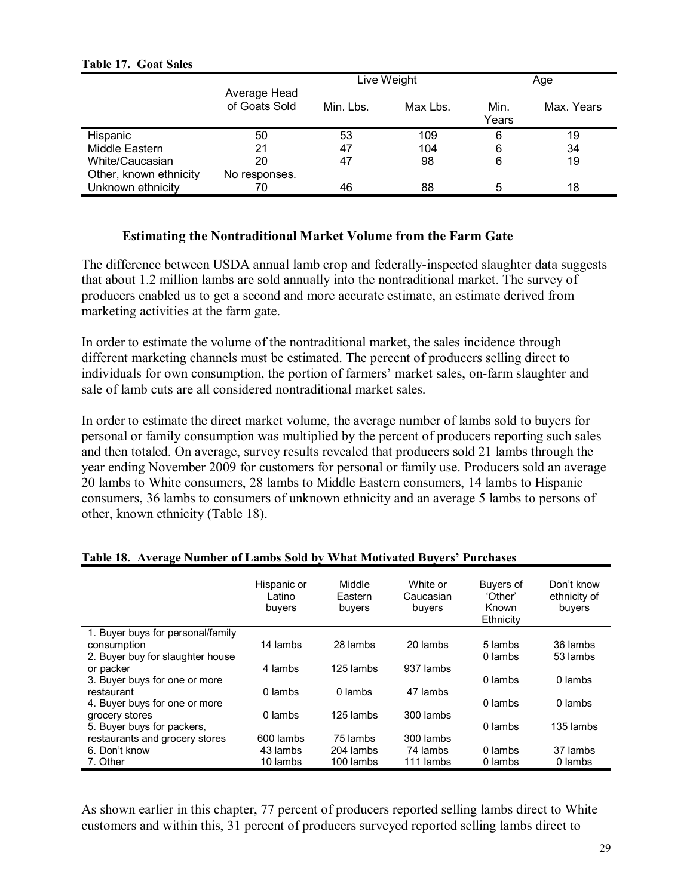|                        |                               |           | Live Weight |               | Age        |
|------------------------|-------------------------------|-----------|-------------|---------------|------------|
|                        | Average Head<br>of Goats Sold | Min. Lbs. | Max Lbs.    | Min.<br>Years | Max. Years |
| Hispanic               | 50                            | 53        | 109         | 6             | 19         |
| Middle Eastern         | 21                            | 47        | 104         | 6             | 34         |
| White/Caucasian        | 20                            | 47        | 98          | 6             | 19         |
| Other, known ethnicity | No responses.                 |           |             |               |            |
| Unknown ethnicity      | 70                            | 46        | 88          | 5             | 18         |

#### **Table 17. Goat Sales**

#### **Estimating the Nontraditional Market Volume from the Farm Gate**

The difference between USDA annual lamb crop and federally-inspected slaughter data suggests that about 1.2 million lambs are sold annually into the nontraditional market. The survey of producers enabled us to get a second and more accurate estimate, an estimate derived from marketing activities at the farm gate.

In order to estimate the volume of the nontraditional market, the sales incidence through different marketing channels must be estimated. The percent of producers selling direct to individuals for own consumption, the portion of farmers' market sales, on-farm slaughter and sale of lamb cuts are all considered nontraditional market sales.

In order to estimate the direct market volume, the average number of lambs sold to buyers for personal or family consumption was multiplied by the percent of producers reporting such sales and then totaled. On average, survey results revealed that producers sold 21 lambs through the year ending November 2009 for customers for personal or family use. Producers sold an average 20 lambs to White consumers, 28 lambs to Middle Eastern consumers, 14 lambs to Hispanic consumers, 36 lambs to consumers of unknown ethnicity and an average 5 lambs to persons of other, known ethnicity (Table 18).

|                                                  | Hispanic or<br>∟atino<br>buyers | Middle<br>Eastern<br>buyers | White or<br>Caucasian<br>buyers | <b>Buvers of</b><br>'Other'<br>Known<br>Ethnicity | Don't know<br>ethnicity of<br>buyers |
|--------------------------------------------------|---------------------------------|-----------------------------|---------------------------------|---------------------------------------------------|--------------------------------------|
| 1. Buyer buys for personal/family<br>consumption | 14 lambs                        | 28 lambs                    | 20 lambs                        | 5 lambs                                           | 36 lambs                             |
| 2. Buyer buy for slaughter house                 |                                 |                             |                                 | 0 lambs                                           | 53 lambs                             |
| or packer                                        | 4 lambs                         | 125 lambs                   | 937 lambs                       |                                                   |                                      |
| 3. Buyer buys for one or more                    |                                 |                             |                                 | 0 lambs                                           | 0 lambs                              |
| restaurant<br>4. Buyer buys for one or more      | 0 lambs                         | 0 lambs                     | 47 lambs                        | 0 lambs                                           | 0 lambs                              |
| grocery stores                                   | 0 lambs                         | 125 lambs                   | 300 lambs                       |                                                   |                                      |
| 5. Buyer buys for packers,                       |                                 |                             |                                 | 0 lambs                                           | 135 lambs                            |
| restaurants and grocery stores<br>6. Don't know  | 600 lambs<br>43 lambs           | 75 lambs<br>204 lambs       | 300 lambs<br>74 lambs           | 0 lambs                                           | 37 lambs                             |
| 7. Other                                         | 10 lambs                        | 100 lambs                   | 111 lambs                       | 0 lambs                                           | 0 lambs                              |
|                                                  |                                 |                             |                                 |                                                   |                                      |

#### **Table 18. Average Number of Lambs Sold by What Motivated Buyersí Purchases**

As shown earlier in this chapter, 77 percent of producers reported selling lambs direct to White customers and within this, 31 percent of producers surveyed reported selling lambs direct to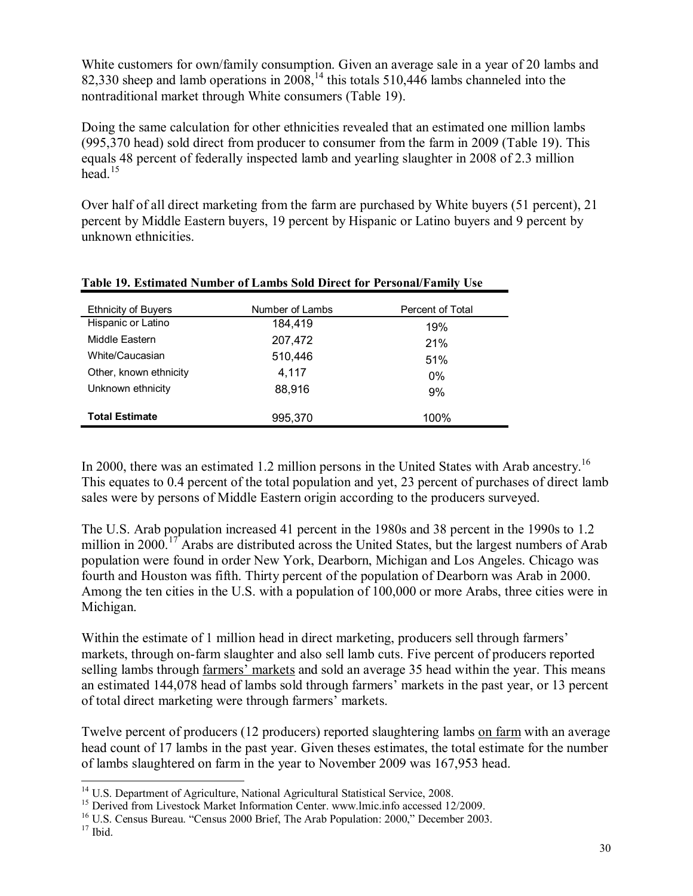White customers for own/family consumption. Given an average sale in a year of 20 lambs and 82,330 sheep and lamb operations in 2008,<sup>14</sup> this totals 510,446 lambs channeled into the nontraditional market through White consumers (Table 19).

Doing the same calculation for other ethnicities revealed that an estimated one million lambs (995,370 head) sold direct from producer to consumer from the farm in 2009 (Table 19). This equals 48 percent of federally inspected lamb and yearling slaughter in 2008 of 2.3 million head  $15$ 

Over half of all direct marketing from the farm are purchased by White buyers (51 percent), 21 percent by Middle Eastern buyers, 19 percent by Hispanic or Latino buyers and 9 percent by unknown ethnicities.

| <b>Ethnicity of Buyers</b> | Number of Lambs | Percent of Total |
|----------------------------|-----------------|------------------|
| Hispanic or Latino         | 184,419         | 19%              |
| Middle Eastern             | 207,472         | 21%              |
| White/Caucasian            | 510,446         | 51%              |
| Other, known ethnicity     | 4.117           | $0\%$            |
| Unknown ethnicity          | 88,916          | 9%               |
| <b>Total Estimate</b>      | 995.370         | 100%             |

### **Table 19. Estimated Number of Lambs Sold Direct for Personal/Family Use**

In 2000, there was an estimated 1.2 million persons in the United States with Arab ancestry.<sup>16</sup> This equates to 0.4 percent of the total population and yet, 23 percent of purchases of direct lamb sales were by persons of Middle Eastern origin according to the producers surveyed.

The U.S. Arab population increased 41 percent in the 1980s and 38 percent in the 1990s to 1.2 million in 2000.<sup>17</sup> Arabs are distributed across the United States, but the largest numbers of Arab population were found in order New York, Dearborn, Michigan and Los Angeles. Chicago was fourth and Houston was fifth. Thirty percent of the population of Dearborn was Arab in 2000. Among the ten cities in the U.S. with a population of 100,000 or more Arabs, three cities were in Michigan.

Within the estimate of 1 million head in direct marketing, producers sell through farmers<sup>'</sup> markets, through on-farm slaughter and also sell lamb cuts. Five percent of producers reported selling lambs through farmers' markets and sold an average 35 head within the year. This means an estimated 144,078 head of lambs sold through farmers' markets in the past year, or 13 percent of total direct marketing were through farmers' markets.

Twelve percent of producers (12 producers) reported slaughtering lambs on farm with an average head count of 17 lambs in the past year. Given theses estimates, the total estimate for the number of lambs slaughtered on farm in the year to November 2009 was 167,953 head.

 $\overline{a}$ 

<sup>&</sup>lt;sup>14</sup> U.S. Department of Agriculture, National Agricultural Statistical Service, 2008.

<sup>&</sup>lt;sup>15</sup> Derived from Livestock Market Information Center. www.lmic.info accessed 12/2009.<br><sup>16</sup> U.S. Census Bureau. "Census 2000 Brief, The Arab Population: 2000," December 2003.<br><sup>17</sup> Ibid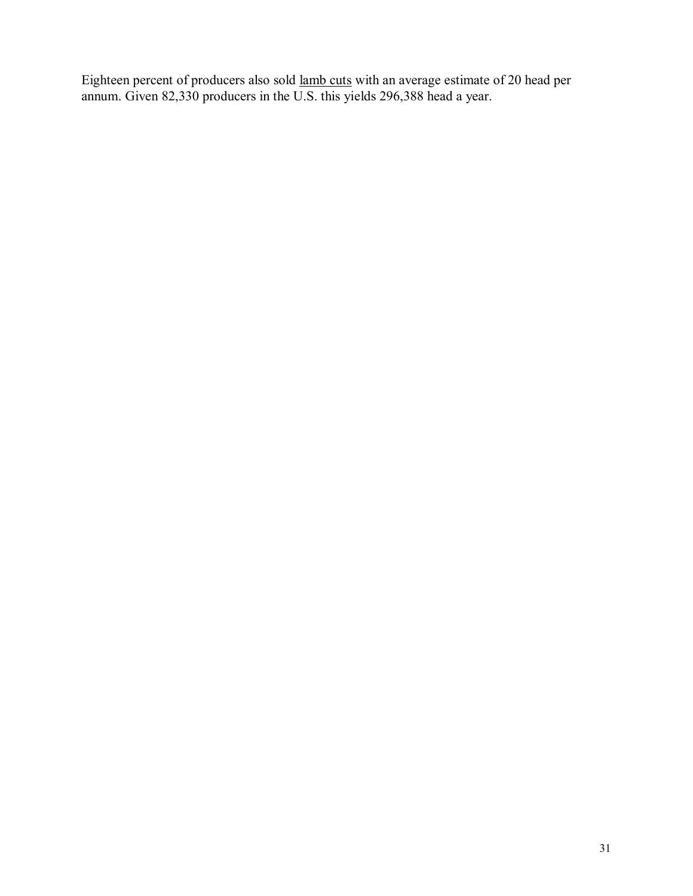Eighteen percent of producers also sold lamb cuts with an average estimate of 20 head per annum. Given 82,330 producers in the U.S. this yields 296,388 head a year.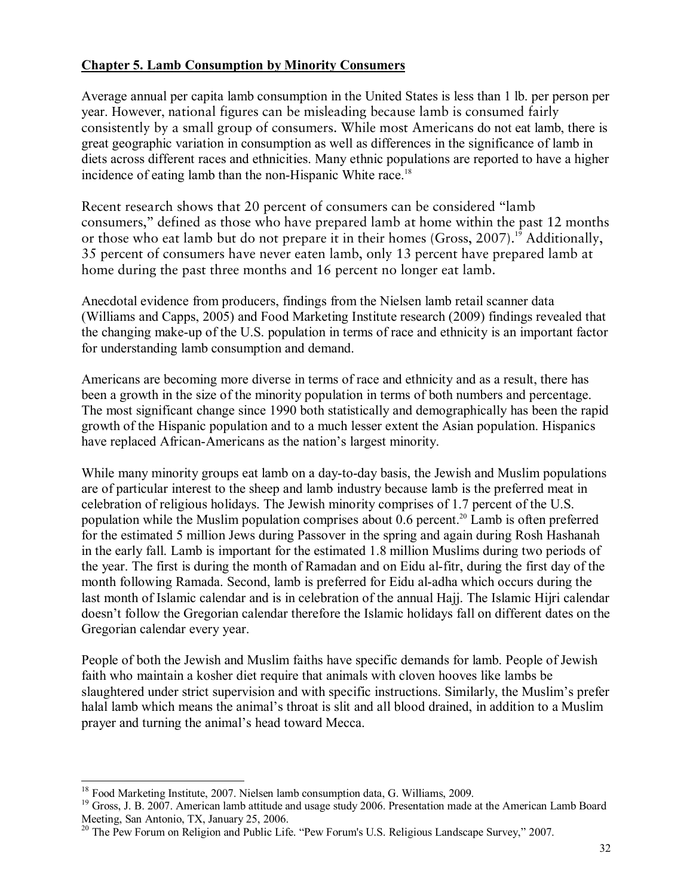### **Chapter 5. Lamb Consumption by Minority Consumers**

Average annual per capita lamb consumption in the United States is less than 1 lb. per person per year. However, national figures can be misleading because lamb is consumed fairly consistently by a small group of consumers. While most Americans do not eat lamb, there is great geographic variation in consumption as well as differences in the significance of lamb in diets across different races and ethnicities. Many ethnic populations are reported to have a higher incidence of eating lamb than the non-Hispanic White race.<sup>18</sup>

Recent research shows that 20 percent of consumers can be considered ''lamb consumers,'' defined as those who have prepared lamb at home within the past 12 months or those who eat lamb but do not prepare it in their homes (Gross,  $2007$ ).<sup>19</sup> Additionally, 35 percent of consumers have never eaten lamb, only 13 percent have prepared lamb at home during the past three months and 16 percent no longer eat lamb.

Anecdotal evidence from producers, findings from the Nielsen lamb retail scanner data (Williams and Capps, 2005) and Food Marketing Institute research (2009) findings revealed that the changing make-up of the U.S. population in terms of race and ethnicity is an important factor for understanding lamb consumption and demand.

Americans are becoming more diverse in terms of race and ethnicity and as a result, there has been a growth in the size of the minority population in terms of both numbers and percentage. The most significant change since 1990 both statistically and demographically has been the rapid growth of the Hispanic population and to a much lesser extent the Asian population. Hispanics have replaced African-Americans as the nation's largest minority.

While many minority groups eat lamb on a day-to-day basis, the Jewish and Muslim populations are of particular interest to the sheep and lamb industry because lamb is the preferred meat in celebration of religious holidays. The Jewish minority comprises of 1.7 percent of the U.S. population while the Muslim population comprises about  $0.6$  percent.<sup>20</sup> Lamb is often preferred for the estimated 5 million Jews during Passover in the spring and again during Rosh Hashanah in the early fall. Lamb is important for the estimated 1.8 million Muslims during two periods of the year. The first is during the month of Ramadan and on Eidu al-fitr, during the first day of the month following Ramada. Second, lamb is preferred for Eidu al-adha which occurs during the last month of Islamic calendar and is in celebration of the annual Hajj. The Islamic Hijri calendar doesnít follow the Gregorian calendar therefore the Islamic holidays fall on different dates on the Gregorian calendar every year.

People of both the Jewish and Muslim faiths have specific demands for lamb. People of Jewish faith who maintain a kosher diet require that animals with cloven hooves like lambs be slaughtered under strict supervision and with specific instructions. Similarly, the Muslim's prefer halal lamb which means the animal's throat is slit and all blood drained, in addition to a Muslim prayer and turning the animal's head toward Mecca.

 $\overline{a}$ 

<sup>&</sup>lt;sup>18</sup> Food Marketing Institute, 2007. Nielsen lamb consumption data, G. Williams, 2009.

<sup>&</sup>lt;sup>19</sup> Gross, J. B. 2007. American lamb attitude and usage study 2006. Presentation made at the American Lamb Board Meeting, San Antonio, TX, January 25, 2006.

<sup>&</sup>lt;sup>20</sup> The Pew Forum on Religion and Public Life. "Pew Forum's U.S. Religious Landscape Survey," 2007.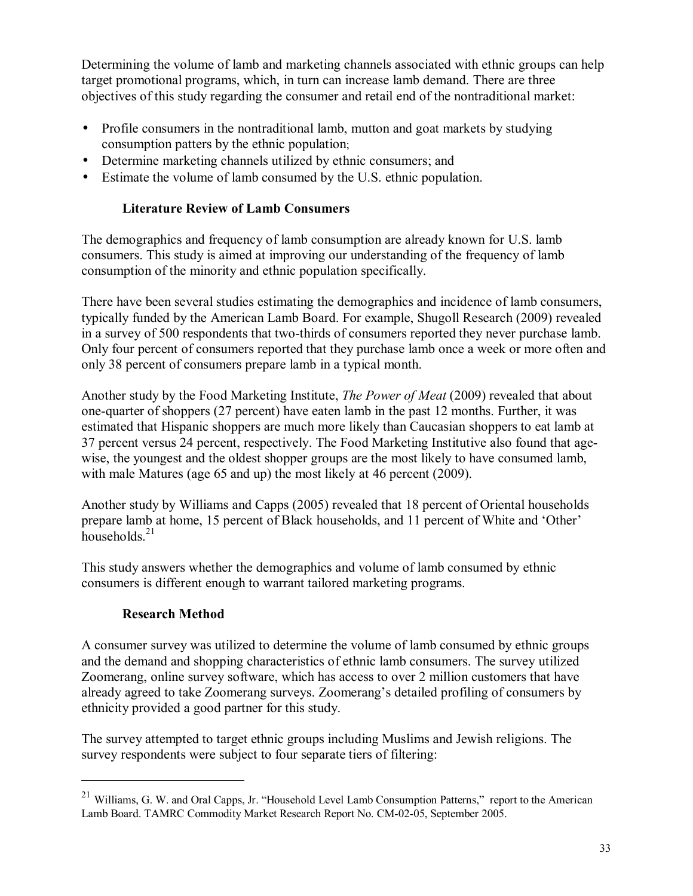Determining the volume of lamb and marketing channels associated with ethnic groups can help target promotional programs, which, in turn can increase lamb demand. There are three objectives of this study regarding the consumer and retail end of the nontraditional market:

- Profile consumers in the nontraditional lamb, mutton and goat markets by studying consumption patters by the ethnic population;
- Determine marketing channels utilized by ethnic consumers; and
- Estimate the volume of lamb consumed by the U.S. ethnic population.

# **Literature Review of Lamb Consumers**

The demographics and frequency of lamb consumption are already known for U.S. lamb consumers. This study is aimed at improving our understanding of the frequency of lamb consumption of the minority and ethnic population specifically.

There have been several studies estimating the demographics and incidence of lamb consumers, typically funded by the American Lamb Board. For example, Shugoll Research (2009) revealed in a survey of 500 respondents that two-thirds of consumers reported they never purchase lamb. Only four percent of consumers reported that they purchase lamb once a week or more often and only 38 percent of consumers prepare lamb in a typical month.

Another study by the Food Marketing Institute, *The Power of Meat* (2009) revealed that about one-quarter of shoppers (27 percent) have eaten lamb in the past 12 months. Further, it was estimated that Hispanic shoppers are much more likely than Caucasian shoppers to eat lamb at 37 percent versus 24 percent, respectively. The Food Marketing Institutive also found that agewise, the youngest and the oldest shopper groups are the most likely to have consumed lamb, with male Matures (age 65 and up) the most likely at 46 percent (2009).

Another study by Williams and Capps (2005) revealed that 18 percent of Oriental households prepare lamb at home, 15 percent of Black households, and 11 percent of White and 'Other' households. $21$ 

This study answers whether the demographics and volume of lamb consumed by ethnic consumers is different enough to warrant tailored marketing programs.

# **Research Method**

 $\overline{a}$ 

A consumer survey was utilized to determine the volume of lamb consumed by ethnic groups and the demand and shopping characteristics of ethnic lamb consumers. The survey utilized Zoomerang, online survey software, which has access to over 2 million customers that have already agreed to take Zoomerang surveys. Zoomerang's detailed profiling of consumers by ethnicity provided a good partner for this study.

The survey attempted to target ethnic groups including Muslims and Jewish religions. The survey respondents were subject to four separate tiers of filtering:

<sup>&</sup>lt;sup>21</sup> Williams, G. W. and Oral Capps, Jr. "Household Level Lamb Consumption Patterns," report to the American Lamb Board. TAMRC Commodity Market Research Report No. CM-02-05, September 2005.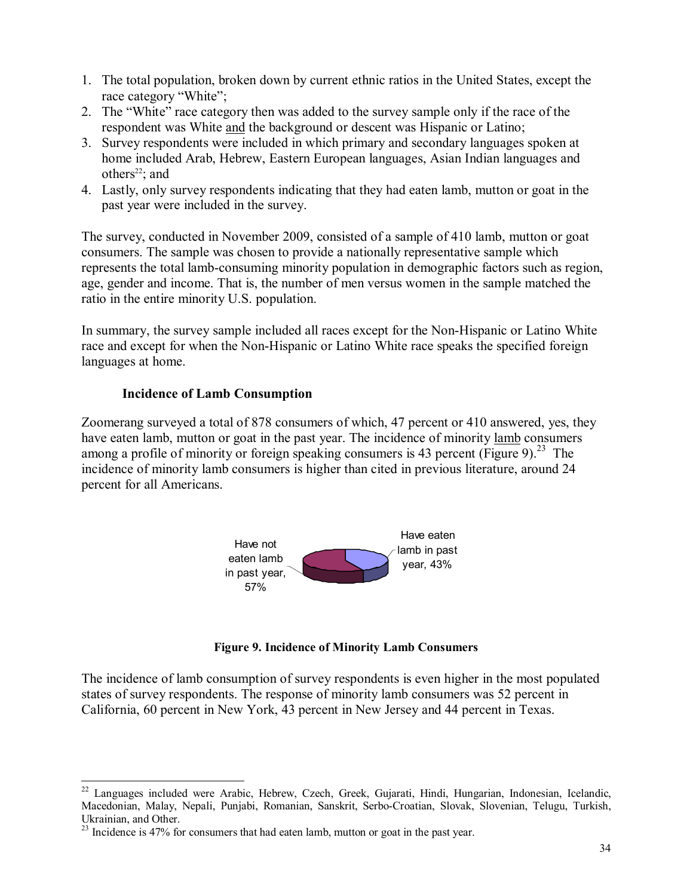- 1. The total population, broken down by current ethnic ratios in the United States, except the race category "White";
- 2. The "White" race category then was added to the survey sample only if the race of the respondent was White and the background or descent was Hispanic or Latino;
- 3. Survey respondents were included in which primary and secondary languages spoken at home included Arab, Hebrew, Eastern European languages, Asian Indian languages and others<sup>22</sup>; and
- 4. Lastly, only survey respondents indicating that they had eaten lamb, mutton or goat in the past year were included in the survey.

The survey, conducted in November 2009, consisted of a sample of 410 lamb, mutton or goat consumers. The sample was chosen to provide a nationally representative sample which represents the total lamb-consuming minority population in demographic factors such as region, age, gender and income. That is, the number of men versus women in the sample matched the ratio in the entire minority U.S. population.

In summary, the survey sample included all races except for the Non-Hispanic or Latino White race and except for when the Non-Hispanic or Latino White race speaks the specified foreign languages at home.

### **Incidence of Lamb Consumption**

Zoomerang surveyed a total of 878 consumers of which, 47 percent or 410 answered, yes, they have eaten lamb, mutton or goat in the past year. The incidence of minority lamb consumers among a profile of minority or foreign speaking consumers is 43 percent (Figure 9).<sup>23</sup> The incidence of minority lamb consumers is higher than cited in previous literature, around 24 percent for all Americans.



**Figure 9. Incidence of Minority Lamb Consumers**

The incidence of lamb consumption of survey respondents is even higher in the most populated states of survey respondents. The response of minority lamb consumers was 52 percent in California, 60 percent in New York, 43 percent in New Jersey and 44 percent in Texas.

 $\overline{a}$ <sup>22</sup> Languages included were Arabic, Hebrew, Czech, Greek, Gujarati, Hindi, Hungarian, Indonesian, Icelandic, Macedonian, Malay, Nepali, Punjabi, Romanian, Sanskrit, Serbo-Croatian, Slovak, Slovenian, Telugu, Turkish, Ukrainian, and Other.

 $^{23}$  Incidence is 47% for consumers that had eaten lamb, mutton or goat in the past year.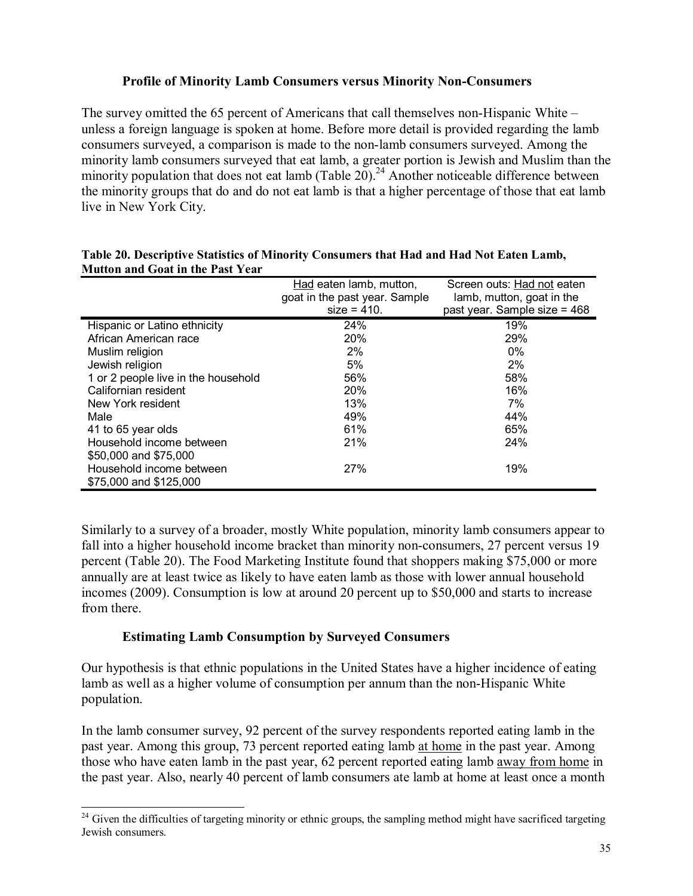### **Profile of Minority Lamb Consumers versus Minority Non-Consumers**

The survey omitted the 65 percent of Americans that call themselves non-Hispanic White  $\overline{\phantom{a}}$ unless a foreign language is spoken at home. Before more detail is provided regarding the lamb consumers surveyed, a comparison is made to the non-lamb consumers surveyed. Among the minority lamb consumers surveyed that eat lamb, a greater portion is Jewish and Muslim than the minority population that does not eat lamb (Table  $20$ ).<sup>24</sup> Another noticeable difference between the minority groups that do and do not eat lamb is that a higher percentage of those that eat lamb live in New York City.

|                                     | Had eaten lamb, mutton,<br>goat in the past year. Sample<br>$size = 410.$ | Screen outs: Had not eaten<br>lamb, mutton, goat in the<br>past year. Sample size = 468 |
|-------------------------------------|---------------------------------------------------------------------------|-----------------------------------------------------------------------------------------|
| Hispanic or Latino ethnicity        | 24%                                                                       | 19%                                                                                     |
| African American race               | <b>20%</b>                                                                | 29%                                                                                     |
| Muslim religion                     | 2%                                                                        | $0\%$                                                                                   |
| Jewish religion                     | 5%                                                                        | 2%                                                                                      |
| 1 or 2 people live in the household | 56%                                                                       | 58%                                                                                     |
| Californian resident                | 20%                                                                       | 16%                                                                                     |
| New York resident                   | 13%                                                                       | 7%                                                                                      |
| Male                                | 49%                                                                       | 44%                                                                                     |
| 41 to 65 year olds                  | 61%                                                                       | 65%                                                                                     |
| Household income between            | 21%                                                                       | 24%                                                                                     |
| \$50,000 and \$75,000               |                                                                           |                                                                                         |
| Household income between            | 27%                                                                       | 19%                                                                                     |
| \$75,000 and \$125,000              |                                                                           |                                                                                         |

| Table 20. Descriptive Statistics of Minority Consumers that Had and Had Not Eaten Lamb, |  |
|-----------------------------------------------------------------------------------------|--|
| <b>Mutton and Goat in the Past Year</b>                                                 |  |

Similarly to a survey of a broader, mostly White population, minority lamb consumers appear to fall into a higher household income bracket than minority non-consumers, 27 percent versus 19 percent (Table 20). The Food Marketing Institute found that shoppers making \$75,000 or more annually are at least twice as likely to have eaten lamb as those with lower annual household incomes (2009). Consumption is low at around 20 percent up to \$50,000 and starts to increase from there.

#### **Estimating Lamb Consumption by Surveyed Consumers**

 $\overline{a}$ 

Our hypothesis is that ethnic populations in the United States have a higher incidence of eating lamb as well as a higher volume of consumption per annum than the non-Hispanic White population.

In the lamb consumer survey, 92 percent of the survey respondents reported eating lamb in the past year. Among this group, 73 percent reported eating lamb at home in the past year. Among those who have eaten lamb in the past year, 62 percent reported eating lamb away from home in the past year. Also, nearly 40 percent of lamb consumers ate lamb at home at least once a month

 $24$  Given the difficulties of targeting minority or ethnic groups, the sampling method might have sacrificed targeting Jewish consumers.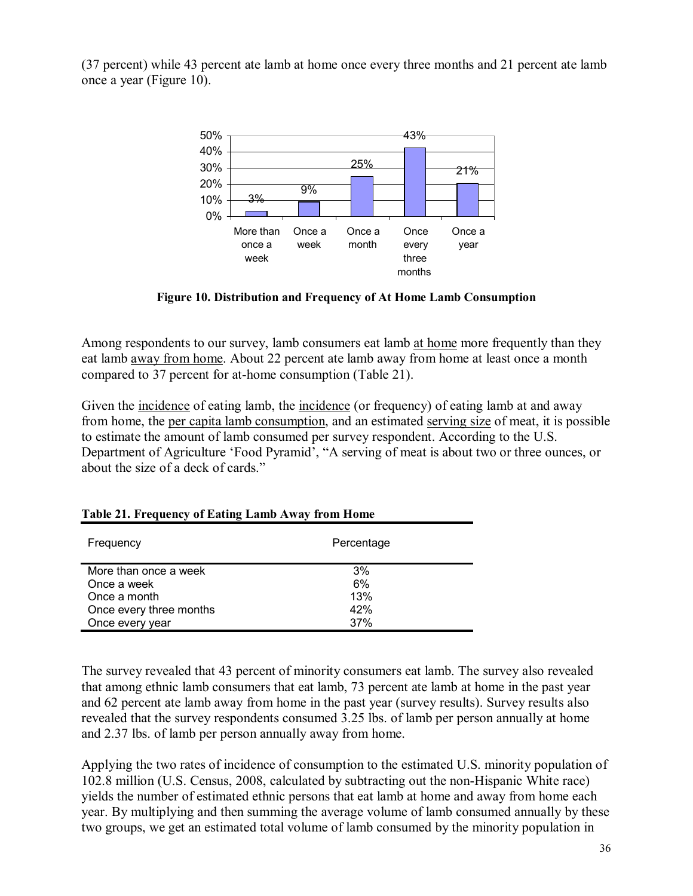(37 percent) while 43 percent ate lamb at home once every three months and 21 percent ate lamb once a year (Figure 10).



**Figure 10. Distribution and Frequency of At Home Lamb Consumption** 

Among respondents to our survey, lamb consumers eat lamb at home more frequently than they eat lamb away from home. About 22 percent ate lamb away from home at least once a month compared to 37 percent for at-home consumption (Table 21).

Given the incidence of eating lamb, the incidence (or frequency) of eating lamb at and away from home, the per capita lamb consumption, and an estimated serving size of meat, it is possible to estimate the amount of lamb consumed per survey respondent. According to the U.S. Department of Agriculture 'Food Pyramid', "A serving of meat is about two or three ounces, or about the size of a deck of cards."

| Frequency               | Percentage |
|-------------------------|------------|
| More than once a week   | 3%         |
| Once a week             | 6%         |
| Once a month            | 13%        |
| Once every three months | 42%        |
| Once every year         | 37%        |

#### **Table 21. Frequency of Eating Lamb Away from Home**

The survey revealed that 43 percent of minority consumers eat lamb. The survey also revealed that among ethnic lamb consumers that eat lamb, 73 percent ate lamb at home in the past year and 62 percent ate lamb away from home in the past year (survey results). Survey results also revealed that the survey respondents consumed 3.25 lbs. of lamb per person annually at home and 2.37 lbs. of lamb per person annually away from home.

Applying the two rates of incidence of consumption to the estimated U.S. minority population of 102.8 million (U.S. Census, 2008, calculated by subtracting out the non-Hispanic White race) yields the number of estimated ethnic persons that eat lamb at home and away from home each year. By multiplying and then summing the average volume of lamb consumed annually by these two groups, we get an estimated total volume of lamb consumed by the minority population in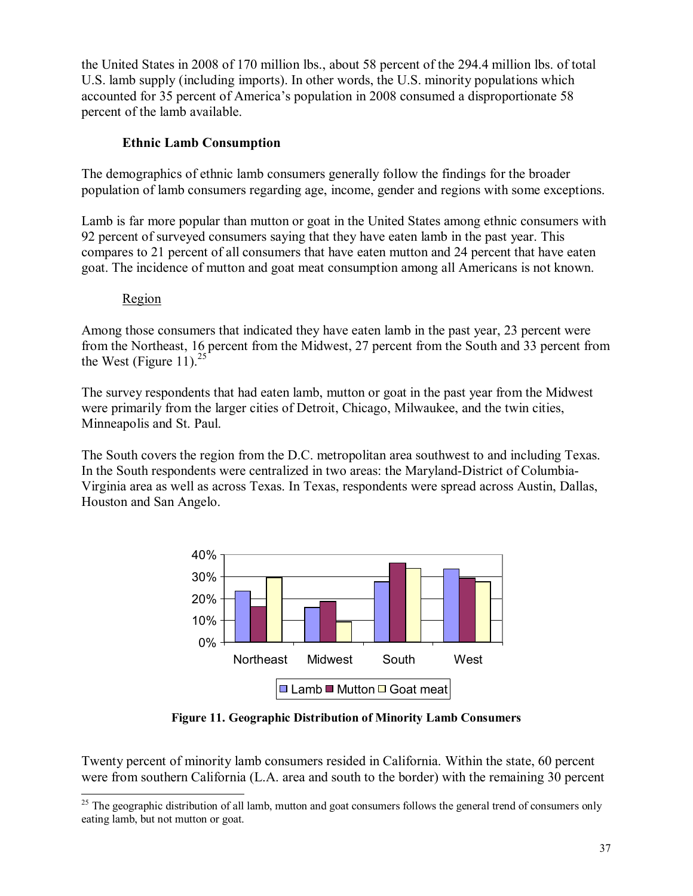the United States in 2008 of 170 million lbs., about 58 percent of the 294.4 million lbs. of total U.S. lamb supply (including imports). In other words, the U.S. minority populations which accounted for 35 percent of America's population in 2008 consumed a disproportionate 58 percent of the lamb available.

# **Ethnic Lamb Consumption**

The demographics of ethnic lamb consumers generally follow the findings for the broader population of lamb consumers regarding age, income, gender and regions with some exceptions.

Lamb is far more popular than mutton or goat in the United States among ethnic consumers with 92 percent of surveyed consumers saying that they have eaten lamb in the past year. This compares to 21 percent of all consumers that have eaten mutton and 24 percent that have eaten goat. The incidence of mutton and goat meat consumption among all Americans is not known.

### Region

 $\overline{\phantom{a}}$ 

Among those consumers that indicated they have eaten lamb in the past year, 23 percent were from the Northeast, 16 percent from the Midwest, 27 percent from the South and 33 percent from the West (Figure 11).<sup>25</sup>

The survey respondents that had eaten lamb, mutton or goat in the past year from the Midwest were primarily from the larger cities of Detroit, Chicago, Milwaukee, and the twin cities, Minneapolis and St. Paul.

The South covers the region from the D.C. metropolitan area southwest to and including Texas. In the South respondents were centralized in two areas: the Maryland-District of Columbia-Virginia area as well as across Texas. In Texas, respondents were spread across Austin, Dallas, Houston and San Angelo.



**Figure 11. Geographic Distribution of Minority Lamb Consumers** 

Twenty percent of minority lamb consumers resided in California. Within the state, 60 percent were from southern California (L.A. area and south to the border) with the remaining 30 percent

 $25$  The geographic distribution of all lamb, mutton and goat consumers follows the general trend of consumers only eating lamb, but not mutton or goat.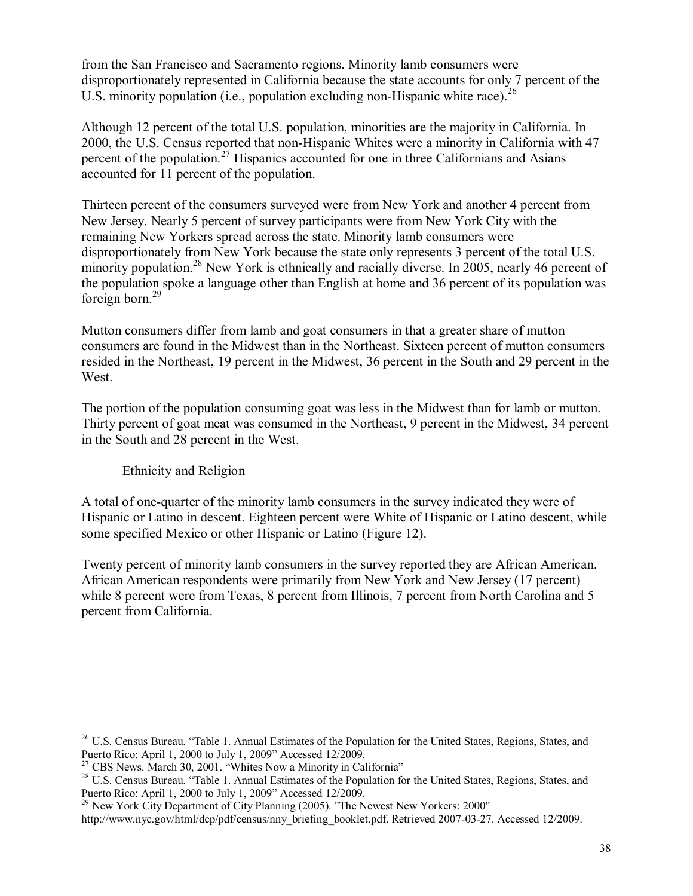from the San Francisco and Sacramento regions. Minority lamb consumers were disproportionately represented in California because the state accounts for only 7 percent of the U.S. minority population (i.e., population excluding non-Hispanic white race).  $^{26}$ 

Although 12 percent of the total U.S. population, minorities are the majority in California. In 2000, the U.S. Census reported that non-Hispanic Whites were a minority in California with 47 percent of the population.<sup>27</sup> Hispanics accounted for one in three Californians and Asians accounted for 11 percent of the population.

Thirteen percent of the consumers surveyed were from New York and another 4 percent from New Jersey. Nearly 5 percent of survey participants were from New York City with the remaining New Yorkers spread across the state. Minority lamb consumers were disproportionately from New York because the state only represents 3 percent of the total U.S. minority population.<sup>28</sup> New York is ethnically and racially diverse. In 2005, nearly 46 percent of the population spoke a language other than English at home and 36 percent of its population was foreign born. $^{29}$ 

Mutton consumers differ from lamb and goat consumers in that a greater share of mutton consumers are found in the Midwest than in the Northeast. Sixteen percent of mutton consumers resided in the Northeast, 19 percent in the Midwest, 36 percent in the South and 29 percent in the West.

The portion of the population consuming goat was less in the Midwest than for lamb or mutton. Thirty percent of goat meat was consumed in the Northeast, 9 percent in the Midwest, 34 percent in the South and 28 percent in the West.

### Ethnicity and Religion

 $\overline{\phantom{a}}$ 

A total of one-quarter of the minority lamb consumers in the survey indicated they were of Hispanic or Latino in descent. Eighteen percent were White of Hispanic or Latino descent, while some specified Mexico or other Hispanic or Latino (Figure 12).

Twenty percent of minority lamb consumers in the survey reported they are African American. African American respondents were primarily from New York and New Jersey (17 percent) while 8 percent were from Texas, 8 percent from Illinois, 7 percent from North Carolina and 5 percent from California.

<sup>&</sup>lt;sup>26</sup> U.S. Census Bureau. "Table 1. Annual Estimates of the Population for the United States, Regions, States, and Puerto Rico: April 1, 2000 to July 1, 2009" Accessed 12/2009.<br><sup>27</sup> CBS News. March 30, 2001. "Whites Now a Minority in California"

<sup>&</sup>lt;sup>28</sup> U.S. Census Bureau. "Table 1. Annual Estimates of the Population for the United States, Regions, States, and Puerto Rico: April 1, 2000 to July 1, 2009" Accessed 12/2009.

<sup>&</sup>lt;sup>29</sup> New York City Department of City Planning (2005). "The Newest New Yorkers: 2000"

http://www.nyc.gov/html/dcp/pdf/census/nny\_briefing\_booklet.pdf. Retrieved 2007-03-27. Accessed 12/2009.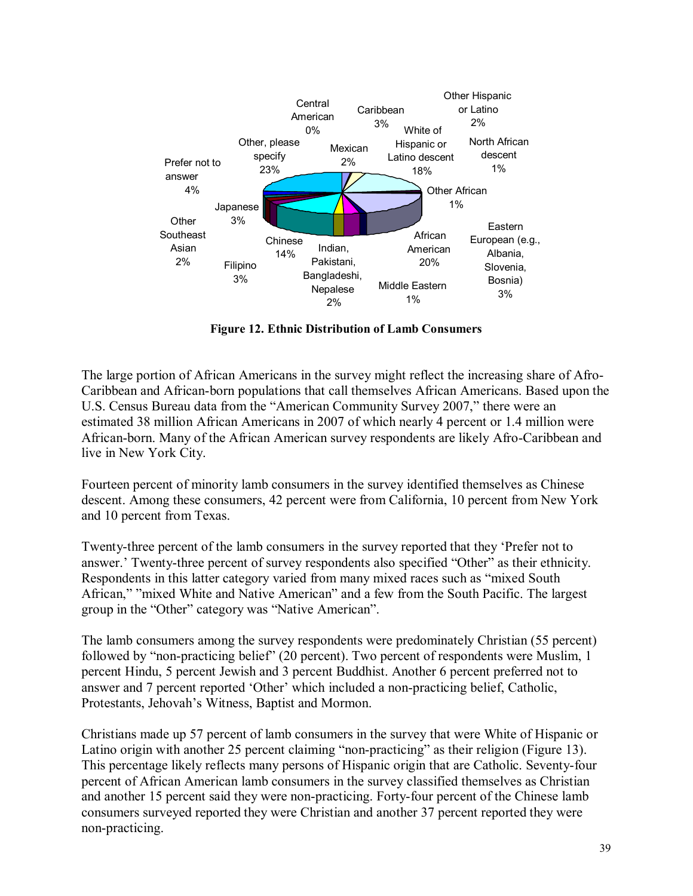

**Figure 12. Ethnic Distribution of Lamb Consumers** 

The large portion of African Americans in the survey might reflect the increasing share of Afro-Caribbean and African-born populations that call themselves African Americans. Based upon the U.S. Census Bureau data from the "American Community Survey 2007," there were an estimated 38 million African Americans in 2007 of which nearly 4 percent or 1.4 million were African-born. Many of the African American survey respondents are likely Afro-Caribbean and live in New York City.

Fourteen percent of minority lamb consumers in the survey identified themselves as Chinese descent. Among these consumers, 42 percent were from California, 10 percent from New York and 10 percent from Texas.

Twenty-three percent of the lamb consumers in the survey reported that they 'Prefer not to answer.<sup> $\cdot$ </sup> Twenty-three percent of survey respondents also specified "Other" as their ethnicity. Respondents in this latter category varied from many mixed races such as "mixed South African," "mixed White and Native American" and a few from the South Pacific. The largest group in the "Other" category was "Native American".

The lamb consumers among the survey respondents were predominately Christian (55 percent) followed by "non-practicing belief" (20 percent). Two percent of respondents were Muslim, 1 percent Hindu, 5 percent Jewish and 3 percent Buddhist. Another 6 percent preferred not to answer and 7 percent reported 'Other' which included a non-practicing belief, Catholic, Protestants, Jehovah's Witness, Baptist and Mormon.

Christians made up 57 percent of lamb consumers in the survey that were White of Hispanic or Latino origin with another 25 percent claiming "non-practicing" as their religion (Figure 13). This percentage likely reflects many persons of Hispanic origin that are Catholic. Seventy-four percent of African American lamb consumers in the survey classified themselves as Christian and another 15 percent said they were non-practicing. Forty-four percent of the Chinese lamb consumers surveyed reported they were Christian and another 37 percent reported they were non-practicing.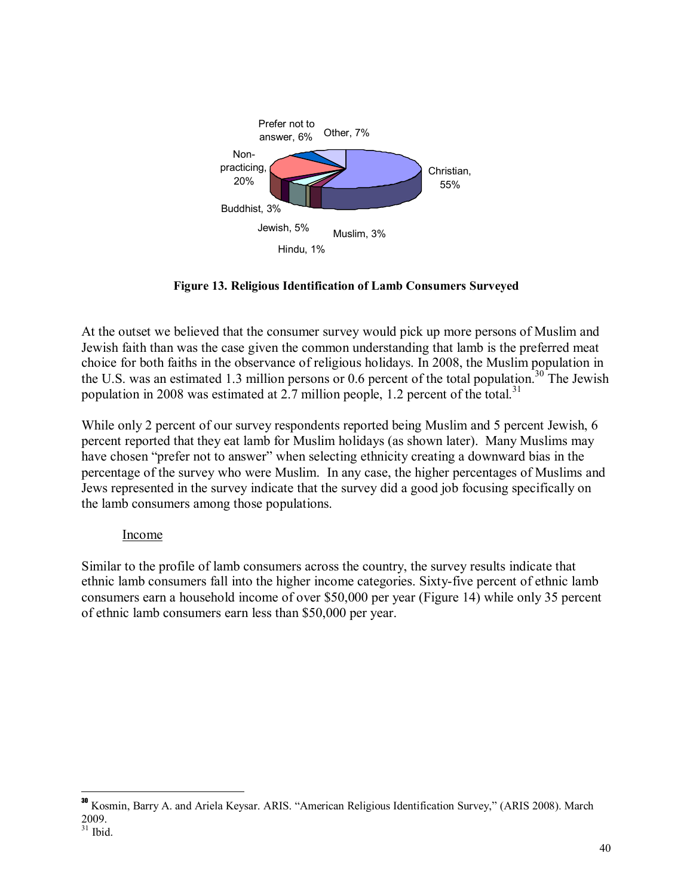

**Figure 13. Religious Identification of Lamb Consumers Surveyed** 

At the outset we believed that the consumer survey would pick up more persons of Muslim and Jewish faith than was the case given the common understanding that lamb is the preferred meat choice for both faiths in the observance of religious holidays. In 2008, the Muslim population in the U.S. was an estimated 1.3 million persons or 0.6 percent of the total population.<sup>30</sup> The Jewish population in 2008 was estimated at 2.7 million people, 1.2 percent of the total.<sup>31</sup>

While only 2 percent of our survey respondents reported being Muslim and 5 percent Jewish, 6 percent reported that they eat lamb for Muslim holidays (as shown later). Many Muslims may have chosen "prefer not to answer" when selecting ethnicity creating a downward bias in the percentage of the survey who were Muslim. In any case, the higher percentages of Muslims and Jews represented in the survey indicate that the survey did a good job focusing specifically on the lamb consumers among those populations.

### Income

Similar to the profile of lamb consumers across the country, the survey results indicate that ethnic lamb consumers fall into the higher income categories. Sixty-five percent of ethnic lamb consumers earn a household income of over \$50,000 per year (Figure 14) while only 35 percent of ethnic lamb consumers earn less than \$50,000 per year.

 $\overline{a}$ 

<sup>&</sup>lt;sup>30</sup> Kosmin, Barry A. and Ariela Keysar. ARIS. "American Religious Identification Survey," (ARIS 2008). March 2009.

 $31$  Ibid.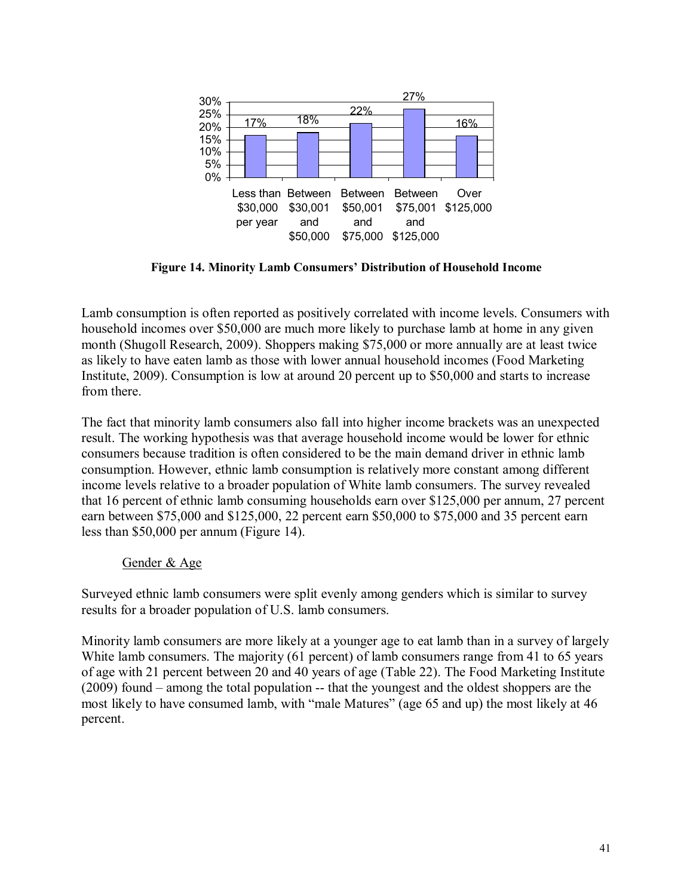

Figure 14. Minority Lamb Consumers' Distribution of Household Income

Lamb consumption is often reported as positively correlated with income levels. Consumers with household incomes over \$50,000 are much more likely to purchase lamb at home in any given month (Shugoll Research, 2009). Shoppers making \$75,000 or more annually are at least twice as likely to have eaten lamb as those with lower annual household incomes (Food Marketing Institute, 2009). Consumption is low at around 20 percent up to \$50,000 and starts to increase from there.

The fact that minority lamb consumers also fall into higher income brackets was an unexpected result. The working hypothesis was that average household income would be lower for ethnic consumers because tradition is often considered to be the main demand driver in ethnic lamb consumption. However, ethnic lamb consumption is relatively more constant among different income levels relative to a broader population of White lamb consumers. The survey revealed that 16 percent of ethnic lamb consuming households earn over \$125,000 per annum, 27 percent earn between \$75,000 and \$125,000, 22 percent earn \$50,000 to \$75,000 and 35 percent earn less than \$50,000 per annum (Figure 14).

### Gender & Age

Surveyed ethnic lamb consumers were split evenly among genders which is similar to survey results for a broader population of U.S. lamb consumers.

Minority lamb consumers are more likely at a younger age to eat lamb than in a survey of largely White lamb consumers. The majority (61 percent) of lamb consumers range from 41 to 65 years of age with 21 percent between 20 and 40 years of age (Table 22). The Food Marketing Institute  $(2009)$  found  $-$  among the total population  $-$  that the youngest and the oldest shoppers are the most likely to have consumed lamb, with "male Matures" (age 65 and up) the most likely at 46 percent.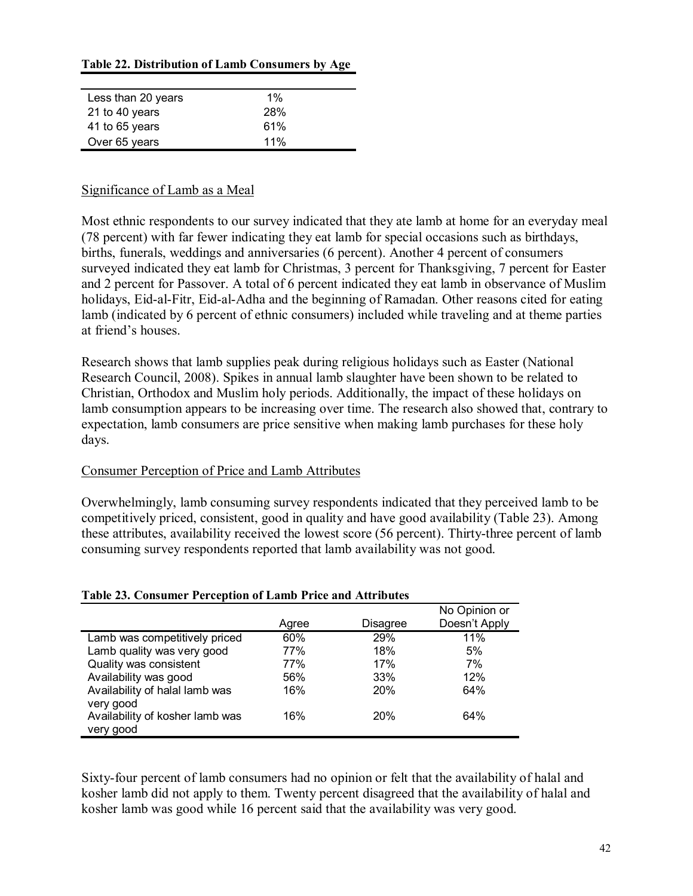#### **Table 22. Distribution of Lamb Consumers by Age**

| Less than 20 years | $1\%$ |  |
|--------------------|-------|--|
| 21 to 40 years     | 28%   |  |
| 41 to 65 years     | 61%   |  |
| Over 65 years      | 11%   |  |
|                    |       |  |

#### Significance of Lamb as a Meal

Most ethnic respondents to our survey indicated that they ate lamb at home for an everyday meal (78 percent) with far fewer indicating they eat lamb for special occasions such as birthdays, births, funerals, weddings and anniversaries (6 percent). Another 4 percent of consumers surveyed indicated they eat lamb for Christmas, 3 percent for Thanksgiving, 7 percent for Easter and 2 percent for Passover. A total of 6 percent indicated they eat lamb in observance of Muslim holidays, Eid-al-Fitr, Eid-al-Adha and the beginning of Ramadan. Other reasons cited for eating lamb (indicated by 6 percent of ethnic consumers) included while traveling and at theme parties at friend's houses.

Research shows that lamb supplies peak during religious holidays such as Easter (National Research Council, 2008). Spikes in annual lamb slaughter have been shown to be related to Christian, Orthodox and Muslim holy periods. Additionally, the impact of these holidays on lamb consumption appears to be increasing over time. The research also showed that, contrary to expectation, lamb consumers are price sensitive when making lamb purchases for these holy days.

#### Consumer Perception of Price and Lamb Attributes

Overwhelmingly, lamb consuming survey respondents indicated that they perceived lamb to be competitively priced, consistent, good in quality and have good availability (Table 23). Among these attributes, availability received the lowest score (56 percent). Thirty-three percent of lamb consuming survey respondents reported that lamb availability was not good.

|                                 |       |                 | No Opinion or |
|---------------------------------|-------|-----------------|---------------|
|                                 | Agree | <b>Disagree</b> | Doesn't Apply |
| Lamb was competitively priced   | 60%   | 29%             | 11%           |
| Lamb quality was very good      | 77%   | 18%             | 5%            |
| Quality was consistent          | 77%   | 17%             | 7%            |
| Availability was good           | 56%   | 33%             | 12%           |
| Availability of halal lamb was  | 16%   | 20%             | 64%           |
| very good                       |       |                 |               |
| Availability of kosher lamb was | 16%   | 20%             | 64%           |
| very good                       |       |                 |               |

#### **Table 23. Consumer Perception of Lamb Price and Attributes**

Sixty-four percent of lamb consumers had no opinion or felt that the availability of halal and kosher lamb did not apply to them. Twenty percent disagreed that the availability of halal and kosher lamb was good while 16 percent said that the availability was very good.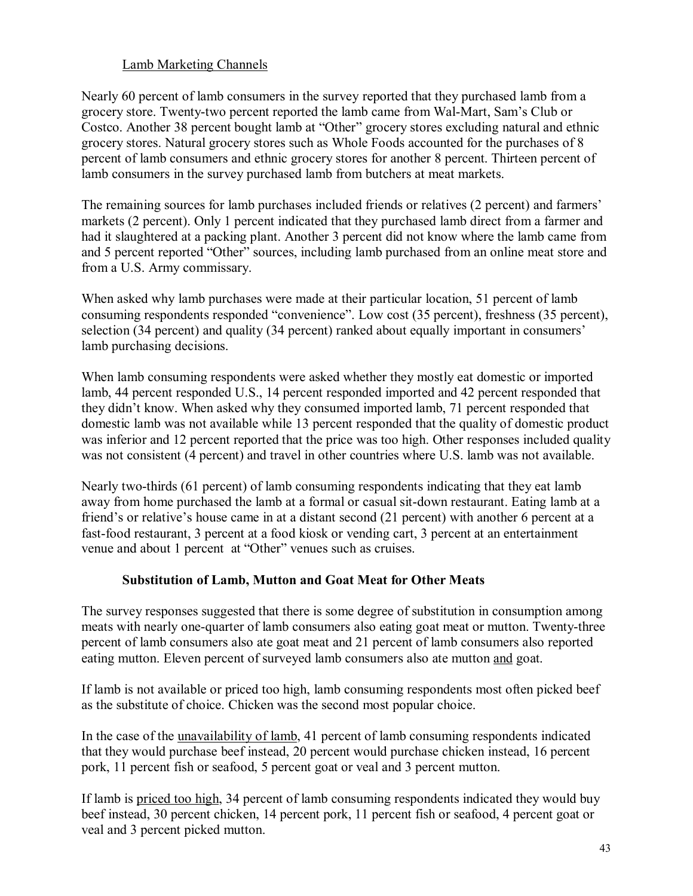# Lamb Marketing Channels

Nearly 60 percent of lamb consumers in the survey reported that they purchased lamb from a grocery store. Twenty-two percent reported the lamb came from Wal-Mart, Samís Club or Costco. Another 38 percent bought lamb at "Other" grocery stores excluding natural and ethnic grocery stores. Natural grocery stores such as Whole Foods accounted for the purchases of 8 percent of lamb consumers and ethnic grocery stores for another 8 percent. Thirteen percent of lamb consumers in the survey purchased lamb from butchers at meat markets.

The remaining sources for lamb purchases included friends or relatives (2 percent) and farmers' markets (2 percent). Only 1 percent indicated that they purchased lamb direct from a farmer and had it slaughtered at a packing plant. Another 3 percent did not know where the lamb came from and 5 percent reported "Other" sources, including lamb purchased from an online meat store and from a U.S. Army commissary.

When asked why lamb purchases were made at their particular location, 51 percent of lamb consuming respondents responded "convenience". Low cost (35 percent), freshness (35 percent), selection (34 percent) and quality (34 percent) ranked about equally important in consumers<sup>7</sup> lamb purchasing decisions.

When lamb consuming respondents were asked whether they mostly eat domestic or imported lamb, 44 percent responded U.S., 14 percent responded imported and 42 percent responded that they didn't know. When asked why they consumed imported lamb, 71 percent responded that domestic lamb was not available while 13 percent responded that the quality of domestic product was inferior and 12 percent reported that the price was too high. Other responses included quality was not consistent (4 percent) and travel in other countries where U.S. lamb was not available.

Nearly two-thirds (61 percent) of lamb consuming respondents indicating that they eat lamb away from home purchased the lamb at a formal or casual sit-down restaurant. Eating lamb at a friend's or relative's house came in at a distant second (21 percent) with another 6 percent at a fast-food restaurant, 3 percent at a food kiosk or vending cart, 3 percent at an entertainment venue and about 1 percent at "Other" venues such as cruises.

### **Substitution of Lamb, Mutton and Goat Meat for Other Meats**

The survey responses suggested that there is some degree of substitution in consumption among meats with nearly one-quarter of lamb consumers also eating goat meat or mutton. Twenty-three percent of lamb consumers also ate goat meat and 21 percent of lamb consumers also reported eating mutton. Eleven percent of surveyed lamb consumers also ate mutton and goat.

If lamb is not available or priced too high, lamb consuming respondents most often picked beef as the substitute of choice. Chicken was the second most popular choice.

In the case of the unavailability of lamb, 41 percent of lamb consuming respondents indicated that they would purchase beef instead, 20 percent would purchase chicken instead, 16 percent pork, 11 percent fish or seafood, 5 percent goat or veal and 3 percent mutton.

If lamb is priced too high, 34 percent of lamb consuming respondents indicated they would buy beef instead, 30 percent chicken, 14 percent pork, 11 percent fish or seafood, 4 percent goat or veal and 3 percent picked mutton.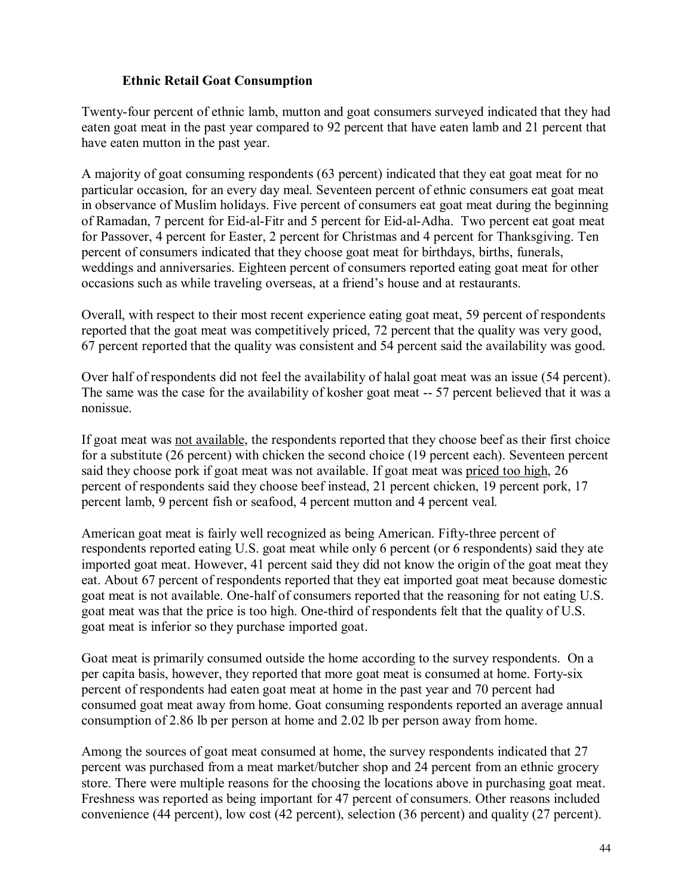### **Ethnic Retail Goat Consumption**

Twenty-four percent of ethnic lamb, mutton and goat consumers surveyed indicated that they had eaten goat meat in the past year compared to 92 percent that have eaten lamb and 21 percent that have eaten mutton in the past year.

A majority of goat consuming respondents (63 percent) indicated that they eat goat meat for no particular occasion, for an every day meal. Seventeen percent of ethnic consumers eat goat meat in observance of Muslim holidays. Five percent of consumers eat goat meat during the beginning of Ramadan, 7 percent for Eid-al-Fitr and 5 percent for Eid-al-Adha. Two percent eat goat meat for Passover, 4 percent for Easter, 2 percent for Christmas and 4 percent for Thanksgiving. Ten percent of consumers indicated that they choose goat meat for birthdays, births, funerals, weddings and anniversaries. Eighteen percent of consumers reported eating goat meat for other occasions such as while traveling overseas, at a friend's house and at restaurants.

Overall, with respect to their most recent experience eating goat meat, 59 percent of respondents reported that the goat meat was competitively priced, 72 percent that the quality was very good, 67 percent reported that the quality was consistent and 54 percent said the availability was good.

Over half of respondents did not feel the availability of halal goat meat was an issue (54 percent). The same was the case for the availability of kosher goat meat -- 57 percent believed that it was a nonissue.

If goat meat was not available, the respondents reported that they choose beef as their first choice for a substitute (26 percent) with chicken the second choice (19 percent each). Seventeen percent said they choose pork if goat meat was not available. If goat meat was priced too high, 26 percent of respondents said they choose beef instead, 21 percent chicken, 19 percent pork, 17 percent lamb, 9 percent fish or seafood, 4 percent mutton and 4 percent veal.

American goat meat is fairly well recognized as being American. Fifty-three percent of respondents reported eating U.S. goat meat while only 6 percent (or 6 respondents) said they ate imported goat meat. However, 41 percent said they did not know the origin of the goat meat they eat. About 67 percent of respondents reported that they eat imported goat meat because domestic goat meat is not available. One-half of consumers reported that the reasoning for not eating U.S. goat meat was that the price is too high. One-third of respondents felt that the quality of U.S. goat meat is inferior so they purchase imported goat.

Goat meat is primarily consumed outside the home according to the survey respondents. On a per capita basis, however, they reported that more goat meat is consumed at home. Forty-six percent of respondents had eaten goat meat at home in the past year and 70 percent had consumed goat meat away from home. Goat consuming respondents reported an average annual consumption of 2.86 lb per person at home and 2.02 lb per person away from home.

Among the sources of goat meat consumed at home, the survey respondents indicated that 27 percent was purchased from a meat market/butcher shop and 24 percent from an ethnic grocery store. There were multiple reasons for the choosing the locations above in purchasing goat meat. Freshness was reported as being important for 47 percent of consumers. Other reasons included convenience (44 percent), low cost (42 percent), selection (36 percent) and quality (27 percent).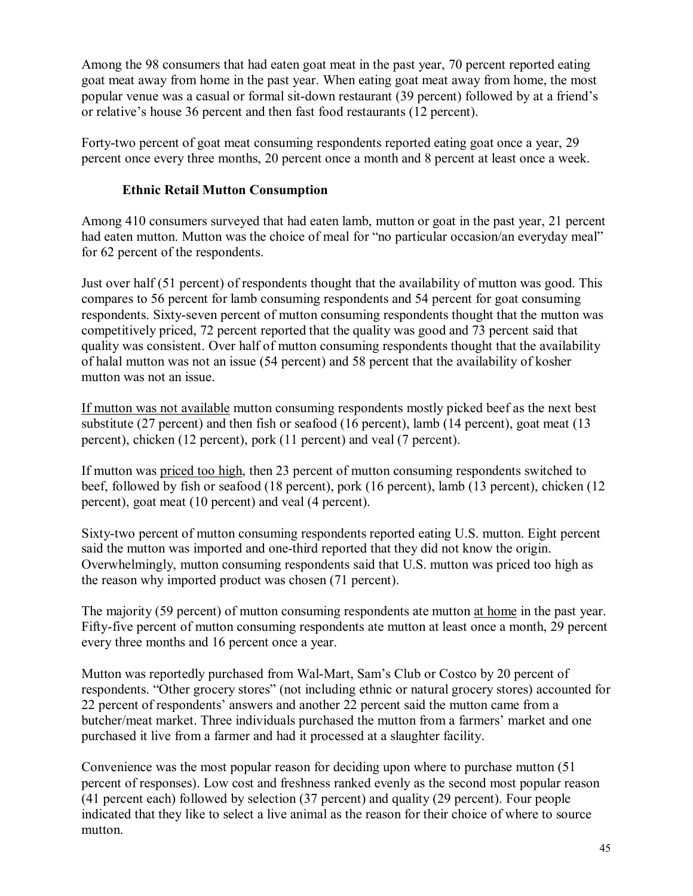Among the 98 consumers that had eaten goat meat in the past year, 70 percent reported eating goat meat away from home in the past year. When eating goat meat away from home, the most popular venue was a casual or formal sit-down restaurant (39 percent) followed by at a friend's or relative's house 36 percent and then fast food restaurants (12 percent).

Forty-two percent of goat meat consuming respondents reported eating goat once a year, 29 percent once every three months, 20 percent once a month and 8 percent at least once a week.

## **Ethnic Retail Mutton Consumption**

Among 410 consumers surveyed that had eaten lamb, mutton or goat in the past year, 21 percent had eaten mutton. Mutton was the choice of meal for "no particular occasion/an everyday meal" for 62 percent of the respondents.

Just over half (51 percent) of respondents thought that the availability of mutton was good. This compares to 56 percent for lamb consuming respondents and 54 percent for goat consuming respondents. Sixty-seven percent of mutton consuming respondents thought that the mutton was competitively priced, 72 percent reported that the quality was good and 73 percent said that quality was consistent. Over half of mutton consuming respondents thought that the availability of halal mutton was not an issue (54 percent) and 58 percent that the availability of kosher mutton was not an issue.

If mutton was not available mutton consuming respondents mostly picked beef as the next best substitute (27 percent) and then fish or seafood (16 percent), lamb (14 percent), goat meat (13 percent), chicken (12 percent), pork (11 percent) and veal (7 percent).

If mutton was priced too high, then 23 percent of mutton consuming respondents switched to beef, followed by fish or seafood (18 percent), pork (16 percent), lamb (13 percent), chicken (12 percent), goat meat (10 percent) and veal (4 percent).

Sixty-two percent of mutton consuming respondents reported eating U.S. mutton. Eight percent said the mutton was imported and one-third reported that they did not know the origin. Overwhelmingly, mutton consuming respondents said that U.S. mutton was priced too high as the reason why imported product was chosen (71 percent).

The majority (59 percent) of mutton consuming respondents ate mutton at home in the past year. Fifty-five percent of mutton consuming respondents ate mutton at least once a month, 29 percent every three months and 16 percent once a year.

Mutton was reportedly purchased from Wal-Mart, Sam's Club or Costco by 20 percent of respondents. "Other grocery stores" (not including ethnic or natural grocery stores) accounted for 22 percent of respondents' answers and another 22 percent said the mutton came from a butcher/meat market. Three individuals purchased the mutton from a farmers' market and one purchased it live from a farmer and had it processed at a slaughter facility.

Convenience was the most popular reason for deciding upon where to purchase mutton (51 percent of responses). Low cost and freshness ranked evenly as the second most popular reason (41 percent each) followed by selection (37 percent) and quality (29 percent). Four people indicated that they like to select a live animal as the reason for their choice of where to source mutton.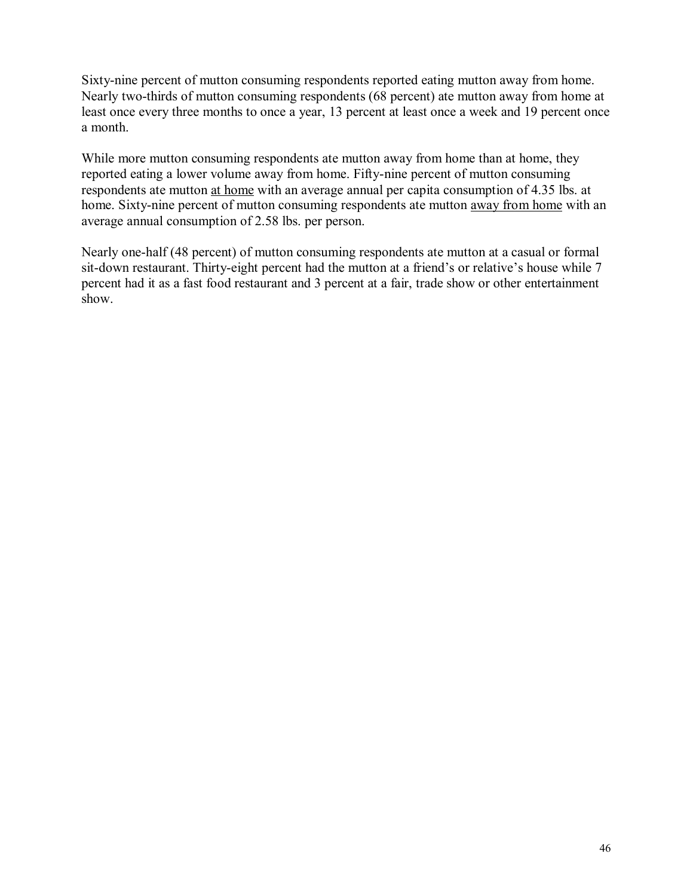Sixty-nine percent of mutton consuming respondents reported eating mutton away from home. Nearly two-thirds of mutton consuming respondents (68 percent) ate mutton away from home at least once every three months to once a year, 13 percent at least once a week and 19 percent once a month.

While more mutton consuming respondents ate mutton away from home than at home, they reported eating a lower volume away from home. Fifty-nine percent of mutton consuming respondents ate mutton at home with an average annual per capita consumption of 4.35 lbs. at home. Sixty-nine percent of mutton consuming respondents ate mutton away from home with an average annual consumption of 2.58 lbs. per person.

Nearly one-half (48 percent) of mutton consuming respondents ate mutton at a casual or formal sit-down restaurant. Thirty-eight percent had the mutton at a friend's or relative's house while 7 percent had it as a fast food restaurant and 3 percent at a fair, trade show or other entertainment show.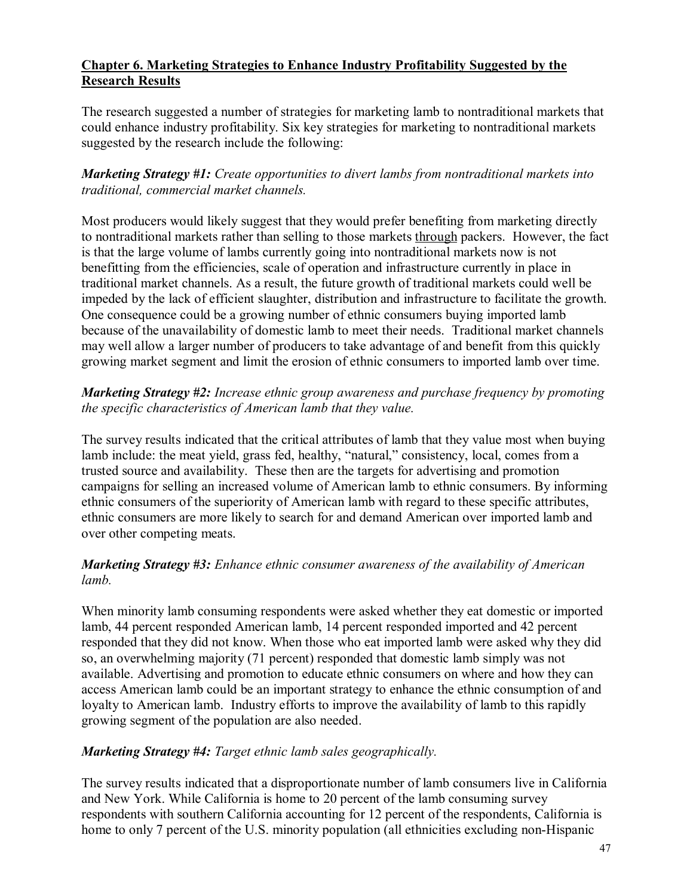### **Chapter 6. Marketing Strategies to Enhance Industry Profitability Suggested by the Research Results**

The research suggested a number of strategies for marketing lamb to nontraditional markets that could enhance industry profitability. Six key strategies for marketing to nontraditional markets suggested by the research include the following:

*Marketing Strategy #1: Create opportunities to divert lambs from nontraditional markets into traditional, commercial market channels.* 

Most producers would likely suggest that they would prefer benefiting from marketing directly to nontraditional markets rather than selling to those markets through packers. However, the fact is that the large volume of lambs currently going into nontraditional markets now is not benefitting from the efficiencies, scale of operation and infrastructure currently in place in traditional market channels. As a result, the future growth of traditional markets could well be impeded by the lack of efficient slaughter, distribution and infrastructure to facilitate the growth. One consequence could be a growing number of ethnic consumers buying imported lamb because of the unavailability of domestic lamb to meet their needs. Traditional market channels may well allow a larger number of producers to take advantage of and benefit from this quickly growing market segment and limit the erosion of ethnic consumers to imported lamb over time.

### *Marketing Strategy #2: Increase ethnic group awareness and purchase frequency by promoting the specific characteristics of American lamb that they value.*

The survey results indicated that the critical attributes of lamb that they value most when buying lamb include: the meat yield, grass fed, healthy, "natural," consistency, local, comes from a trusted source and availability. These then are the targets for advertising and promotion campaigns for selling an increased volume of American lamb to ethnic consumers. By informing ethnic consumers of the superiority of American lamb with regard to these specific attributes, ethnic consumers are more likely to search for and demand American over imported lamb and over other competing meats.

# *Marketing Strategy #3: Enhance ethnic consumer awareness of the availability of American lamb.*

When minority lamb consuming respondents were asked whether they eat domestic or imported lamb, 44 percent responded American lamb, 14 percent responded imported and 42 percent responded that they did not know. When those who eat imported lamb were asked why they did so, an overwhelming majority (71 percent) responded that domestic lamb simply was not available. Advertising and promotion to educate ethnic consumers on where and how they can access American lamb could be an important strategy to enhance the ethnic consumption of and loyalty to American lamb. Industry efforts to improve the availability of lamb to this rapidly growing segment of the population are also needed.

### *Marketing Strategy #4: Target ethnic lamb sales geographically.*

The survey results indicated that a disproportionate number of lamb consumers live in California and New York. While California is home to 20 percent of the lamb consuming survey respondents with southern California accounting for 12 percent of the respondents, California is home to only 7 percent of the U.S. minority population (all ethnicities excluding non-Hispanic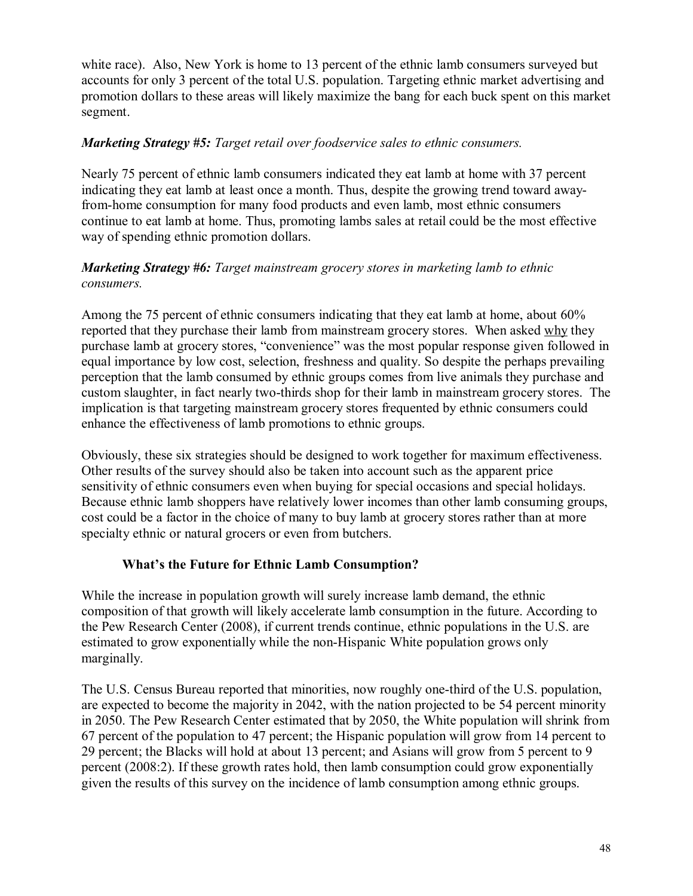white race). Also, New York is home to 13 percent of the ethnic lamb consumers surveyed but accounts for only 3 percent of the total U.S. population. Targeting ethnic market advertising and promotion dollars to these areas will likely maximize the bang for each buck spent on this market segment.

### *Marketing Strategy #5: Target retail over foodservice sales to ethnic consumers.*

Nearly 75 percent of ethnic lamb consumers indicated they eat lamb at home with 37 percent indicating they eat lamb at least once a month. Thus, despite the growing trend toward awayfrom-home consumption for many food products and even lamb, most ethnic consumers continue to eat lamb at home. Thus, promoting lambs sales at retail could be the most effective way of spending ethnic promotion dollars.

### *Marketing Strategy #6: Target mainstream grocery stores in marketing lamb to ethnic consumers.*

Among the 75 percent of ethnic consumers indicating that they eat lamb at home, about 60% reported that they purchase their lamb from mainstream grocery stores. When asked why they purchase lamb at grocery stores, "convenience" was the most popular response given followed in equal importance by low cost, selection, freshness and quality. So despite the perhaps prevailing perception that the lamb consumed by ethnic groups comes from live animals they purchase and custom slaughter, in fact nearly two-thirds shop for their lamb in mainstream grocery stores. The implication is that targeting mainstream grocery stores frequented by ethnic consumers could enhance the effectiveness of lamb promotions to ethnic groups.

Obviously, these six strategies should be designed to work together for maximum effectiveness. Other results of the survey should also be taken into account such as the apparent price sensitivity of ethnic consumers even when buying for special occasions and special holidays. Because ethnic lamb shoppers have relatively lower incomes than other lamb consuming groups, cost could be a factor in the choice of many to buy lamb at grocery stores rather than at more specialty ethnic or natural grocers or even from butchers.

### **What's the Future for Ethnic Lamb Consumption?**

While the increase in population growth will surely increase lamb demand, the ethnic composition of that growth will likely accelerate lamb consumption in the future. According to the Pew Research Center (2008), if current trends continue, ethnic populations in the U.S. are estimated to grow exponentially while the non-Hispanic White population grows only marginally.

The U.S. Census Bureau reported that minorities, now roughly one-third of the U.S. population, are expected to become the majority in 2042, with the nation projected to be 54 percent minority in 2050. The Pew Research Center estimated that by 2050, the White population will shrink from 67 percent of the population to 47 percent; the Hispanic population will grow from 14 percent to 29 percent; the Blacks will hold at about 13 percent; and Asians will grow from 5 percent to 9 percent (2008:2). If these growth rates hold, then lamb consumption could grow exponentially given the results of this survey on the incidence of lamb consumption among ethnic groups.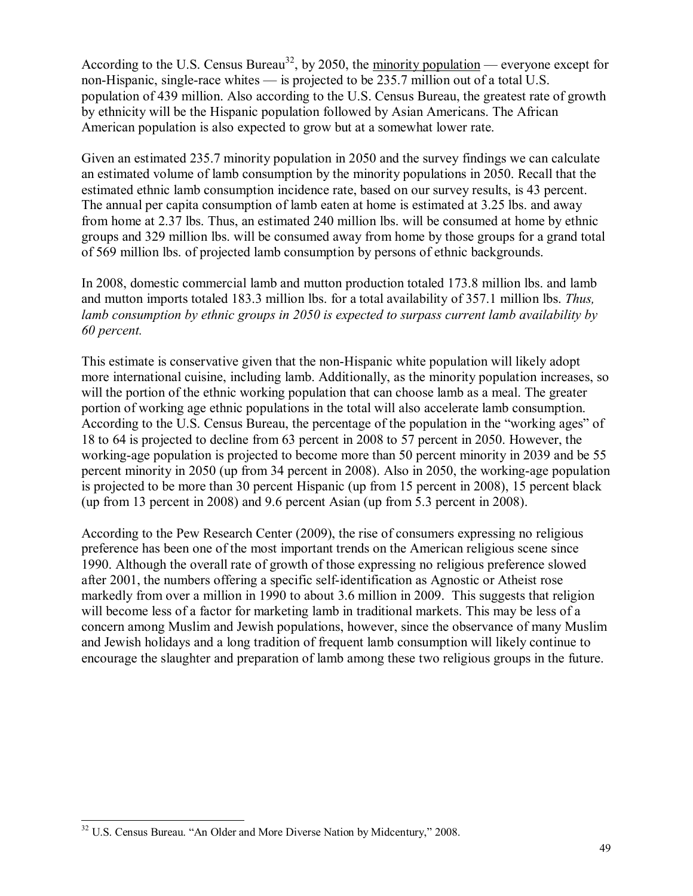According to the U.S. Census Bureau<sup>32</sup>, by 2050, the minority population — everyone except for non-Hispanic, single-race whites  $\frac{1}{10}$  is projected to be 235.7 million out of a total U.S. population of 439 million. Also according to the U.S. Census Bureau, the greatest rate of growth by ethnicity will be the Hispanic population followed by Asian Americans. The African American population is also expected to grow but at a somewhat lower rate.

Given an estimated 235.7 minority population in 2050 and the survey findings we can calculate an estimated volume of lamb consumption by the minority populations in 2050. Recall that the estimated ethnic lamb consumption incidence rate, based on our survey results, is 43 percent. The annual per capita consumption of lamb eaten at home is estimated at 3.25 lbs. and away from home at 2.37 lbs. Thus, an estimated 240 million lbs. will be consumed at home by ethnic groups and 329 million lbs. will be consumed away from home by those groups for a grand total of 569 million lbs. of projected lamb consumption by persons of ethnic backgrounds.

In 2008, domestic commercial lamb and mutton production totaled 173.8 million lbs. and lamb and mutton imports totaled 183.3 million lbs. for a total availability of 357.1 million lbs. *Thus, lamb consumption by ethnic groups in 2050 is expected to surpass current lamb availability by 60 percent.* 

This estimate is conservative given that the non-Hispanic white population will likely adopt more international cuisine, including lamb. Additionally, as the minority population increases, so will the portion of the ethnic working population that can choose lamb as a meal. The greater portion of working age ethnic populations in the total will also accelerate lamb consumption. According to the U.S. Census Bureau, the percentage of the population in the "working ages" of 18 to 64 is projected to decline from 63 percent in 2008 to 57 percent in 2050. However, the working-age population is projected to become more than 50 percent minority in 2039 and be 55 percent minority in 2050 (up from 34 percent in 2008). Also in 2050, the working-age population is projected to be more than 30 percent Hispanic (up from 15 percent in 2008), 15 percent black (up from 13 percent in 2008) and 9.6 percent Asian (up from 5.3 percent in 2008).

According to the Pew Research Center (2009), the rise of consumers expressing no religious preference has been one of the most important trends on the American religious scene since 1990. Although the overall rate of growth of those expressing no religious preference slowed after 2001, the numbers offering a specific self-identification as Agnostic or Atheist rose markedly from over a million in 1990 to about 3.6 million in 2009. This suggests that religion will become less of a factor for marketing lamb in traditional markets. This may be less of a concern among Muslim and Jewish populations, however, since the observance of many Muslim and Jewish holidays and a long tradition of frequent lamb consumption will likely continue to encourage the slaughter and preparation of lamb among these two religious groups in the future.

 $\overline{a}$  $32$  U.S. Census Bureau. "An Older and More Diverse Nation by Midcentury," 2008.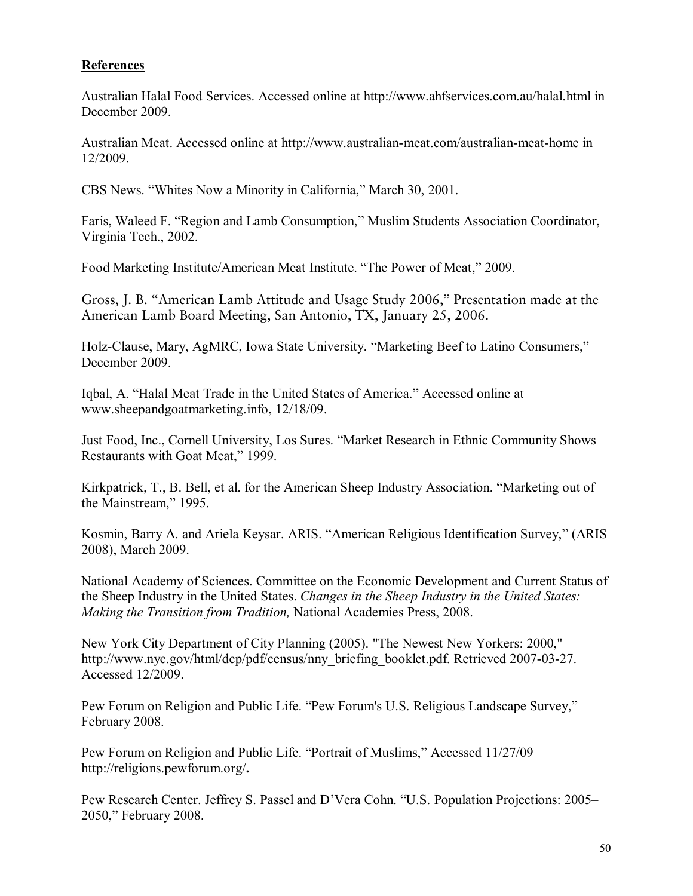### **References**

Australian Halal Food Services. Accessed online at http://www.ahfservices.com.au/halal.html in December 2009.

Australian Meat. Accessed online at http://www.australian-meat.com/australian-meat-home in 12/2009.

CBS News. "Whites Now a Minority in California," March 30, 2001.

Faris, Waleed F. "Region and Lamb Consumption," Muslim Students Association Coordinator, Virginia Tech., 2002.

Food Marketing Institute/American Meat Institute. "The Power of Meat," 2009.

Gross, J. B. ''American Lamb Attitude and Usage Study 2006,'' Presentation made at the American Lamb Board Meeting, San Antonio, TX, January 25, 2006.

Holz-Clause, Mary, AgMRC, Iowa State University. "Marketing Beef to Latino Consumers," December 2009.

Iqbal, A. "Halal Meat Trade in the United States of America." Accessed online at www.sheepandgoatmarketing.info, 12/18/09.

Just Food, Inc., Cornell University, Los Sures. "Market Research in Ethnic Community Shows Restaurants with Goat Meat," 1999.

Kirkpatrick, T., B. Bell, et al. for the American Sheep Industry Association. "Marketing out of the Mainstream," 1995.

Kosmin, Barry A. and Ariela Keysar. ARIS. "American Religious Identification Survey," (ARIS 2008), March 2009.

National Academy of Sciences. Committee on the Economic Development and Current Status of the Sheep Industry in the United States. *Changes in the Sheep Industry in the United States: Making the Transition from Tradition,* National Academies Press, 2008.

New York City Department of City Planning (2005). "The Newest New Yorkers: 2000," http://www.nyc.gov/html/dcp/pdf/census/nny\_briefing\_booklet.pdf. Retrieved 2007-03-27. Accessed 12/2009.

Pew Forum on Religion and Public Life. "Pew Forum's U.S. Religious Landscape Survey," February 2008.

Pew Forum on Religion and Public Life. "Portrait of Muslims," Accessed 11/27/09 http://religions.pewforum.org/**.** 

Pew Research Center. Jeffrey S. Passel and D'Vera Cohn. "U.S. Population Projections: 2005– 2050," February 2008.